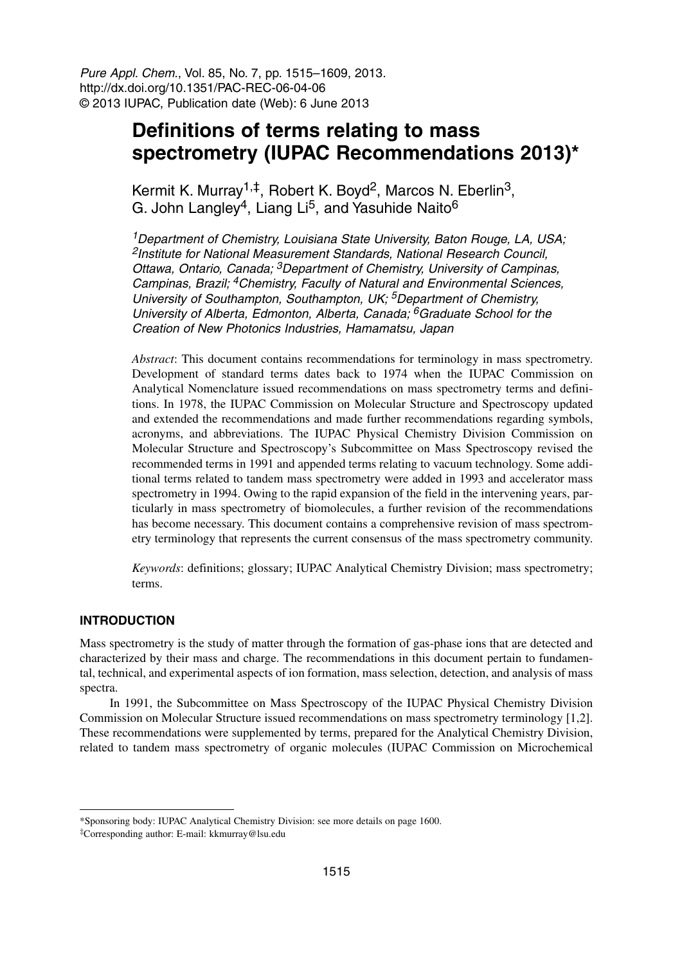Pure Appl. Chem., Vol. 85, No. 7, pp. 1515–1609, 2013. http://dx.doi.org/10.1351/PAC-REC-06-04-06 © 2013 IUPAC, Publication date (Web): 6 June 2013

# **Definitions of terms relating to mass spectrometry (IUPAC Recommendations 2013)\***

Kermit K. Murray<sup>1,‡</sup>, Robert K. Boyd<sup>2</sup>, Marcos N. Eberlin<sup>3</sup>, G. John Langley<sup>4</sup>, Liang Li<sup>5</sup>, and Yasuhide Naito<sup>6</sup>

<sup>1</sup>Department of Chemistry, Louisiana State University, Baton Rouge, LA, USA; <sup>2</sup>Institute for National Measurement Standards, National Research Council, Ottawa, Ontario, Canada; <sup>3</sup>Department of Chemistry, University of Campinas, Campinas, Brazil; <sup>4</sup>Chemistry, Faculty of Natural and Environmental Sciences, University of Southampton, Southampton, UK; <sup>5</sup>Department of Chemistry, University of Alberta, Edmonton, Alberta, Canada; <sup>6</sup>Graduate School for the Creation of New Photonics Industries, Hamamatsu, Japan

*Abstract*: This document contains recommendations for terminology in mass spectrometry. Development of standard terms dates back to 1974 when the IUPAC Commission on Analytical Nomenclature issued recommendations on mass spectrometry terms and definitions. In 1978, the IUPAC Commission on Molecular Structure and Spectroscopy updated and extended the recommendations and made further recommendations regarding symbols, acronyms, and abbreviations. The IUPAC Physical Chemistry Division Commission on Molecular Structure and Spectroscopy's Subcommittee on Mass Spectroscopy revised the recommended terms in 1991 and appended terms relating to vacuum technology. Some additional terms related to tandem mass spectrometry were added in 1993 and accelerator mass spectrometry in 1994. Owing to the rapid expansion of the field in the intervening years, particularly in mass spectrometry of biomolecules, a further revision of the recommendations has become necessary. This document contains a comprehensive revision of mass spectrometry terminology that represents the current consensus of the mass spectrometry community.

*Keywords*: definitions; glossary; IUPAC Analytical Chemistry Division; mass spectrometry; terms.

#### **INTRODUCTION**

Mass spectrometry is the study of matter through the formation of gas-phase ions that are detected and characterized by their mass and charge. The recommendations in this document pertain to fundamental, technical, and experimental aspects of ion formation, mass selection, detection, and analysis of mass spectra.

In 1991, the Subcommittee on Mass Spectroscopy of the IUPAC Physical Chemistry Division Commission on Molecular Structure issued recommendations on mass spectrometry terminology [1,2]. These recommendations were supplemented by terms, prepared for the Analytical Chemistry Division, related to tandem mass spectrometry of organic molecules (IUPAC Commission on Microchemical

<sup>\*</sup>Sponsoring body: IUPAC Analytical Chemistry Division: see more details on page 1600.

<sup>‡</sup>Corresponding author: E-mail: kkmurray@lsu.edu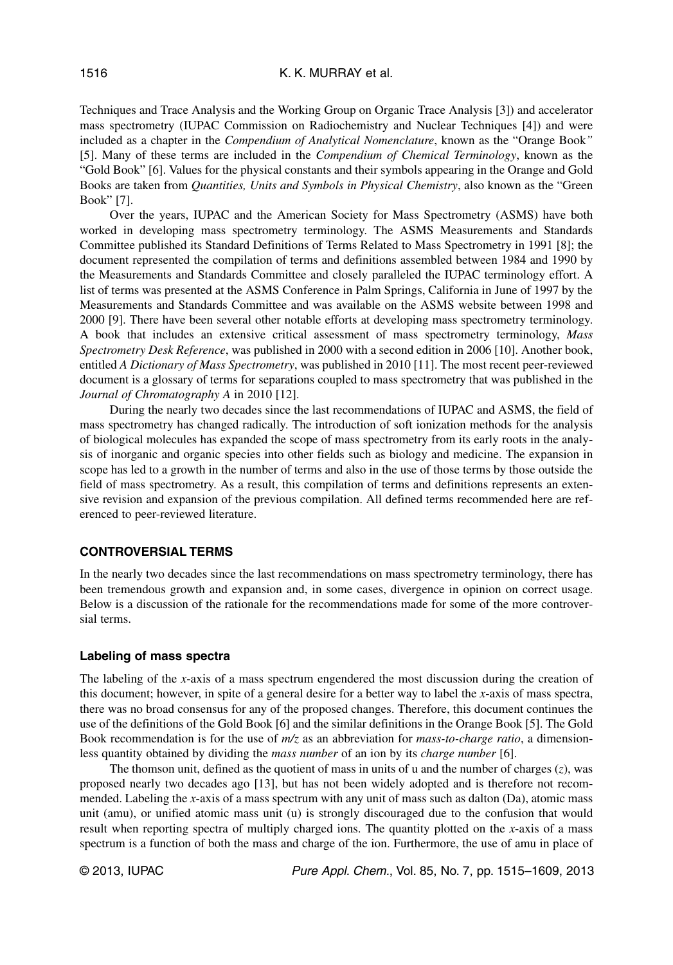Techniques and Trace Analysis and the Working Group on Organic Trace Analysis [3]) and accelerator mass spectrometry (IUPAC Commission on Radiochemistry and Nuclear Techniques [4]) and were included as a chapter in the *Compendium of Analytical Nomenclature*, known as the "Orange Book*"* [5]. Many of these terms are included in the *Compendium of Chemical Terminology*, known as the "Gold Book" [6]. Values for the physical constants and their symbols appearing in the Orange and Gold Books are taken from *Quantities, Units and Symbols in Physical Chemistry*, also known as the "Green Book" [7].

Over the years, IUPAC and the American Society for Mass Spectrometry (ASMS) have both worked in developing mass spectrometry terminology. The ASMS Measurements and Standards Committee published its Standard Definitions of Terms Related to Mass Spectrometry in 1991 [8]; the document represented the compilation of terms and definitions assembled between 1984 and 1990 by the Measurements and Standards Committee and closely paralleled the IUPAC terminology effort. A list of terms was presented at the ASMS Conference in Palm Springs, California in June of 1997 by the Measurements and Standards Committee and was available on the ASMS website between 1998 and 2000 [9]. There have been several other notable efforts at developing mass spectrometry terminology. A book that includes an extensive critical assessment of mass spectrometry terminology, *Mass Spectrometry Desk Reference*, was published in 2000 with a second edition in 2006 [10]. Another book, entitled *A Dictionary of Mass Spectrometry*, was published in 2010 [11]. The most recent peer-reviewed document is a glossary of terms for separations coupled to mass spectrometry that was published in the *Journal of Chromatography A* in 2010 [12].

During the nearly two decades since the last recommendations of IUPAC and ASMS, the field of mass spectrometry has changed radically. The introduction of soft ionization methods for the analysis of biological molecules has expanded the scope of mass spectrometry from its early roots in the analysis of inorganic and organic species into other fields such as biology and medicine. The expansion in scope has led to a growth in the number of terms and also in the use of those terms by those outside the field of mass spectrometry. As a result, this compilation of terms and definitions represents an extensive revision and expansion of the previous compilation. All defined terms recommended here are referenced to peer-reviewed literature.

#### **CONTROVERSIAL TERMS**

In the nearly two decades since the last recommendations on mass spectrometry terminology, there has been tremendous growth and expansion and, in some cases, divergence in opinion on correct usage. Below is a discussion of the rationale for the recommendations made for some of the more controversial terms.

#### **Labeling of mass spectra**

The labeling of the *x*-axis of a mass spectrum engendered the most discussion during the creation of this document; however, in spite of a general desire for a better way to label the *x*-axis of mass spectra, there was no broad consensus for any of the proposed changes. Therefore, this document continues the use of the definitions of the Gold Book [6] and the similar definitions in the Orange Book [5]. The Gold Book recommendation is for the use of *m/z* as an abbreviation for *mass-to-charge ratio*, a dimensionless quantity obtained by dividing the *mass number* of an ion by its *charge number* [6].

The thomson unit, defined as the quotient of mass in units of u and the number of charges (*z*), was proposed nearly two decades ago [13], but has not been widely adopted and is therefore not recommended. Labeling the *x*-axis of a mass spectrum with any unit of mass such as dalton (Da), atomic mass unit (amu), or unified atomic mass unit (u) is strongly discouraged due to the confusion that would result when reporting spectra of multiply charged ions. The quantity plotted on the *x*-axis of a mass spectrum is a function of both the mass and charge of the ion. Furthermore, the use of amu in place of

© 2013, IUPAC **Pure Appl. Chem., Vol. 85, No. 7, pp. 1515–1609**, 2013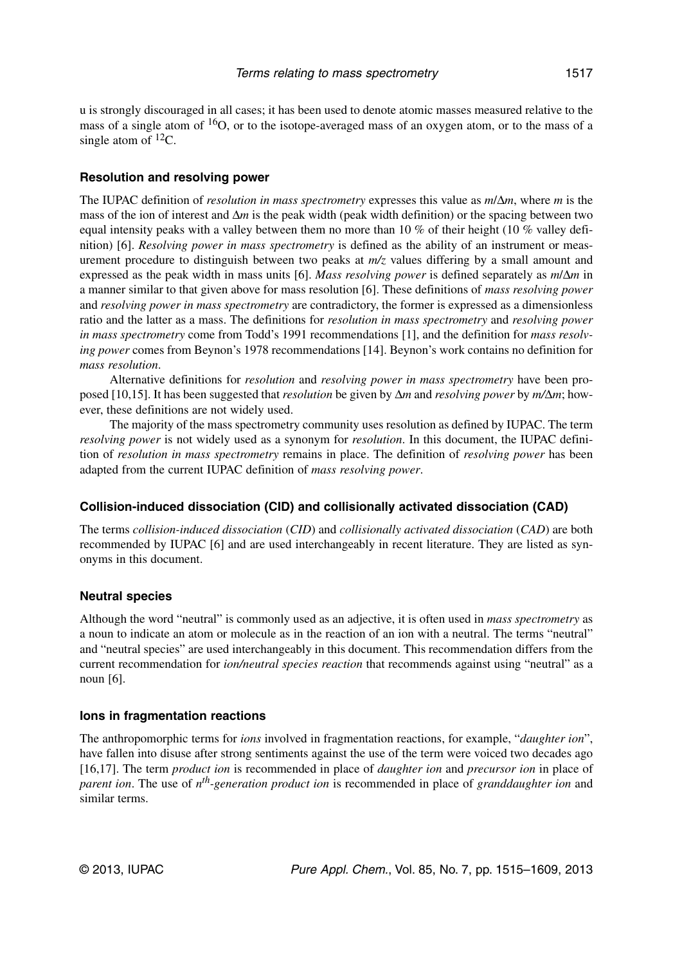u is strongly discouraged in all cases; it has been used to denote atomic masses measured relative to the mass of a single atom of <sup>16</sup>O, or to the isotope-averaged mass of an oxygen atom, or to the mass of a single atom of  ${}^{12}C$ .

## **Resolution and resolving power**

The IUPAC definition of *resolution in mass spectrometry* expresses this value as *m*/Δ*m*, where *m* is the mass of the ion of interest and  $\Delta m$  is the peak width (peak width definition) or the spacing between two equal intensity peaks with a valley between them no more than 10 % of their height (10 % valley definition) [6]. *Resolving power in mass spectrometry* is defined as the ability of an instrument or measurement procedure to distinguish between two peaks at *m/z* values differing by a small amount and expressed as the peak width in mass units [6]. *Mass resolving power* is defined separately as *m*/Δ*m* in a manner similar to that given above for mass resolution [6]. These definitions of *mass resolving power* and *resolving power in mass spectrometry* are contradictory, the former is expressed as a dimensionless ratio and the latter as a mass. The definitions for *resolution in mass spectrometry* and *resolving power in mass spectrometry* come from Todd's 1991 recommendations [1], and the definition for *mass resolving power* comes from Beynon's 1978 recommendations [14]. Beynon's work contains no definition for *mass resolution*.

Alternative definitions for *resolution* and *resolving power in mass spectrometry* have been proposed [10,15]. It has been suggested that *resolution* be given by Δ*m* and *resolving power* by *m/*Δ*m*; however, these definitions are not widely used.

The majority of the mass spectrometry community uses resolution as defined by IUPAC. The term *resolving power* is not widely used as a synonym for *resolution*. In this document, the IUPAC definition of *resolution in mass spectrometry* remains in place. The definition of *resolving power* has been adapted from the current IUPAC definition of *mass resolving power*.

## **Collision-induced dissociation (CID) and collisionally activated dissociation (CAD)**

The terms *collision-induced dissociation* (*CID*) and *collisionally activated dissociation* (*CAD*) are both recommended by IUPAC [6] and are used interchangeably in recent literature. They are listed as synonyms in this document.

## **Neutral species**

Although the word "neutral" is commonly used as an adjective, it is often used in *mass spectrometry* as a noun to indicate an atom or molecule as in the reaction of an ion with a neutral. The terms "neutral" and "neutral species" are used interchangeably in this document. This recommendation differs from the current recommendation for *ion/neutral species reaction* that recommends against using "neutral" as a noun [6].

#### **Ions in fragmentation reactions**

The anthropomorphic terms for *ions* involved in fragmentation reactions, for example, "*daughter ion*", have fallen into disuse after strong sentiments against the use of the term were voiced two decades ago [16,17]. The term *product ion* is recommended in place of *daughter ion* and *precursor ion* in place of *parent ion*. The use of *nth-generation product ion* is recommended in place of *granddaughter ion* and similar terms.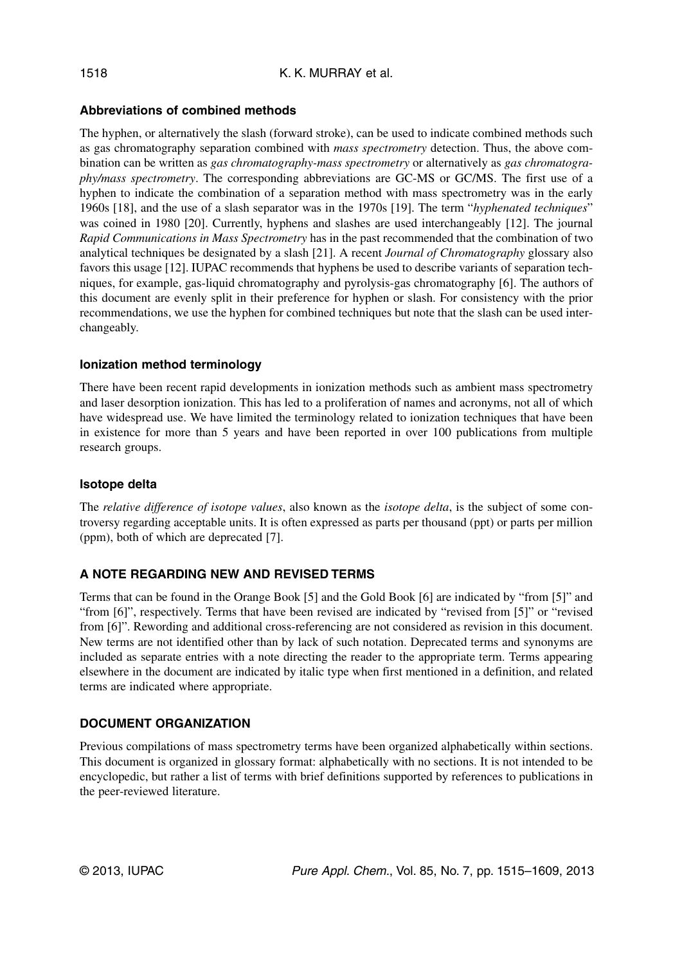## **Abbreviations of combined methods**

The hyphen, or alternatively the slash (forward stroke), can be used to indicate combined methods such as gas chromatography separation combined with *mass spectrometry* detection. Thus, the above combination can be written as *gas chromatography-mass spectrometry* or alternatively as *gas chromatography/mass spectrometry*. The corresponding abbreviations are GC-MS or GC/MS. The first use of a hyphen to indicate the combination of a separation method with mass spectrometry was in the early 1960s [18], and the use of a slash separator was in the 1970s [19]. The term "*hyphenated techniques*" was coined in 1980 [20]. Currently, hyphens and slashes are used interchangeably [12]. The journal *Rapid Communications in Mass Spectrometry* has in the past recommended that the combination of two analytical techniques be designated by a slash [21]. A recent *Journal of Chromatography* glossary also favors this usage [12]. IUPAC recommends that hyphens be used to describe variants of separation techniques, for example, gas-liquid chromatography and pyrolysis-gas chromatography [6]. The authors of this document are evenly split in their preference for hyphen or slash. For consistency with the prior recommendations, we use the hyphen for combined techniques but note that the slash can be used interchangeably.

## **Ionization method terminology**

There have been recent rapid developments in ionization methods such as ambient mass spectrometry and laser desorption ionization. This has led to a proliferation of names and acronyms, not all of which have widespread use. We have limited the terminology related to ionization techniques that have been in existence for more than 5 years and have been reported in over 100 publications from multiple research groups.

## **Isotope delta**

The *relative difference of isotope values*, also known as the *isotope delta*, is the subject of some controversy regarding acceptable units. It is often expressed as parts per thousand (ppt) or parts per million (ppm), both of which are deprecated [7].

## **A NOTE REGARDING NEW AND REVISED TERMS**

Terms that can be found in the Orange Book [5] and the Gold Book [6] are indicated by "from [5]" and "from [6]", respectively. Terms that have been revised are indicated by "revised from [5]" or "revised from [6]". Rewording and additional cross-referencing are not considered as revision in this document. New terms are not identified other than by lack of such notation. Deprecated terms and synonyms are included as separate entries with a note directing the reader to the appropriate term. Terms appearing elsewhere in the document are indicated by italic type when first mentioned in a definition, and related terms are indicated where appropriate.

## **DOCUMENT ORGANIZATION**

Previous compilations of mass spectrometry terms have been organized alphabetically within sections. This document is organized in glossary format: alphabetically with no sections. It is not intended to be encyclopedic, but rather a list of terms with brief definitions supported by references to publications in the peer-reviewed literature.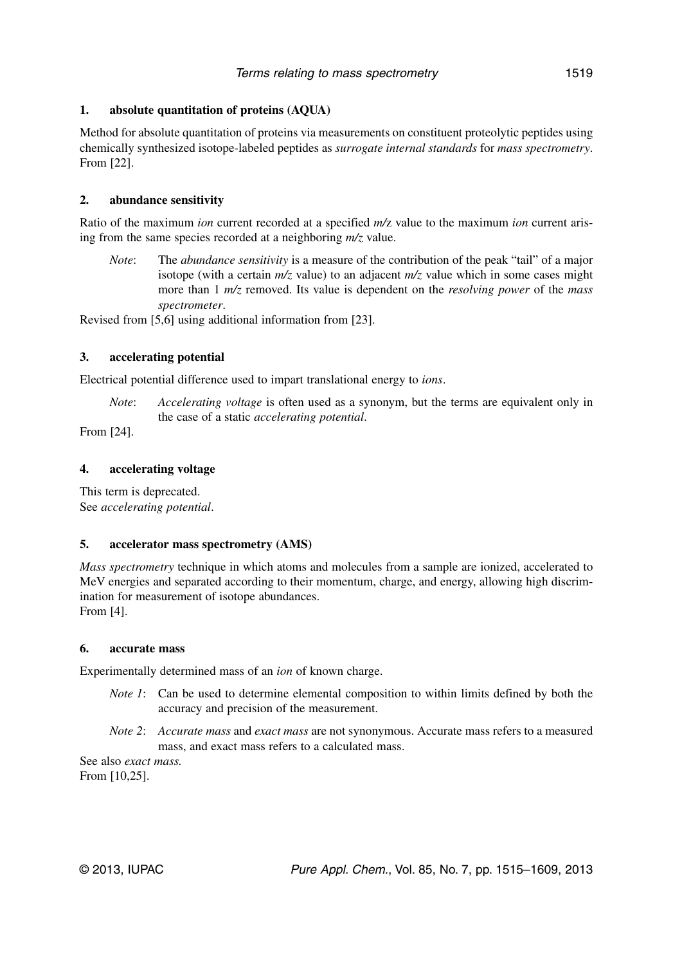## **1. absolute quantitation of proteins (AQUA)**

Method for absolute quantitation of proteins via measurements on constituent proteolytic peptides using chemically synthesized isotope-labeled peptides as *surrogate internal standards* for *mass spectrometry*. From [22].

## **2. abundance sensitivity**

Ratio of the maximum *ion* current recorded at a specified *m/*z value to the maximum *ion* current arising from the same species recorded at a neighboring *m/z* value.

*Note*: The *abundance sensitivity* is a measure of the contribution of the peak "tail" of a major isotope (with a certain *m/z* value) to an adjacent *m/z* value which in some cases might more than 1 *m/z* removed. Its value is dependent on the *resolving power* of the *mass spectrometer*.

Revised from [5,6] using additional information from [23].

## **3. accelerating potential**

Electrical potential difference used to impart translational energy to *ions*.

*Note*: *Accelerating voltage* is often used as a synonym, but the terms are equivalent only in the case of a static *accelerating potential*.

From [24].

## **4. accelerating voltage**

This term is deprecated. See *accelerating potential*.

## **5. accelerator mass spectrometry (AMS)**

*Mass spectrometry* technique in which atoms and molecules from a sample are ionized, accelerated to MeV energies and separated according to their momentum, charge, and energy, allowing high discrimination for measurement of isotope abundances. From [4].

## **6. accurate mass**

Experimentally determined mass of an *ion* of known charge.

- *Note 1*: Can be used to determine elemental composition to within limits defined by both the accuracy and precision of the measurement.
- *Note 2*: *Accurate mass* and *exact mass* are not synonymous. Accurate mass refers to a measured mass, and exact mass refers to a calculated mass.

See also *exact mass.* From [10,25].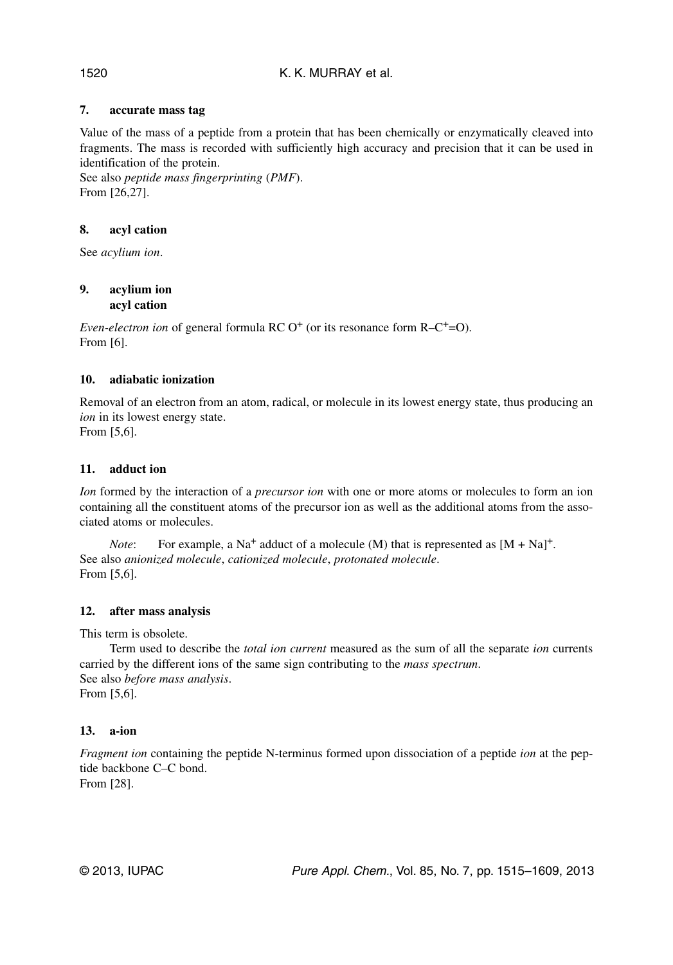## **7. accurate mass tag**

Value of the mass of a peptide from a protein that has been chemically or enzymatically cleaved into fragments. The mass is recorded with sufficiently high accuracy and precision that it can be used in identification of the protein.

See also *peptide mass fingerprinting* (*PMF*). From [26,27].

## **8. acyl cation**

See *acylium ion*.

#### **9. acylium ion acyl cation**

*Even-electron ion* of general formula RC O<sup>+</sup> (or its resonance form R–C<sup>+</sup>=O). From [6].

## **10. adiabatic ionization**

Removal of an electron from an atom, radical, or molecule in its lowest energy state, thus producing an *ion* in its lowest energy state.

From [5,6].

## **11. adduct ion**

*Ion* formed by the interaction of a *precursor ion* with one or more atoms or molecules to form an ion containing all the constituent atoms of the precursor ion as well as the additional atoms from the associated atoms or molecules.

*Note*: For example, a Na<sup>+</sup> adduct of a molecule (M) that is represented as  $[M + Na]$ <sup>+</sup>. See also *anionized molecule*, *cationized molecule*, *protonated molecule*. From [5,6].

## **12. after mass analysis**

This term is obsolete.

Term used to describe the *total ion current* measured as the sum of all the separate *ion* currents carried by the different ions of the same sign contributing to the *mass spectrum*. See also *before mass analysis*. From [5,6].

## **13. a-ion**

*Fragment ion* containing the peptide N-terminus formed upon dissociation of a peptide *ion* at the peptide backbone C–C bond. From [28].

1520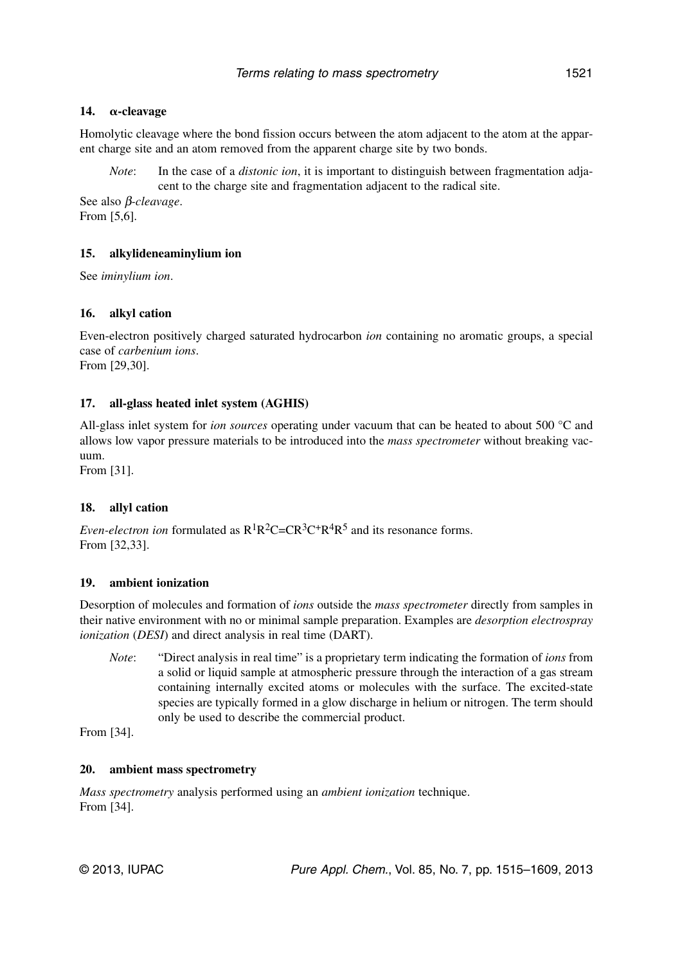## **14.** α-cleavage

Homolytic cleavage where the bond fission occurs between the atom adjacent to the atom at the apparent charge site and an atom removed from the apparent charge site by two bonds.

*Note*: In the case of a *distonic ion*, it is important to distinguish between fragmentation adjacent to the charge site and fragmentation adjacent to the radical site.

See also β*-cleavage*. From [5,6].

## **15. alkylideneaminylium ion**

See *iminylium ion*.

## **16. alkyl cation**

Even-electron positively charged saturated hydrocarbon *ion* containing no aromatic groups, a special case of *carbenium ions*. From [29,30].

#### **17. all-glass heated inlet system (AGHIS)**

All-glass inlet system for *ion sources* operating under vacuum that can be heated to about 500 °C and allows low vapor pressure materials to be introduced into the *mass spectrometer* without breaking vacuum.

From [31].

#### **18. allyl cation**

*Even-electron ion* formulated as  $R^1R^2C=CR^3C^+R^4R^5$  and its resonance forms. From [32,33].

#### **19. ambient ionization**

Desorption of molecules and formation of *ions* outside the *mass spectrometer* directly from samples in their native environment with no or minimal sample preparation. Examples are *desorption electrospray ionization* (*DESI*) and direct analysis in real time (DART).

*Note*: "Direct analysis in real time" is a proprietary term indicating the formation of *ions* from a solid or liquid sample at atmospheric pressure through the interaction of a gas stream containing internally excited atoms or molecules with the surface. The excited-state species are typically formed in a glow discharge in helium or nitrogen. The term should only be used to describe the commercial product.

From [34].

#### **20. ambient mass spectrometry**

*Mass spectrometry* analysis performed using an *ambient ionization* technique. From [34].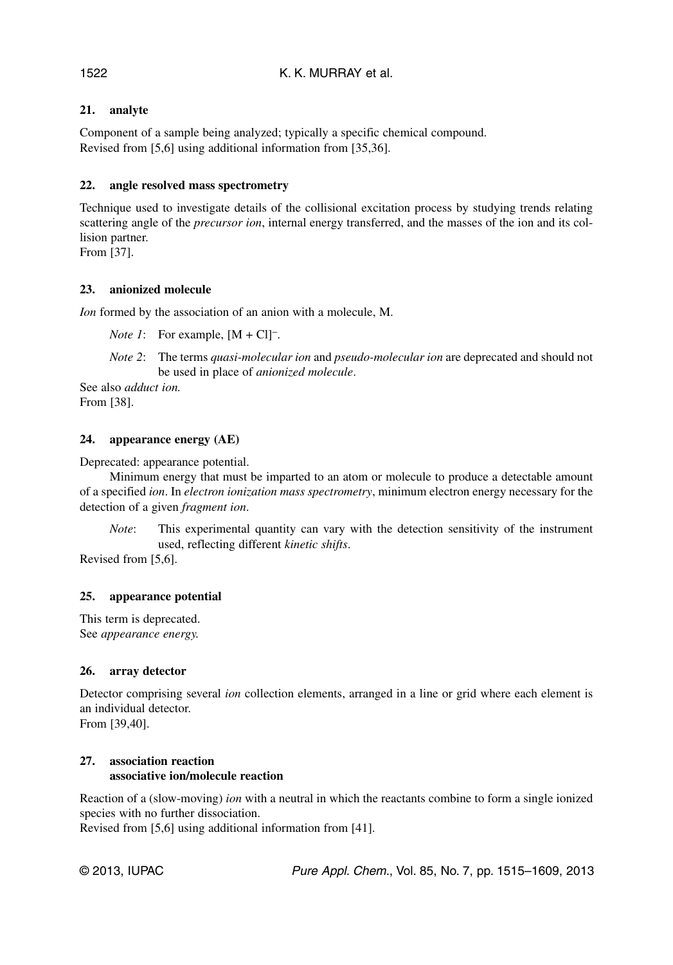## **21. analyte**

Component of a sample being analyzed; typically a specific chemical compound. Revised from [5,6] using additional information from [35,36].

## **22. angle resolved mass spectrometry**

Technique used to investigate details of the collisional excitation process by studying trends relating scattering angle of the *precursor ion*, internal energy transferred, and the masses of the ion and its collision partner.

From [37].

## **23. anionized molecule**

*Ion* formed by the association of an anion with a molecule, M.

*Note 1*: For example,  $[M + Cl]$ <sup>-</sup>.

*Note 2*: The terms *quasi-molecular ion* and *pseudo-molecular ion* are deprecated and should not be used in place of *anionized molecule*.

See also *adduct ion.* From [38].

## **24. appearance energy (AE)**

Deprecated: appearance potential.

Minimum energy that must be imparted to an atom or molecule to produce a detectable amount of a specified *ion*. In *electron ionization mass spectrometry*, minimum electron energy necessary for the detection of a given *fragment ion*.

*Note*: This experimental quantity can vary with the detection sensitivity of the instrument used, reflecting different *kinetic shifts*.

Revised from [5,6].

## **25. appearance potential**

This term is deprecated. See *appearance energy.*

## **26. array detector**

Detector comprising several *ion* collection elements, arranged in a line or grid where each element is an individual detector. From [39,40].

## **27. association reaction associative ion/molecule reaction**

Reaction of a (slow-moving) *ion* with a neutral in which the reactants combine to form a single ionized species with no further dissociation.

Revised from [5,6] using additional information from [41].

© 2013, IUPAC **Pure Appl. Chem., Vol. 85, No. 7, pp. 1515–1609**, 2013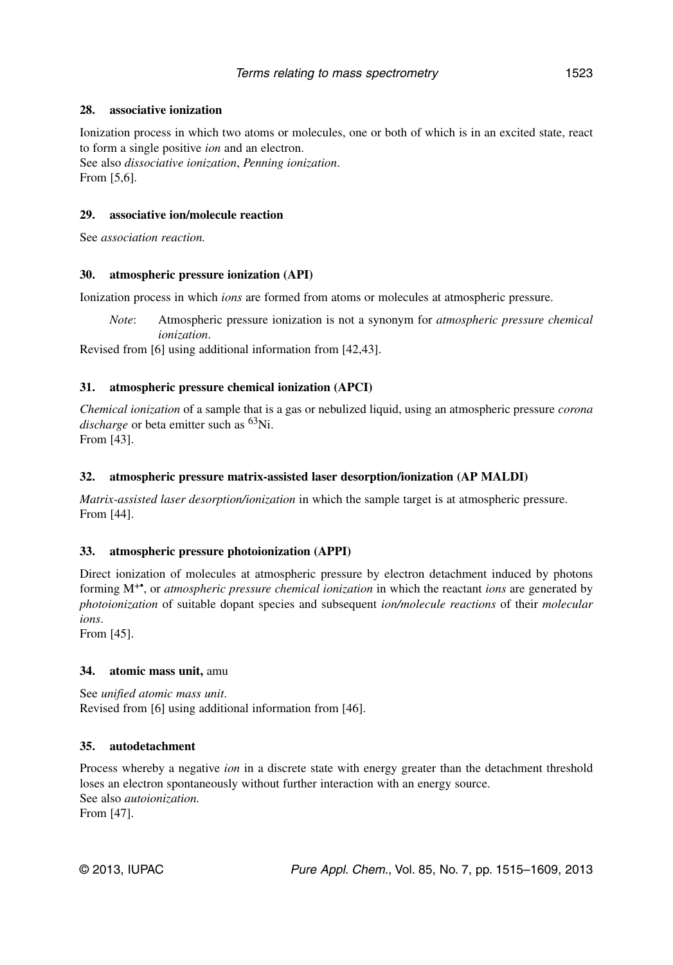## **28. associative ionization**

Ionization process in which two atoms or molecules, one or both of which is in an excited state, react to form a single positive *ion* and an electron.

See also *dissociative ionization*, *Penning ionization*. From [5,6].

## **29. associative ion/molecule reaction**

See *association reaction.*

## **30. atmospheric pressure ionization (API)**

Ionization process in which *ions* are formed from atoms or molecules at atmospheric pressure.

*Note*: Atmospheric pressure ionization is not a synonym for *atmospheric pressure chemical ionization*.

Revised from [6] using additional information from [42,43].

## **31. atmospheric pressure chemical ionization (APCI)**

*Chemical ionization* of a sample that is a gas or nebulized liquid, using an atmospheric pressure *corona discharge* or beta emitter such as <sup>63</sup>Ni. From [43].

## **32. atmospheric pressure matrix-assisted laser desorption/ionization (AP MALDI)**

*Matrix-assisted laser desorption/ionization* in which the sample target is at atmospheric pressure. From [44].

## **33. atmospheric pressure photoionization (APPI)**

Direct ionization of molecules at atmospheric pressure by electron detachment induced by photons forming M+•, or *atmospheric pressure chemical ionization* in which the reactant *ions* are generated by *photoionization* of suitable dopant species and subsequent *ion/molecule reactions* of their *molecular ions*.

From [45].

## **34. atomic mass unit,** amu

See *unified atomic mass unit*. Revised from [6] using additional information from [46].

## **35. autodetachment**

Process whereby a negative *ion* in a discrete state with energy greater than the detachment threshold loses an electron spontaneously without further interaction with an energy source. See also *autoionization.* From [47].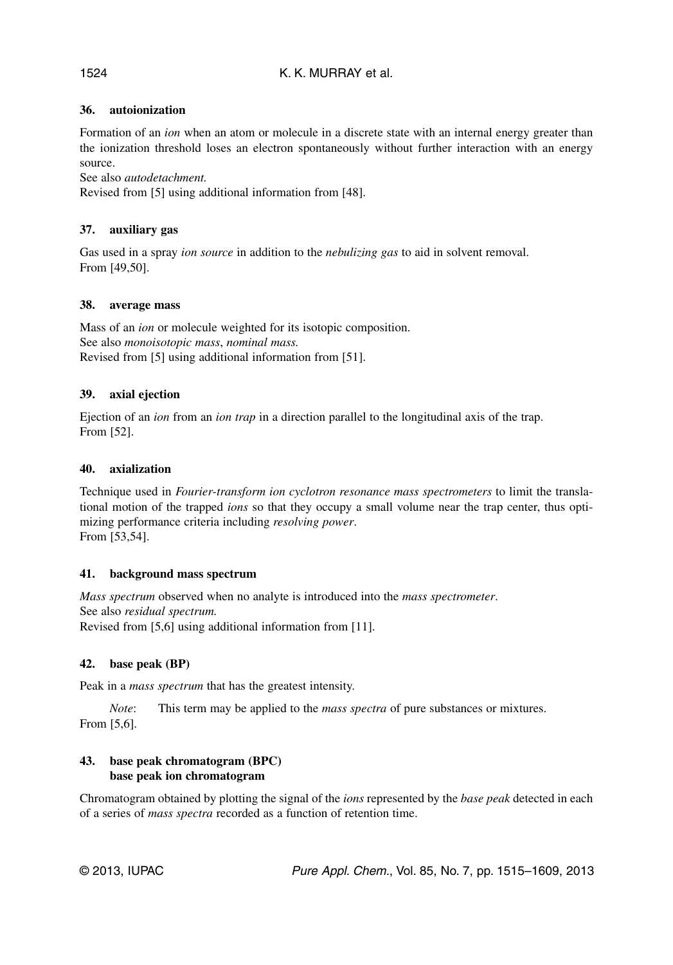## K. K. MURRAY et al.

## **36. autoionization**

Formation of an *ion* when an atom or molecule in a discrete state with an internal energy greater than the ionization threshold loses an electron spontaneously without further interaction with an energy source.

See also *autodetachment.*

Revised from [5] using additional information from [48].

## **37. auxiliary gas**

Gas used in a spray *ion source* in addition to the *nebulizing gas* to aid in solvent removal. From [49,50].

## **38. average mass**

Mass of an *ion* or molecule weighted for its isotopic composition. See also *monoisotopic mass*, *nominal mass.* Revised from [5] using additional information from [51].

## **39. axial ejection**

Ejection of an *ion* from an *ion trap* in a direction parallel to the longitudinal axis of the trap. From [52].

## **40. axialization**

Technique used in *Fourier-transform ion cyclotron resonance mass spectrometers* to limit the translational motion of the trapped *ions* so that they occupy a small volume near the trap center, thus optimizing performance criteria including *resolving power*. From [53,54].

## **41. background mass spectrum**

*Mass spectrum* observed when no analyte is introduced into the *mass spectrometer*. See also *residual spectrum.* Revised from [5,6] using additional information from [11].

## **42. base peak (BP)**

Peak in a *mass spectrum* that has the greatest intensity.

*Note*: This term may be applied to the *mass spectra* of pure substances or mixtures. From [5,6].

## **43. base peak chromatogram (BPC) base peak ion chromatogram**

Chromatogram obtained by plotting the signal of the *ions* represented by the *base peak* detected in each of a series of *mass spectra* recorded as a function of retention time.

1524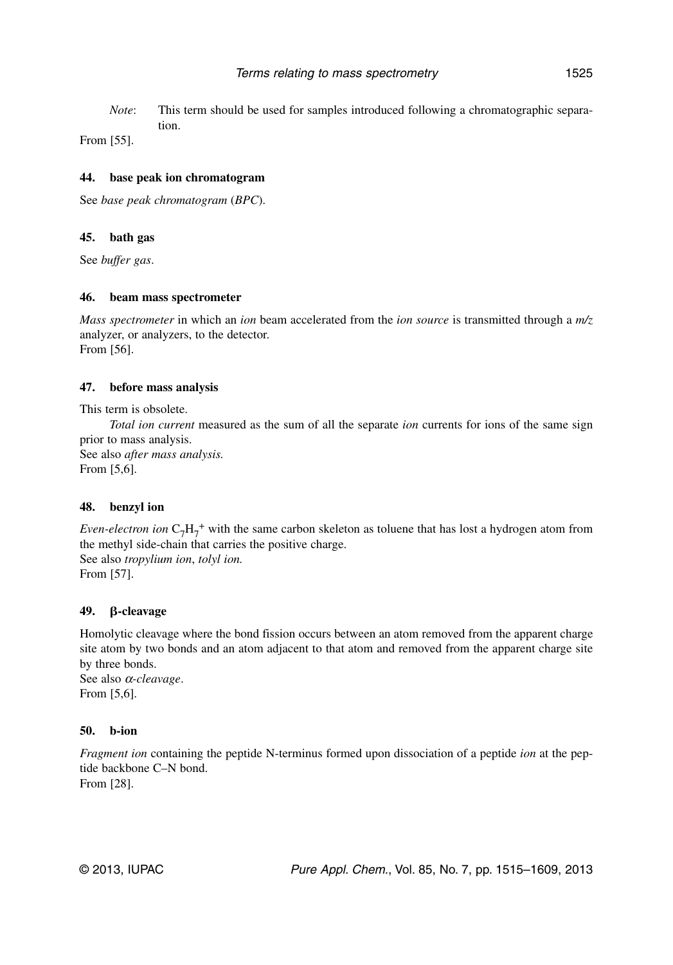*Note*: This term should be used for samples introduced following a chromatographic separation.

From [55].

#### **44. base peak ion chromatogram**

See *base peak chromatogram* (*BPC*).

#### **45. bath gas**

See *buffer gas*.

#### **46. beam mass spectrometer**

*Mass spectrometer* in which an *ion* beam accelerated from the *ion source* is transmitted through a *m/z* analyzer, or analyzers, to the detector. From [56].

## **47. before mass analysis**

This term is obsolete.

*Total ion current* measured as the sum of all the separate *ion* currents for ions of the same sign prior to mass analysis. See also *after mass analysis.* From [5,6].

**48. benzyl ion**

*Even-electron ion*  $C_7H_7^+$  with the same carbon skeleton as toluene that has lost a hydrogen atom from the methyl side-chain that carries the positive charge. See also *tropylium ion*, *tolyl ion.* From [57].

## **49. -cleavage**

Homolytic cleavage where the bond fission occurs between an atom removed from the apparent charge site atom by two bonds and an atom adjacent to that atom and removed from the apparent charge site by three bonds. See also <sup>α</sup>*-cleavage*.

From [5,6].

## **50. b-ion**

*Fragment ion* containing the peptide N-terminus formed upon dissociation of a peptide *ion* at the peptide backbone C–N bond. From [28].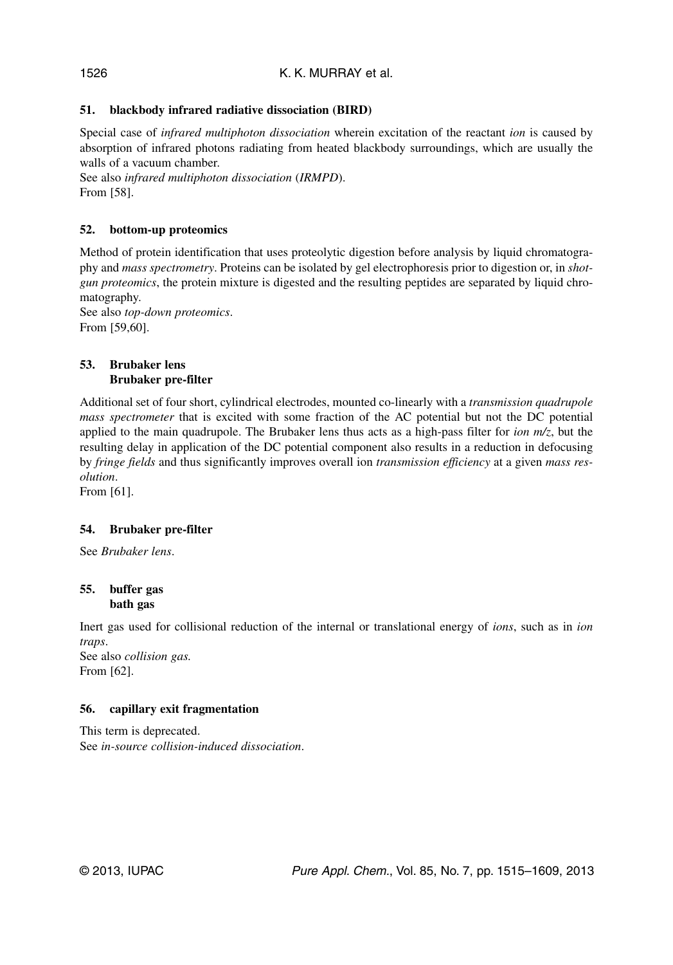## **51. blackbody infrared radiative dissociation (BIRD)**

Special case of *infrared multiphoton dissociation* wherein excitation of the reactant *ion* is caused by absorption of infrared photons radiating from heated blackbody surroundings, which are usually the walls of a vacuum chamber.

See also *infrared multiphoton dissociation* (*IRMPD*). From [58].

## **52. bottom-up proteomics**

Method of protein identification that uses proteolytic digestion before analysis by liquid chromatography and *mass spectrometry*. Proteins can be isolated by gel electrophoresis prior to digestion or, in *shotgun proteomics*, the protein mixture is digested and the resulting peptides are separated by liquid chromatography.

See also *top-down proteomics*. From [59,60].

#### **53. Brubaker lens Brubaker pre-filter**

Additional set of four short, cylindrical electrodes, mounted co-linearly with a *transmission quadrupole mass spectrometer* that is excited with some fraction of the AC potential but not the DC potential applied to the main quadrupole. The Brubaker lens thus acts as a high-pass filter for *ion m/z*, but the resulting delay in application of the DC potential component also results in a reduction in defocusing by *fringe fields* and thus significantly improves overall ion *transmission efficiency* at a given *mass resolution*.

From [61].

## **54. Brubaker pre-filter**

See *Brubaker lens*.

## **55. buffer gas bath gas**

Inert gas used for collisional reduction of the internal or translational energy of *ions*, such as in *ion traps*. See also *collision gas.*

From [62].

## **56. capillary exit fragmentation**

This term is deprecated. See *in-source collision-induced dissociation*.

1526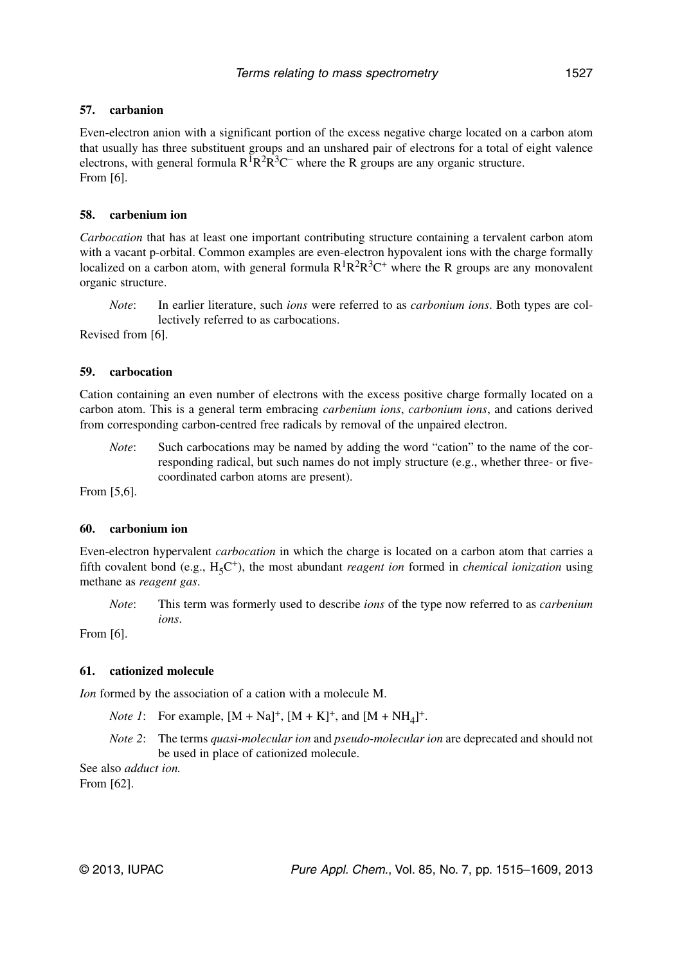## **57. carbanion**

Even-electron anion with a significant portion of the excess negative charge located on a carbon atom that usually has three substituent groups and an unshared pair of electrons for a total of eight valence electrons, with general formula  $R^1R^2R^3C$  where the R groups are any organic structure. From [6].

## **58. carbenium ion**

*Carbocation* that has at least one important contributing structure containing a tervalent carbon atom with a vacant p-orbital. Common examples are even-electron hypovalent ions with the charge formally localized on a carbon atom, with general formula  $R^1R^2R^3C^+$  where the R groups are any monovalent organic structure.

*Note*: In earlier literature, such *ions* were referred to as *carbonium ions*. Both types are collectively referred to as carbocations.

Revised from [6].

## **59. carbocation**

Cation containing an even number of electrons with the excess positive charge formally located on a carbon atom. This is a general term embracing *carbenium ions*, *carbonium ions*, and cations derived from corresponding carbon-centred free radicals by removal of the unpaired electron.

*Note*: Such carbocations may be named by adding the word "cation" to the name of the corresponding radical, but such names do not imply structure (e.g., whether three- or fivecoordinated carbon atoms are present).

From [5,6].

#### **60. carbonium ion**

Even-electron hypervalent *carbocation* in which the charge is located on a carbon atom that carries a fifth covalent bond (e.g., H<sub>5</sub>C<sup>+</sup>), the most abundant *reagent ion* formed in *chemical ionization* using methane as *reagent gas*.

*Note*: This term was formerly used to describe *ions* of the type now referred to as *carbenium ions*.

From [6].

## **61. cationized molecule**

*Ion* formed by the association of a cation with a molecule M.

- *Note 1*: For example,  $[M + Na]^+, [M + K]^+,$  and  $[M + NH_4]^+.$
- *Note 2*: The terms *quasi-molecular ion* and *pseudo-molecular ion* are deprecated and should not be used in place of cationized molecule.

See also *adduct ion.* From [62].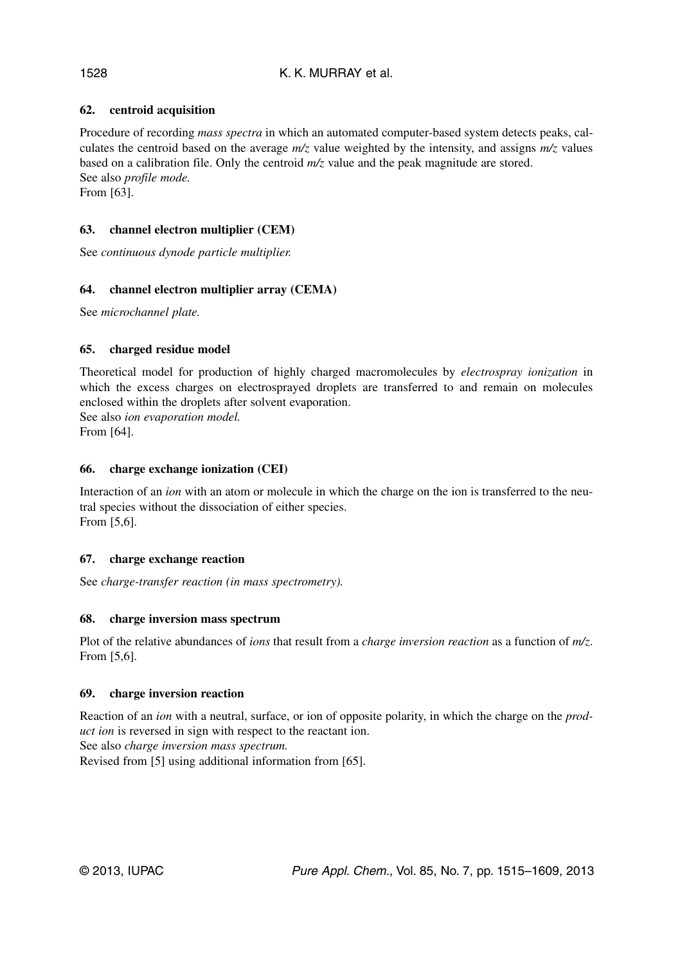## **62. centroid acquisition**

Procedure of recording *mass spectra* in which an automated computer-based system detects peaks, calculates the centroid based on the average *m/z* value weighted by the intensity, and assigns *m/z* values based on a calibration file. Only the centroid *m/z* value and the peak magnitude are stored. See also *profile mode.*

From [63].

## **63. channel electron multiplier (CEM)**

See *continuous dynode particle multiplier.*

## **64. channel electron multiplier array (CEMA)**

See *microchannel plate.*

## **65. charged residue model**

Theoretical model for production of highly charged macromolecules by *electrospray ionization* in which the excess charges on electrosprayed droplets are transferred to and remain on molecules enclosed within the droplets after solvent evaporation. See also *ion evaporation model.*

From [64].

## **66. charge exchange ionization (CEI)**

Interaction of an *ion* with an atom or molecule in which the charge on the ion is transferred to the neutral species without the dissociation of either species. From [5,6].

## **67. charge exchange reaction**

See *charge-transfer reaction (in mass spectrometry).*

## **68. charge inversion mass spectrum**

Plot of the relative abundances of *ions* that result from a *charge inversion reaction* as a function of *m/z*. From [5,6].

## **69. charge inversion reaction**

Reaction of an *ion* with a neutral, surface, or ion of opposite polarity, in which the charge on the *product ion* is reversed in sign with respect to the reactant ion.

See also *charge inversion mass spectrum.*

Revised from [5] using additional information from [65].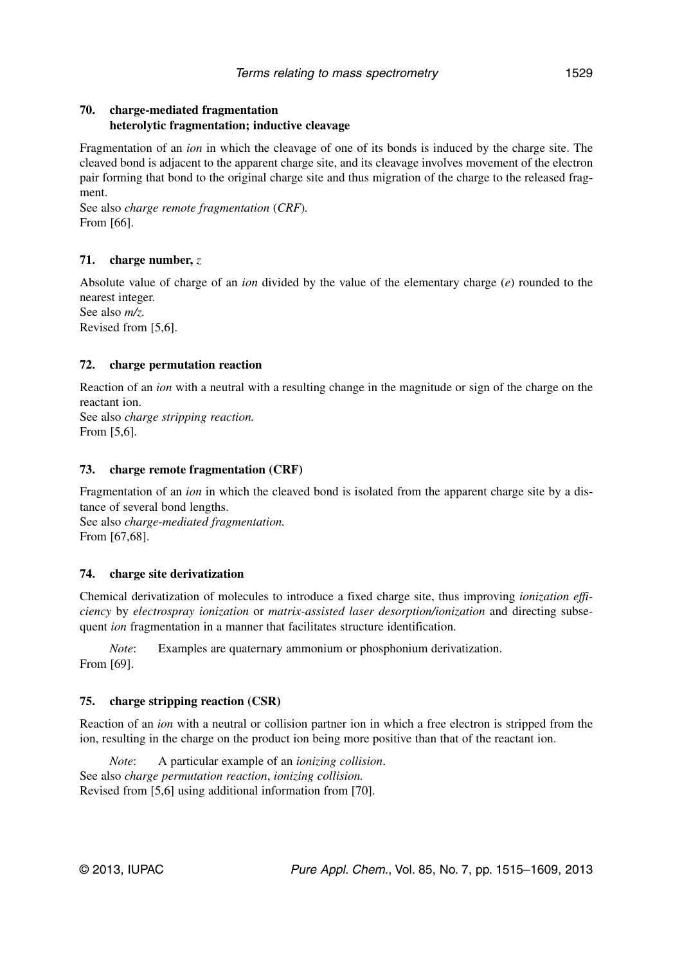## **70. charge-mediated fragmentation heterolytic fragmentation; inductive cleavage**

Fragmentation of an *ion* in which the cleavage of one of its bonds is induced by the charge site. The cleaved bond is adjacent to the apparent charge site, and its cleavage involves movement of the electron pair forming that bond to the original charge site and thus migration of the charge to the released fragment.

See also *charge remote fragmentation* (*CRF*)*.* From [66].

## **71. charge number,** *z*

Absolute value of charge of an *ion* divided by the value of the elementary charge (*e*) rounded to the nearest integer. See also *m/z.*

Revised from [5,6].

## **72. charge permutation reaction**

Reaction of an *ion* with a neutral with a resulting change in the magnitude or sign of the charge on the reactant ion.

See also *charge stripping reaction.* From [5,6].

## **73. charge remote fragmentation (CRF)**

Fragmentation of an *ion* in which the cleaved bond is isolated from the apparent charge site by a distance of several bond lengths.

See also *charge-mediated fragmentation.* From [67,68].

## **74. charge site derivatization**

Chemical derivatization of molecules to introduce a fixed charge site, thus improving *ionization efficiency* by *electrospray ionization* or *matrix-assisted laser desorption/ionization* and directing subsequent *ion* fragmentation in a manner that facilitates structure identification.

*Note*: Examples are quaternary ammonium or phosphonium derivatization. From [69].

## **75. charge stripping reaction (CSR)**

Reaction of an *ion* with a neutral or collision partner ion in which a free electron is stripped from the ion, resulting in the charge on the product ion being more positive than that of the reactant ion.

*Note*: A particular example of an *ionizing collision*. See also *charge permutation reaction*, *ionizing collision.* Revised from [5,6] using additional information from [70].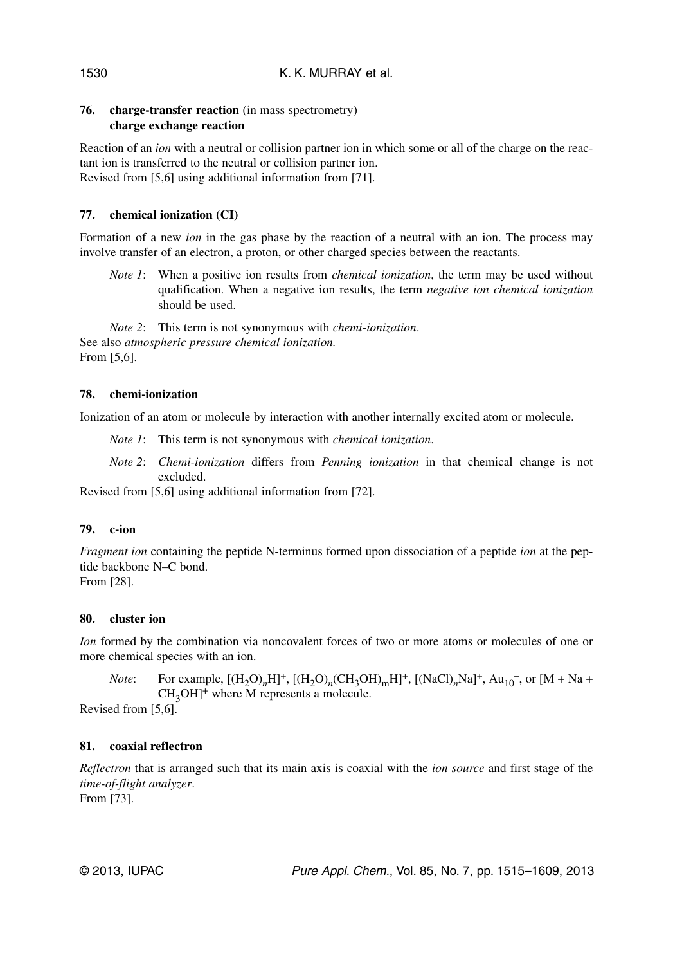## **76. charge-transfer reaction** (in mass spectrometry) **charge exchange reaction**

Reaction of an *ion* with a neutral or collision partner ion in which some or all of the charge on the reactant ion is transferred to the neutral or collision partner ion. Revised from [5,6] using additional information from [71].

## **77. chemical ionization (CI)**

Formation of a new *ion* in the gas phase by the reaction of a neutral with an ion. The process may involve transfer of an electron, a proton, or other charged species between the reactants.

*Note 1*: When a positive ion results from *chemical ionization*, the term may be used without qualification. When a negative ion results, the term *negative ion chemical ionization* should be used.

*Note 2*: This term is not synonymous with *chemi-ionization*. See also *atmospheric pressure chemical ionization.* From [5,6].

## **78. chemi-ionization**

Ionization of an atom or molecule by interaction with another internally excited atom or molecule.

*Note 1*: This term is not synonymous with *chemical ionization*.

*Note 2*: *Chemi-ionization* differs from *Penning ionization* in that chemical change is not excluded.

Revised from [5,6] using additional information from [72].

## **79. c-ion**

*Fragment ion* containing the peptide N-terminus formed upon dissociation of a peptide *ion* at the peptide backbone N–C bond. From [28].

## **80. cluster ion**

*Ion* formed by the combination via noncovalent forces of two or more atoms or molecules of one or more chemical species with an ion.

*Note*: For example,  $[(H_2O)_nH]^+$ ,  $[(H_2O)_n(CH_3OH)_mH]^+$ ,  $[(NaCl)_nNa]^+$ ,  $Au_{10}^-$ , or  $[M + Na +$  $CH<sub>3</sub>OH$ <sup>+</sup> where M represents a molecule.

Revised from [5,6].

## **81. coaxial reflectron**

*Reflectron* that is arranged such that its main axis is coaxial with the *ion source* and first stage of the *time-of-flight analyzer*.

From [73].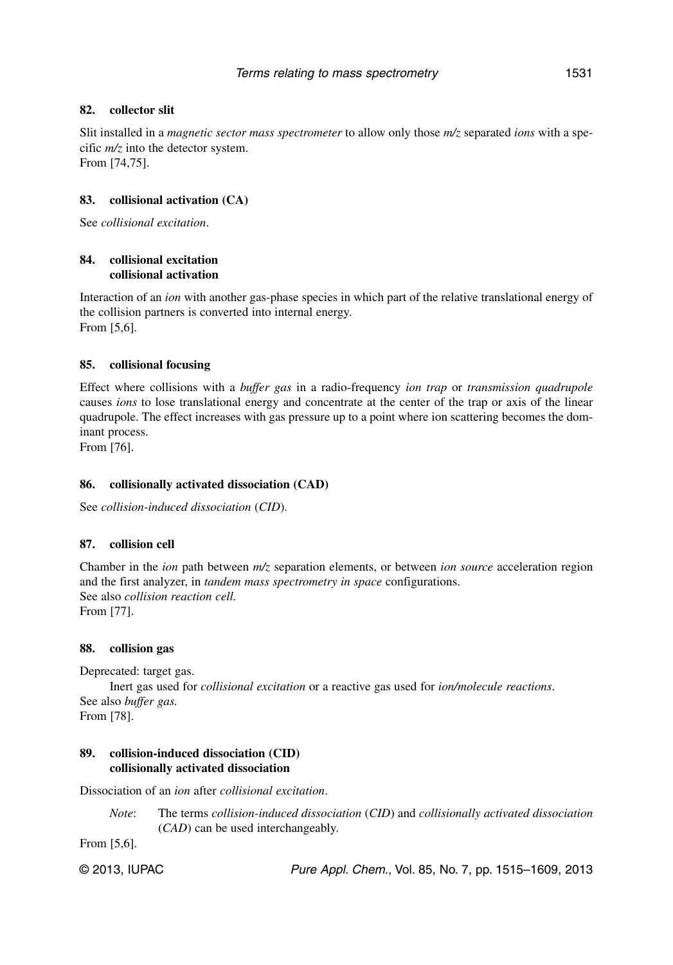## **82. collector slit**

Slit installed in a *magnetic sector mass spectrometer* to allow only those *m/z* separated *ions* with a specific *m/z* into the detector system. From [74,75].

## **83. collisional activation (CA)**

See *collisional excitation*.

## **84. collisional excitation collisional activation**

Interaction of an *ion* with another gas-phase species in which part of the relative translational energy of the collision partners is converted into internal energy. From [5,6].

## **85. collisional focusing**

Effect where collisions with a *buffer gas* in a radio-frequency *ion trap* or *transmission quadrupole* causes *ions* to lose translational energy and concentrate at the center of the trap or axis of the linear quadrupole. The effect increases with gas pressure up to a point where ion scattering becomes the dominant process.

From [76].

## **86. collisionally activated dissociation (CAD)**

See *collision-induced dissociation* (*CID*).

## **87. collision cell**

Chamber in the *ion* path between *m/z* separation elements, or between *ion source* acceleration region and the first analyzer, in *tandem mass spectrometry in space* configurations. See also *collision reaction cell.* From [77].

## **88. collision gas**

Deprecated: target gas.

Inert gas used for *collisional excitation* or a reactive gas used for *ion/molecule reactions*. See also *buffer gas.* From [78].

## **89. collision-induced dissociation (CID) collisionally activated dissociation**

Dissociation of an *ion* after *collisional excitation*.

*Note*: The terms *collision-induced dissociation* (*CID*) and *collisionally activated dissociation* (*CAD*) can be used interchangeably.

From [5,6].

© 2013, IUPAC **Pure Appl. Chem., Vol. 85, No. 7, pp. 1515–1609**, 2013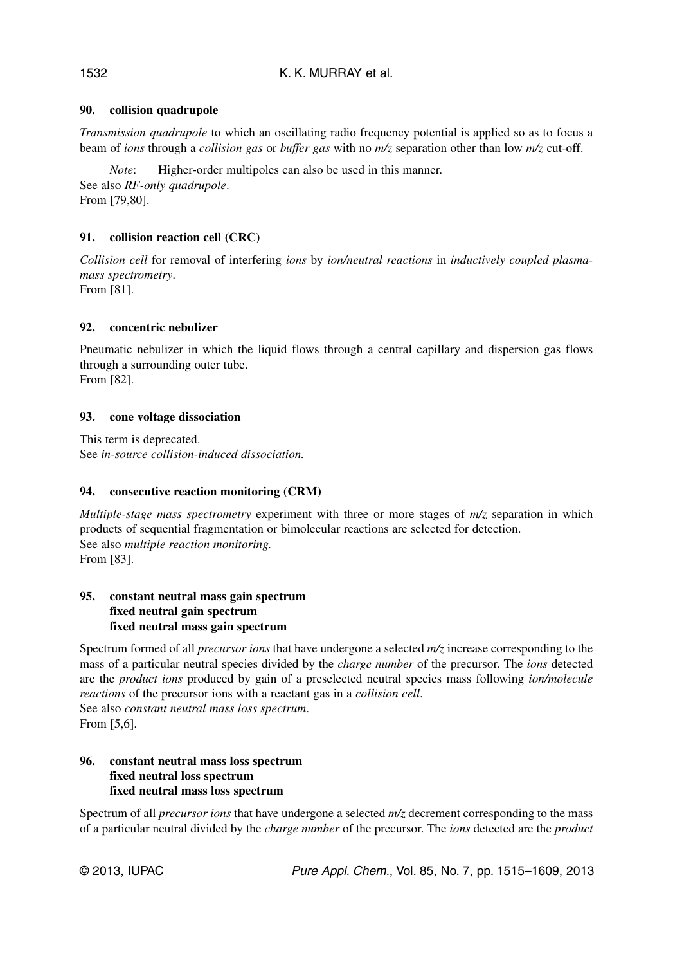## **90. collision quadrupole**

*Transmission quadrupole* to which an oscillating radio frequency potential is applied so as to focus a beam of *ions* through a *collision gas* or *buffer gas* with no *m/z* separation other than low *m/z* cut-off.

*Note*: Higher-order multipoles can also be used in this manner. See also *RF-only quadrupole*. From [79,80].

## **91. collision reaction cell (CRC)**

*Collision cell* for removal of interfering *ions* by *ion/neutral reactions* in *inductively coupled plasmamass spectrometry*.

From [81].

## **92. concentric nebulizer**

Pneumatic nebulizer in which the liquid flows through a central capillary and dispersion gas flows through a surrounding outer tube. From [82].

## **93. cone voltage dissociation**

This term is deprecated. See *in-source collision-induced dissociation.*

## **94. consecutive reaction monitoring (CRM)**

*Multiple-stage mass spectrometry* experiment with three or more stages of *m/z* separation in which products of sequential fragmentation or bimolecular reactions are selected for detection. See also *multiple reaction monitoring.* From [83].

## **95. constant neutral mass gain spectrum fixed neutral gain spectrum fixed neutral mass gain spectrum**

Spectrum formed of all *precursor ions* that have undergone a selected *m/z* increase corresponding to the mass of a particular neutral species divided by the *charge number* of the precursor. The *ions* detected are the *product ions* produced by gain of a preselected neutral species mass following *ion/molecule reactions* of the precursor ions with a reactant gas in a *collision cell*. See also *constant neutral mass loss spectrum*. From [5,6].

## **96. constant neutral mass loss spectrum fixed neutral loss spectrum fixed neutral mass loss spectrum**

Spectrum of all *precursor ions* that have undergone a selected *m/z* decrement corresponding to the mass of a particular neutral divided by the *charge number* of the precursor. The *ions* detected are the *product*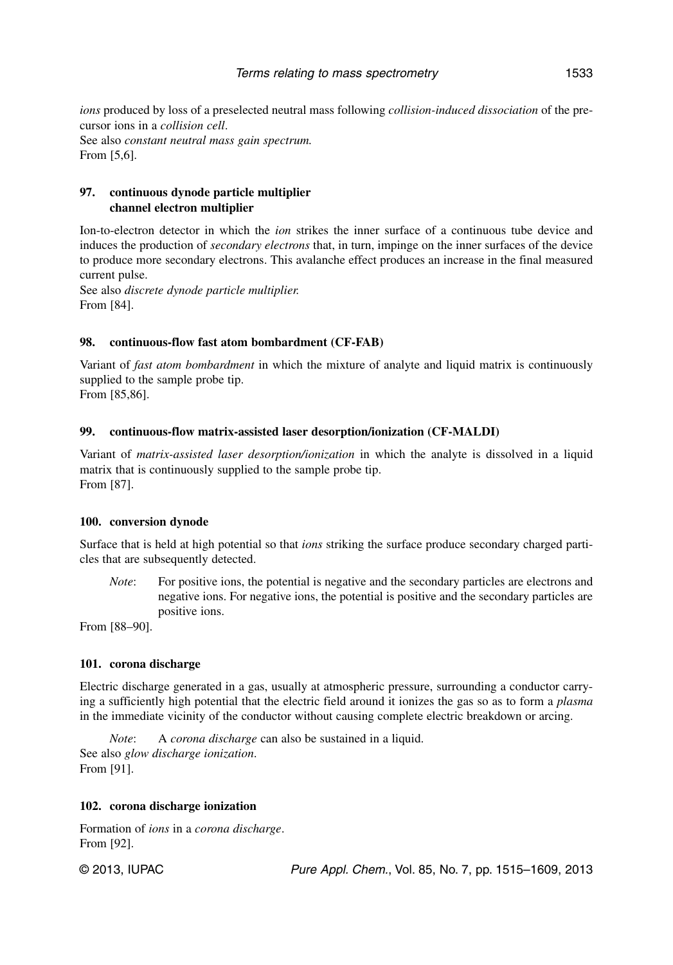*ions* produced by loss of a preselected neutral mass following *collision-induced dissociation* of the precursor ions in a *collision cell*. See also *constant neutral mass gain spectrum.* From [5,6].

## **97. continuous dynode particle multiplier channel electron multiplier**

Ion-to-electron detector in which the *ion* strikes the inner surface of a continuous tube device and induces the production of *secondary electrons* that, in turn, impinge on the inner surfaces of the device to produce more secondary electrons. This avalanche effect produces an increase in the final measured current pulse.

See also *discrete dynode particle multiplier.* From [84].

#### **98. continuous-flow fast atom bombardment (CF-FAB)**

Variant of *fast atom bombardment* in which the mixture of analyte and liquid matrix is continuously supplied to the sample probe tip.

From [85,86].

## **99. continuous-flow matrix-assisted laser desorption/ionization (CF-MALDI)**

Variant of *matrix-assisted laser desorption/ionization* in which the analyte is dissolved in a liquid matrix that is continuously supplied to the sample probe tip. From [87].

#### **100. conversion dynode**

Surface that is held at high potential so that *ions* striking the surface produce secondary charged particles that are subsequently detected.

*Note*: For positive ions, the potential is negative and the secondary particles are electrons and negative ions. For negative ions, the potential is positive and the secondary particles are positive ions.

From [88–90].

#### **101. corona discharge**

Electric discharge generated in a gas, usually at atmospheric pressure, surrounding a conductor carrying a sufficiently high potential that the electric field around it ionizes the gas so as to form a *plasma* in the immediate vicinity of the conductor without causing complete electric breakdown or arcing.

*Note*: A *corona discharge* can also be sustained in a liquid. See also *glow discharge ionization*. From [91].

#### **102. corona discharge ionization**

Formation of *ions* in a *corona discharge*. From [92].

© 2013, IUPAC **Pure Appl. Chem., Vol. 85, No. 7, pp. 1515–1609**, 2013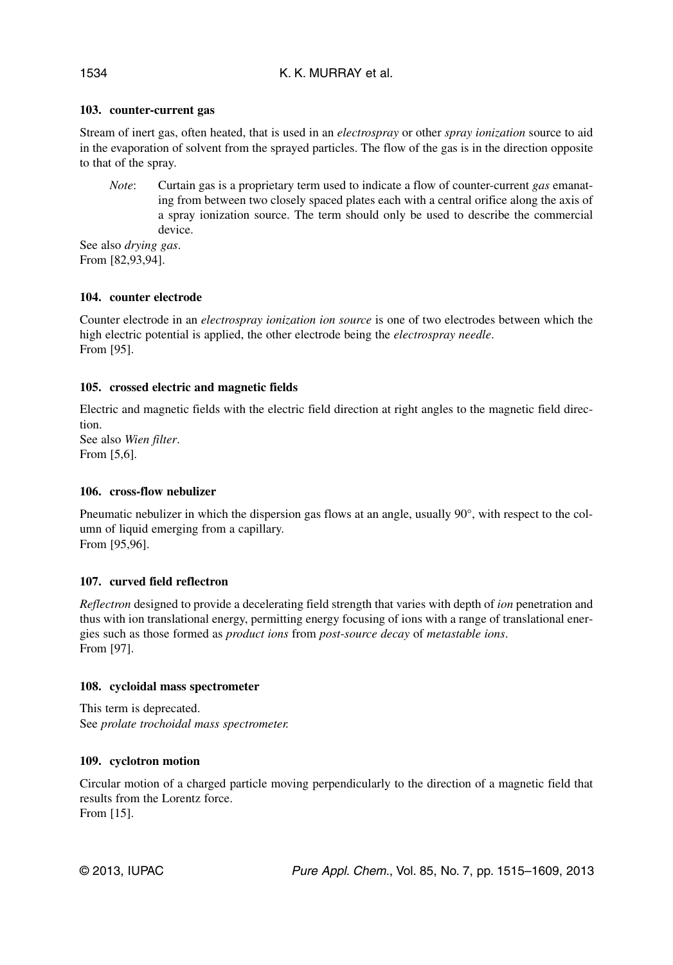## **103. counter-current gas**

Stream of inert gas, often heated, that is used in an *electrospray* or other *spray ionization* source to aid in the evaporation of solvent from the sprayed particles. The flow of the gas is in the direction opposite to that of the spray.

*Note*: Curtain gas is a proprietary term used to indicate a flow of counter-current *gas* emanating from between two closely spaced plates each with a central orifice along the axis of a spray ionization source. The term should only be used to describe the commercial device.

See also *drying gas*. From [82,93,94].

## **104. counter electrode**

Counter electrode in an *electrospray ionization ion source* is one of two electrodes between which the high electric potential is applied, the other electrode being the *electrospray needle*. From [95].

## **105. crossed electric and magnetic fields**

Electric and magnetic fields with the electric field direction at right angles to the magnetic field direction.

See also *Wien filter*. From [5,6].

## **106. cross-flow nebulizer**

Pneumatic nebulizer in which the dispersion gas flows at an angle, usually 90°, with respect to the column of liquid emerging from a capillary. From [95,96].

## **107. curved field reflectron**

*Reflectron* designed to provide a decelerating field strength that varies with depth of *ion* penetration and thus with ion translational energy, permitting energy focusing of ions with a range of translational energies such as those formed as *product ions* from *post-source decay* of *metastable ions*. From [97].

## **108. cycloidal mass spectrometer**

This term is deprecated. See *prolate trochoidal mass spectrometer.*

## **109. cyclotron motion**

Circular motion of a charged particle moving perpendicularly to the direction of a magnetic field that results from the Lorentz force. From [15].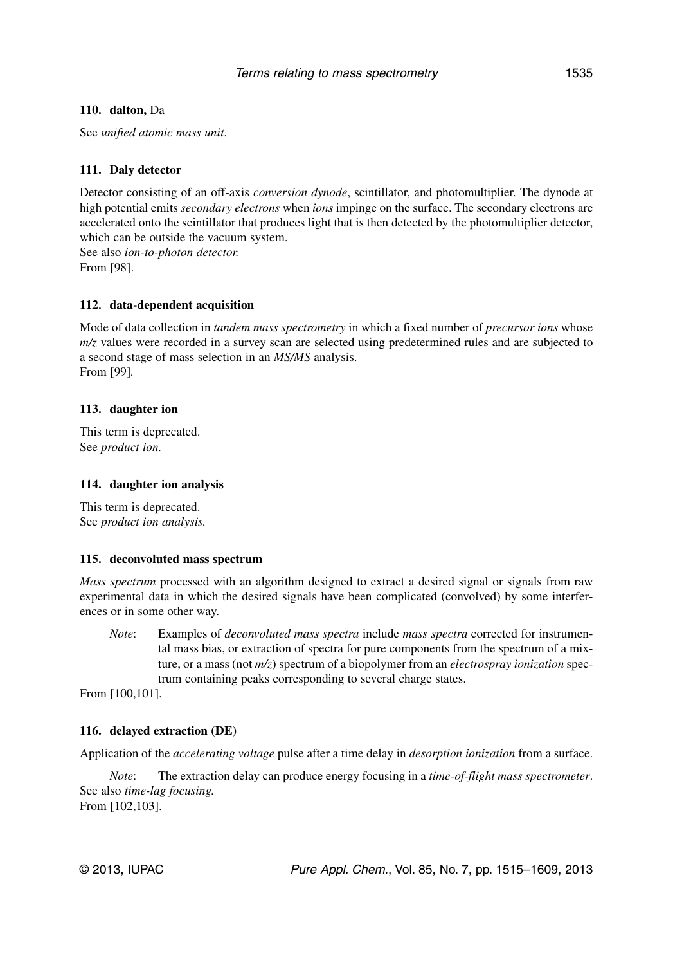#### Terms relating to mass spectrometry 1535

#### **110. dalton,** Da

See *unified atomic mass unit*.

## **111. Daly detector**

Detector consisting of an off-axis *conversion dynode*, scintillator, and photomultiplier. The dynode at high potential emits *secondary electrons* when *ions* impinge on the surface. The secondary electrons are accelerated onto the scintillator that produces light that is then detected by the photomultiplier detector, which can be outside the vacuum system.

See also *ion-to-photon detector.* From [98].

## **112. data-dependent acquisition**

Mode of data collection in *tandem mass spectrometry* in which a fixed number of *precursor ions* whose *m/z* values were recorded in a survey scan are selected using predetermined rules and are subjected to a second stage of mass selection in an *MS/MS* analysis. From [99]*.*

## **113. daughter ion**

This term is deprecated. See *product ion.*

#### **114. daughter ion analysis**

This term is deprecated. See *product ion analysis.*

#### **115. deconvoluted mass spectrum**

*Mass spectrum* processed with an algorithm designed to extract a desired signal or signals from raw experimental data in which the desired signals have been complicated (convolved) by some interferences or in some other way.

*Note*: Examples of *deconvoluted mass spectra* include *mass spectra* corrected for instrumental mass bias, or extraction of spectra for pure components from the spectrum of a mixture, or a mass (not *m/z*) spectrum of a biopolymer from an *electrospray ionization* spectrum containing peaks corresponding to several charge states.

From [100,101].

#### **116. delayed extraction (DE)**

Application of the *accelerating voltage* pulse after a time delay in *desorption ionization* from a surface.

*Note*: The extraction delay can produce energy focusing in a *time-of-flight mass spectrometer*. See also *time-lag focusing.* From [102,103].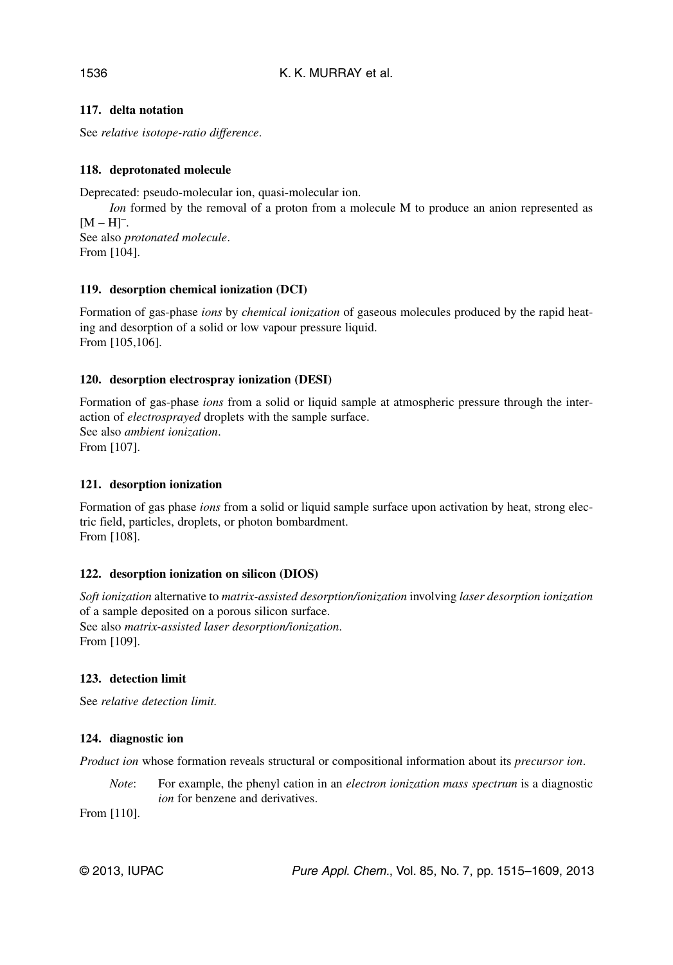## **117. delta notation**

See *relative isotope-ratio difference*.

## **118. deprotonated molecule**

Deprecated: pseudo-molecular ion, quasi-molecular ion.

*Ion* formed by the removal of a proton from a molecule M to produce an anion represented as  $[M-H]$ <sup>-</sup>. See also *protonated molecule*. From [104].

## **119. desorption chemical ionization (DCI)**

Formation of gas-phase *ions* by *chemical ionization* of gaseous molecules produced by the rapid heating and desorption of a solid or low vapour pressure liquid. From [105,106].

## **120. desorption electrospray ionization (DESI)**

Formation of gas-phase *ions* from a solid or liquid sample at atmospheric pressure through the interaction of *electrosprayed* droplets with the sample surface. See also *ambient ionization*. From [107].

#### **121. desorption ionization**

Formation of gas phase *ions* from a solid or liquid sample surface upon activation by heat, strong electric field, particles, droplets, or photon bombardment. From [108].

## **122. desorption ionization on silicon (DIOS)**

*Soft ionization* alternative to *matrix-assisted desorption/ionization* involving *laser desorption ionization* of a sample deposited on a porous silicon surface. See also *matrix-assisted laser desorption/ionization*. From [109].

#### **123. detection limit**

See *relative detection limit.*

#### **124. diagnostic ion**

*Product ion* whose formation reveals structural or compositional information about its *precursor ion*.

*Note*: For example, the phenyl cation in an *electron ionization mass spectrum* is a diagnostic *ion* for benzene and derivatives.

From [110].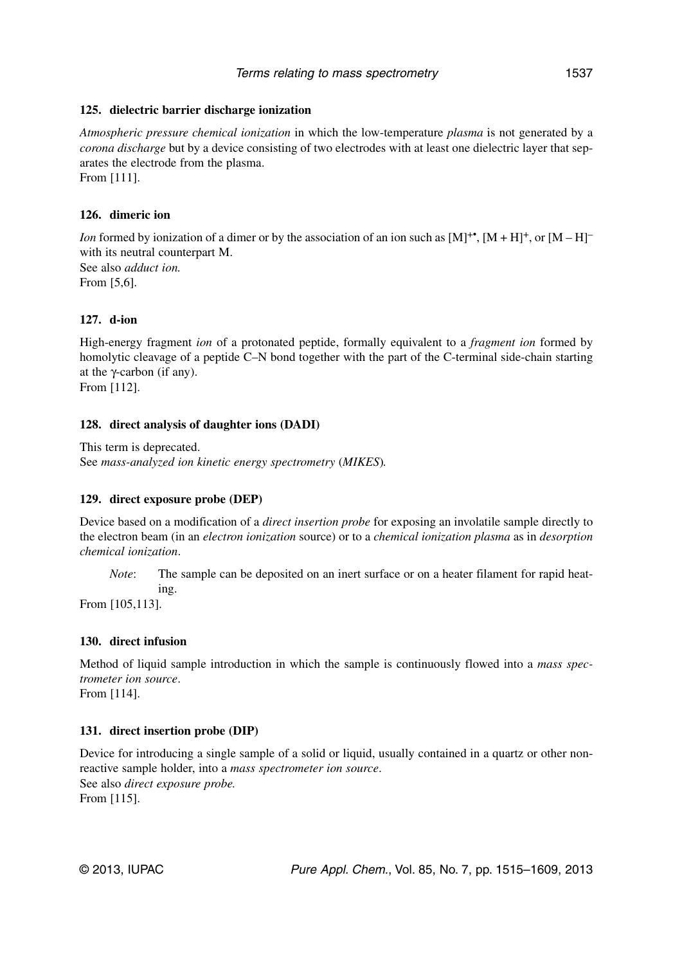## **125. dielectric barrier discharge ionization**

*Atmospheric pressure chemical ionization* in which the low-temperature *plasma* is not generated by a *corona discharge* but by a device consisting of two electrodes with at least one dielectric layer that separates the electrode from the plasma.

From [111].

## **126. dimeric ion**

*Ion* formed by ionization of a dimer or by the association of an ion such as  $[M]^{+*}$ ,  $[M + H]^{+}$ , or  $[M - H]^{-}$ with its neutral counterpart M. See also *adduct ion.* From [5,6].

## **127. d-ion**

High-energy fragment *ion* of a protonated peptide, formally equivalent to a *fragment ion* formed by homolytic cleavage of a peptide C–N bond together with the part of the C-terminal side-chain starting at the γ-carbon (if any).

From [112].

## **128. direct analysis of daughter ions (DADI)**

This term is deprecated. See *mass-analyzed ion kinetic energy spectrometry* (*MIKES*)*.*

## **129. direct exposure probe (DEP)**

Device based on a modification of a *direct insertion probe* for exposing an involatile sample directly to the electron beam (in an *electron ionization* source) or to a *chemical ionization plasma* as in *desorption chemical ionization*.

*Note*: The sample can be deposited on an inert surface or on a heater filament for rapid heating.

From [105,113].

## **130. direct infusion**

Method of liquid sample introduction in which the sample is continuously flowed into a *mass spectrometer ion source*.

From [114].

## **131. direct insertion probe (DIP)**

Device for introducing a single sample of a solid or liquid, usually contained in a quartz or other nonreactive sample holder, into a *mass spectrometer ion source*. See also *direct exposure probe.* From [115].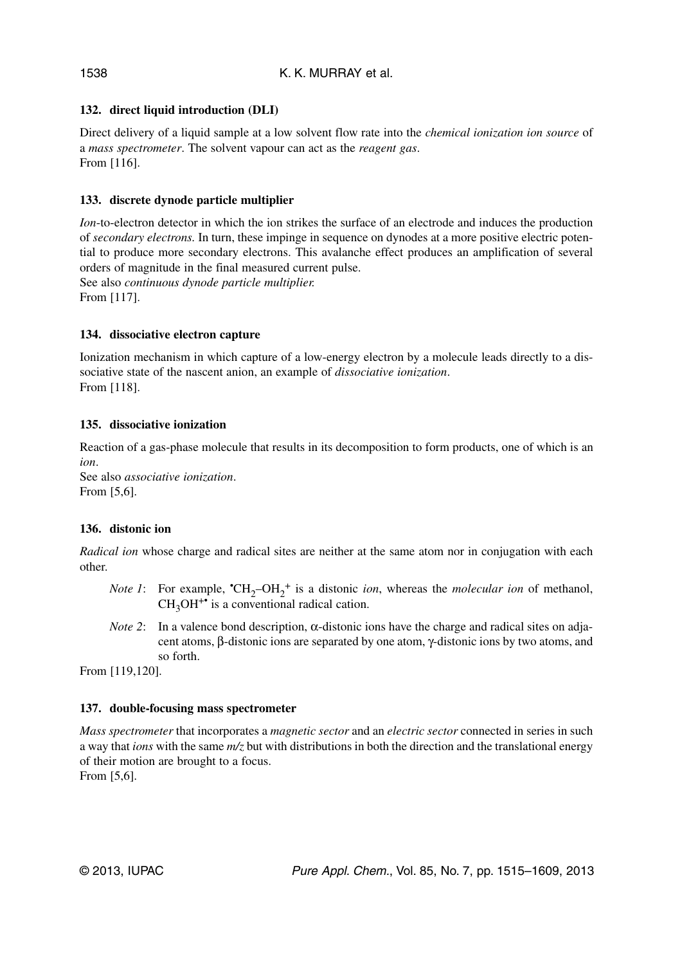## **132. direct liquid introduction (DLI)**

Direct delivery of a liquid sample at a low solvent flow rate into the *chemical ionization ion source* of a *mass spectrometer*. The solvent vapour can act as the *reagent gas*. From [116].

## **133. discrete dynode particle multiplier**

*Ion*-to-electron detector in which the ion strikes the surface of an electrode and induces the production of *secondary electrons.* In turn, these impinge in sequence on dynodes at a more positive electric potential to produce more secondary electrons. This avalanche effect produces an amplification of several orders of magnitude in the final measured current pulse. See also *continuous dynode particle multiplier.*

From [117].

## **134. dissociative electron capture**

Ionization mechanism in which capture of a low-energy electron by a molecule leads directly to a dissociative state of the nascent anion, an example of *dissociative ionization*. From [118].

## **135. dissociative ionization**

Reaction of a gas-phase molecule that results in its decomposition to form products, one of which is an *ion*.

See also *associative ionization*. From [5,6].

## **136. distonic ion**

*Radical ion* whose charge and radical sites are neither at the same atom nor in conjugation with each other.

- *Note 1*: For example,  $\text{ }^{\bullet}CH_{2}-OH_{2}^{+}$  is a distonic *ion*, whereas the *molecular ion* of methanol,  $CH<sub>3</sub>OH<sup>+</sup>$  is a conventional radical cation.
- *Note 2*: In a valence bond description, α-distonic ions have the charge and radical sites on adjacent atoms, β-distonic ions are separated by one atom, γ-distonic ions by two atoms, and so forth.

From [119,120].

## **137. double-focusing mass spectrometer**

*Mass spectrometer* that incorporates a *magnetic sector* and an *electric sector* connected in series in such a way that *ions* with the same *m/z* but with distributions in both the direction and the translational energy of their motion are brought to a focus. From [5,6].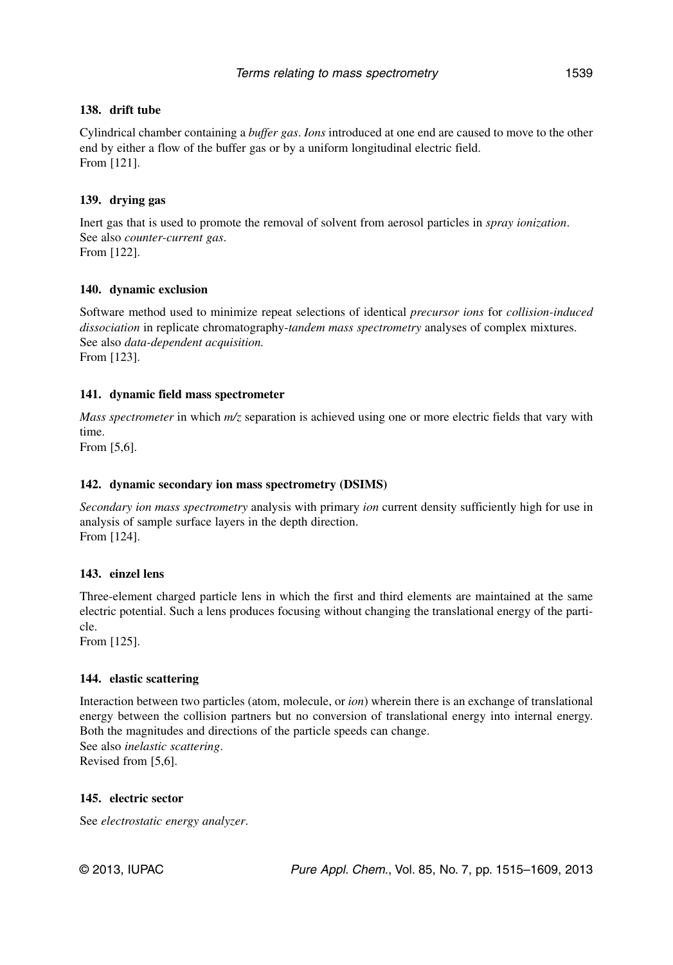## **138. drift tube**

Cylindrical chamber containing a *buffer gas*. *Ions* introduced at one end are caused to move to the other end by either a flow of the buffer gas or by a uniform longitudinal electric field. From [121].

## **139. drying gas**

Inert gas that is used to promote the removal of solvent from aerosol particles in *spray ionization*. See also *counter-current gas*. From [122].

## **140. dynamic exclusion**

Software method used to minimize repeat selections of identical *precursor ions* for *collision-induced dissociation* in replicate chromatography-*tandem mass spectrometry* analyses of complex mixtures. See also *data-dependent acquisition.* From [123].

## **141. dynamic field mass spectrometer**

*Mass spectrometer* in which  $m/z$  separation is achieved using one or more electric fields that vary with time.

From [5,6].

## **142. dynamic secondary ion mass spectrometry (DSIMS)**

*Secondary ion mass spectrometry* analysis with primary *ion* current density sufficiently high for use in analysis of sample surface layers in the depth direction. From [124].

## **143. einzel lens**

Three-element charged particle lens in which the first and third elements are maintained at the same electric potential. Such a lens produces focusing without changing the translational energy of the particle.

From [125].

## **144. elastic scattering**

Interaction between two particles (atom, molecule, or *ion*) wherein there is an exchange of translational energy between the collision partners but no conversion of translational energy into internal energy. Both the magnitudes and directions of the particle speeds can change. See also *inelastic scattering*. Revised from [5,6].

## **145. electric sector**

See *electrostatic energy analyzer*.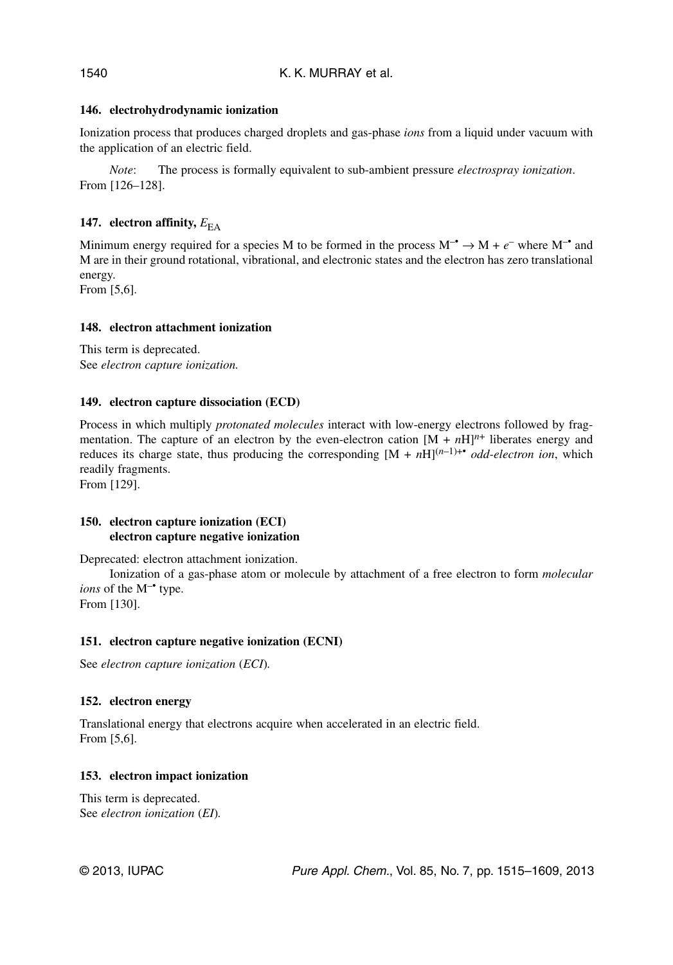## **146. electrohydrodynamic ionization**

Ionization process that produces charged droplets and gas-phase *ions* from a liquid under vacuum with the application of an electric field.

*Note*: The process is formally equivalent to sub-ambient pressure *electrospray ionization*. From [126–128].

## **147.** electron affinity,  $E_{FA}$

Minimum energy required for a species M to be formed in the process  $M^{-\bullet} \to M + e^{-\bullet}$  where  $M^{-\bullet}$  and M are in their ground rotational, vibrational, and electronic states and the electron has zero translational energy.

From [5,6].

#### **148. electron attachment ionization**

This term is deprecated. See *electron capture ionization.*

#### **149. electron capture dissociation (ECD)**

Process in which multiply *protonated molecules* interact with low-energy electrons followed by fragmentation. The capture of an electron by the even-electron cation  $[M + nH]^{n+}$  liberates energy and reduces its charge state, thus producing the corresponding  $[M + nH]^{(n-1)+\bullet}$  *odd-electron ion*, which readily fragments.

From [129].

## **150. electron capture ionization (ECI) electron capture negative ionization**

Deprecated: electron attachment ionization.

Ionization of a gas-phase atom or molecule by attachment of a free electron to form *molecular ions* of the M<sup>-•</sup> type. From [130].

#### **151. electron capture negative ionization (ECNI)**

See *electron capture ionization* (*ECI*)*.*

#### **152. electron energy**

Translational energy that electrons acquire when accelerated in an electric field. From [5,6].

#### **153. electron impact ionization**

This term is deprecated. See *electron ionization* (*EI*)*.*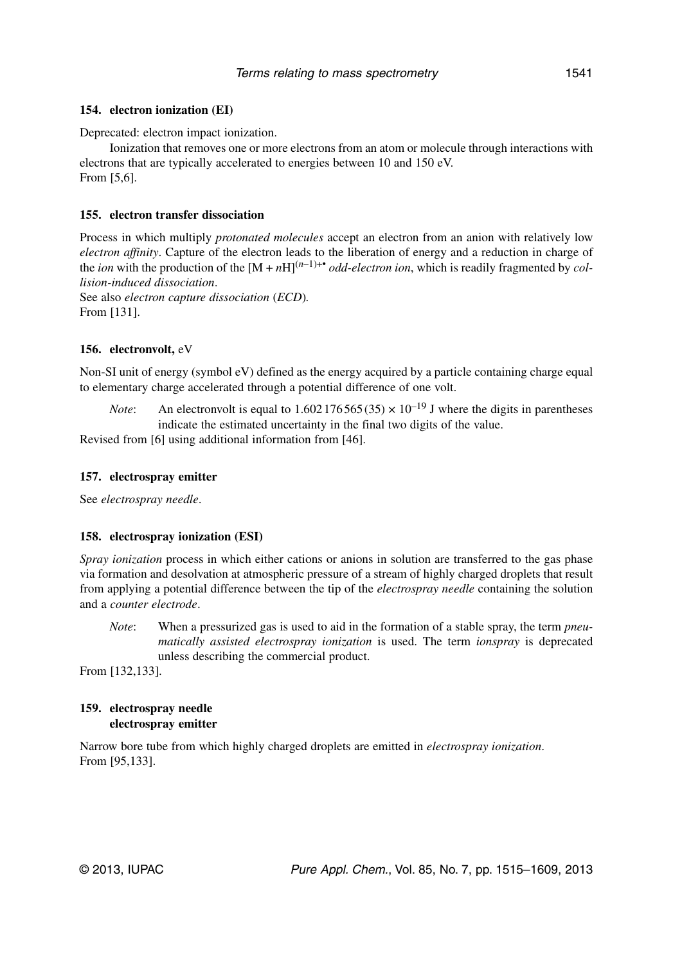#### **154. electron ionization (EI)**

Deprecated: electron impact ionization.

Ionization that removes one or more electrons from an atom or molecule through interactions with electrons that are typically accelerated to energies between 10 and 150 eV. From [5,6].

## **155. electron transfer dissociation**

Process in which multiply *protonated molecules* accept an electron from an anion with relatively low *electron affinity*. Capture of the electron leads to the liberation of energy and a reduction in charge of the *ion* with the production of the  $[M + nH]^{(n-1)+\bullet}$  *odd-electron ion*, which is readily fragmented by *collision-induced dissociation*.

See also *electron capture dissociation* (*ECD*)*.* From [131].

## **156. electronvolt,** eV

Non-SI unit of energy (symbol eV) defined as the energy acquired by a particle containing charge equal to elementary charge accelerated through a potential difference of one volt.

*Note*: An electronvolt is equal to 1.602 176 565 (35)  $\times$  10<sup>-19</sup> J where the digits in parentheses indicate the estimated uncertainty in the final two digits of the value.

Revised from [6] using additional information from [46].

## **157. electrospray emitter**

See *electrospray needle*.

#### **158. electrospray ionization (ESI)**

*Spray ionization* process in which either cations or anions in solution are transferred to the gas phase via formation and desolvation at atmospheric pressure of a stream of highly charged droplets that result from applying a potential difference between the tip of the *electrospray needle* containing the solution and a *counter electrode*.

*Note*: When a pressurized gas is used to aid in the formation of a stable spray, the term *pneumatically assisted electrospray ionization* is used. The term *ionspray* is deprecated unless describing the commercial product.

From [132,133].

## **159. electrospray needle electrospray emitter**

Narrow bore tube from which highly charged droplets are emitted in *electrospray ionization*. From [95,133].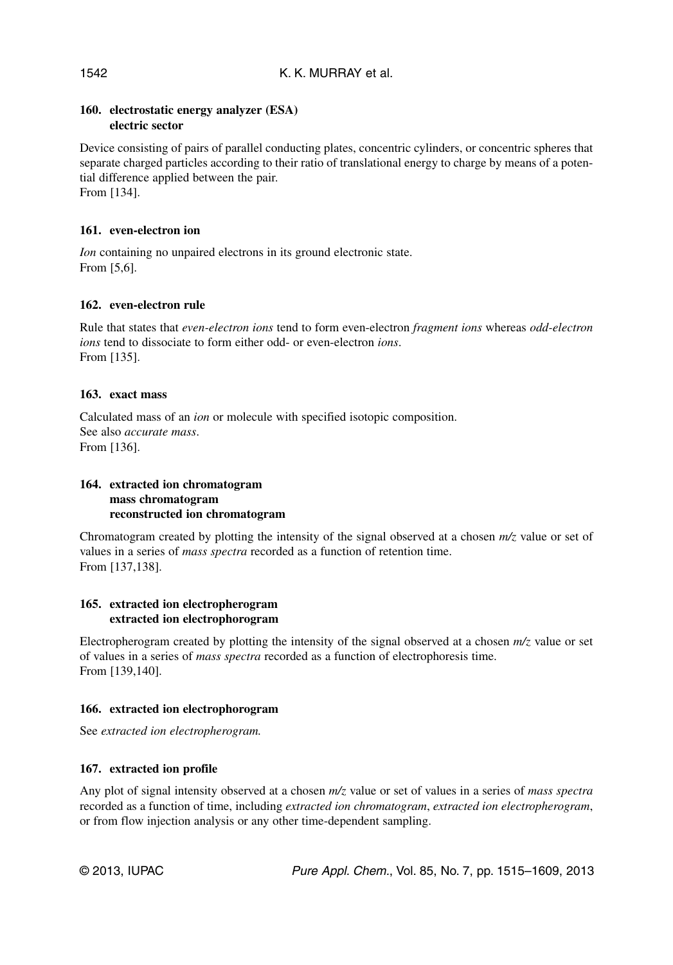## **160. electrostatic energy analyzer (ESA) electric sector**

Device consisting of pairs of parallel conducting plates, concentric cylinders, or concentric spheres that separate charged particles according to their ratio of translational energy to charge by means of a potential difference applied between the pair. From [134].

**161. even-electron ion**

*Ion* containing no unpaired electrons in its ground electronic state. From [5,6].

## **162. even-electron rule**

Rule that states that *even-electron ions* tend to form even-electron *fragment ions* whereas *odd-electron ions* tend to dissociate to form either odd- or even-electron *ions*. From [135].

#### **163. exact mass**

Calculated mass of an *ion* or molecule with specified isotopic composition. See also *accurate mass*. From [136].

## **164. extracted ion chromatogram mass chromatogram reconstructed ion chromatogram**

Chromatogram created by plotting the intensity of the signal observed at a chosen *m/z* value or set of values in a series of *mass spectra* recorded as a function of retention time. From [137,138].

#### **165. extracted ion electropherogram extracted ion electrophorogram**

Electropherogram created by plotting the intensity of the signal observed at a chosen *m/z* value or set of values in a series of *mass spectra* recorded as a function of electrophoresis time. From [139,140].

#### **166. extracted ion electrophorogram**

See *extracted ion electropherogram.*

## **167. extracted ion profile**

Any plot of signal intensity observed at a chosen *m/z* value or set of values in a series of *mass spectra* recorded as a function of time, including *extracted ion chromatogram*, *extracted ion electropherogram*, or from flow injection analysis or any other time-dependent sampling.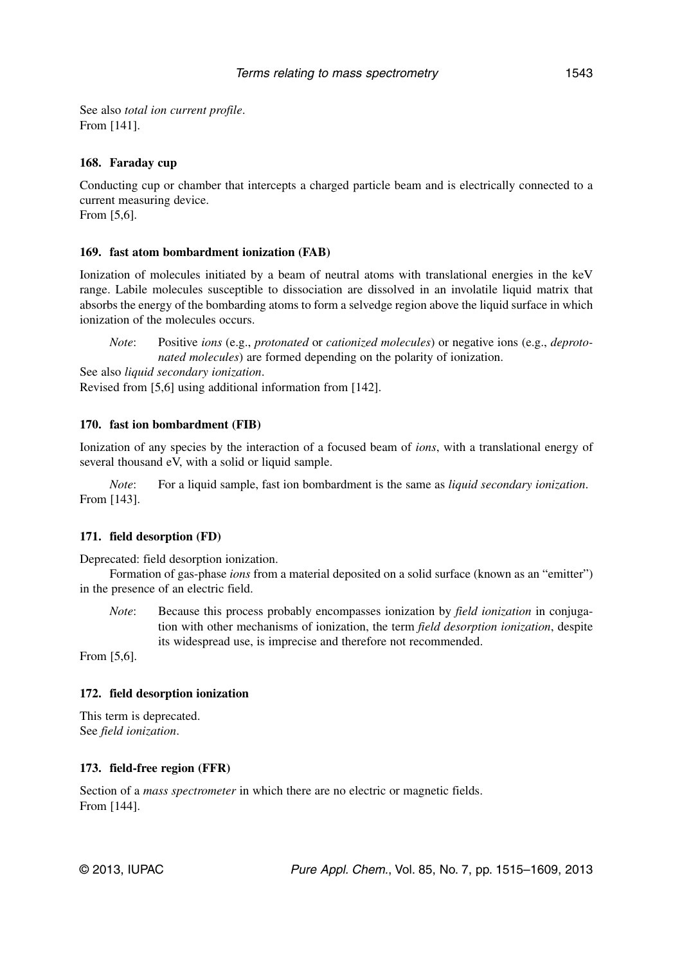See also *total ion current profile*. From [141].

#### **168. Faraday cup**

Conducting cup or chamber that intercepts a charged particle beam and is electrically connected to a current measuring device. From [5,6].

## **169. fast atom bombardment ionization (FAB)**

Ionization of molecules initiated by a beam of neutral atoms with translational energies in the keV range. Labile molecules susceptible to dissociation are dissolved in an involatile liquid matrix that absorbs the energy of the bombarding atoms to form a selvedge region above the liquid surface in which ionization of the molecules occurs.

*Note*: Positive *ions* (e.g., *protonated* or *cationized molecules*) or negative ions (e.g., *deprotonated molecules*) are formed depending on the polarity of ionization.

See also *liquid secondary ionization*.

Revised from [5,6] using additional information from [142].

## **170. fast ion bombardment (FIB)**

Ionization of any species by the interaction of a focused beam of *ions*, with a translational energy of several thousand eV, with a solid or liquid sample.

*Note*: For a liquid sample, fast ion bombardment is the same as *liquid secondary ionization*. From [143].

#### **171. field desorption (FD)**

Deprecated: field desorption ionization.

Formation of gas-phase *ions* from a material deposited on a solid surface (known as an "emitter") in the presence of an electric field.

*Note*: Because this process probably encompasses ionization by *field ionization* in conjugation with other mechanisms of ionization, the term *field desorption ionization*, despite its widespread use, is imprecise and therefore not recommended.

From [5,6].

#### **172. field desorption ionization**

This term is deprecated. See *field ionization*.

#### **173. field-free region (FFR)**

Section of a *mass spectrometer* in which there are no electric or magnetic fields. From [144].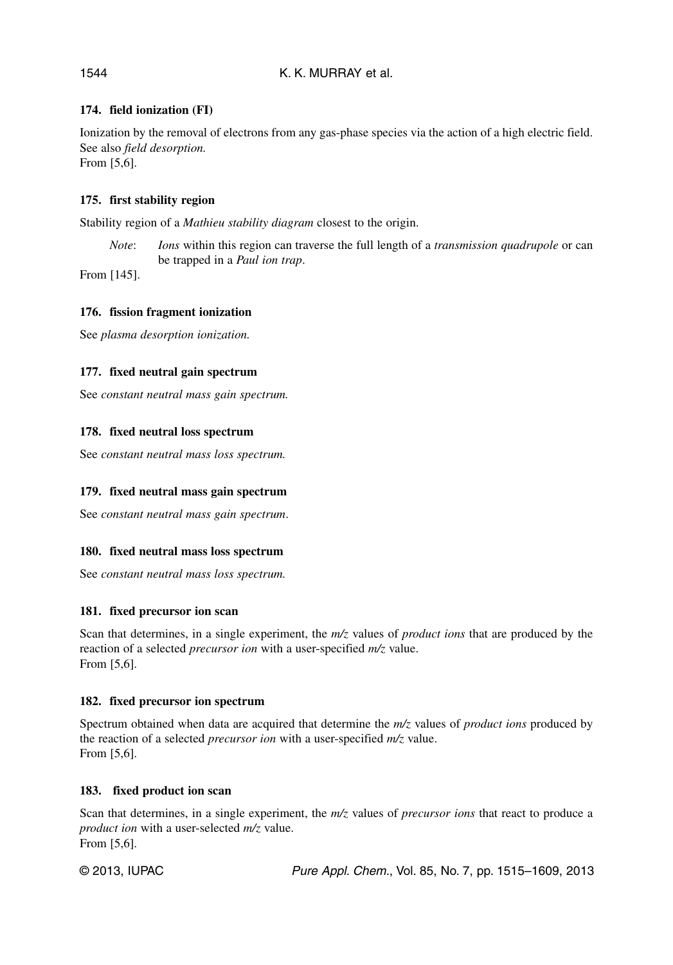## K. K. MURRAY et al.

## **174. field ionization (FI)**

Ionization by the removal of electrons from any gas-phase species via the action of a high electric field. See also *field desorption.* From [5,6].

#### **175. first stability region**

Stability region of a *Mathieu stability diagram* closest to the origin.

*Note*: *Ions* within this region can traverse the full length of a *transmission quadrupole* or can be trapped in a *Paul ion trap*.

From [145].

## **176. fission fragment ionization**

See *plasma desorption ionization.*

#### **177. fixed neutral gain spectrum**

See *constant neutral mass gain spectrum.*

## **178. fixed neutral loss spectrum**

See *constant neutral mass loss spectrum.*

#### **179. fixed neutral mass gain spectrum**

See *constant neutral mass gain spectrum*.

#### **180. fixed neutral mass loss spectrum**

See *constant neutral mass loss spectrum.*

#### **181. fixed precursor ion scan**

Scan that determines, in a single experiment, the *m/z* values of *product ions* that are produced by the reaction of a selected *precursor ion* with a user-specified *m/z* value. From [5,6].

#### **182. fixed precursor ion spectrum**

Spectrum obtained when data are acquired that determine the *m/z* values of *product ions* produced by the reaction of a selected *precursor ion* with a user-specified *m/z* value. From [5,6].

#### **183. fixed product ion scan**

Scan that determines, in a single experiment, the *m/z* values of *precursor ions* that react to produce a *product ion* with a user-selected *m/z* value. From [5,6].

© 2013, IUPAC **Pure Appl. Chem., Vol. 85, No. 7, pp. 1515–1609**, 2013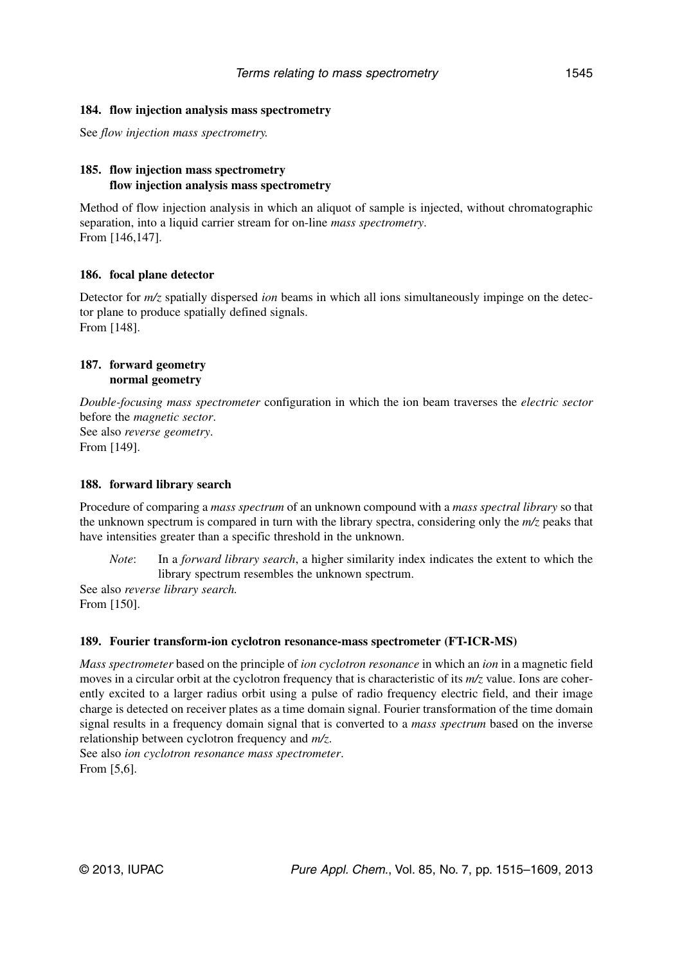See *flow injection mass spectrometry.*

## **185. flow injection mass spectrometry flow injection analysis mass spectrometry**

Method of flow injection analysis in which an aliquot of sample is injected, without chromatographic separation, into a liquid carrier stream for on-line *mass spectrometry*. From [146,147].

## **186. focal plane detector**

Detector for *m/z* spatially dispersed *ion* beams in which all ions simultaneously impinge on the detector plane to produce spatially defined signals. From [148].

#### **187. forward geometry normal geometry**

*Double-focusing mass spectrometer* configuration in which the ion beam traverses the *electric sector* before the *magnetic sector*. See also *reverse geometry*.

From [149].

#### **188. forward library search**

Procedure of comparing a *mass spectrum* of an unknown compound with a *mass spectral library* so that the unknown spectrum is compared in turn with the library spectra, considering only the *m/z* peaks that have intensities greater than a specific threshold in the unknown.

*Note*: In a *forward library search*, a higher similarity index indicates the extent to which the library spectrum resembles the unknown spectrum.

See also *reverse library search.* From [150].

#### **189. Fourier transform-ion cyclotron resonance-mass spectrometer (FT-ICR-MS)**

*Mass spectrometer* based on the principle of *ion cyclotron resonance* in which an *ion* in a magnetic field moves in a circular orbit at the cyclotron frequency that is characteristic of its *m/z* value. Ions are coherently excited to a larger radius orbit using a pulse of radio frequency electric field, and their image charge is detected on receiver plates as a time domain signal. Fourier transformation of the time domain signal results in a frequency domain signal that is converted to a *mass spectrum* based on the inverse relationship between cyclotron frequency and *m/z*.

See also *ion cyclotron resonance mass spectrometer*. From [5,6].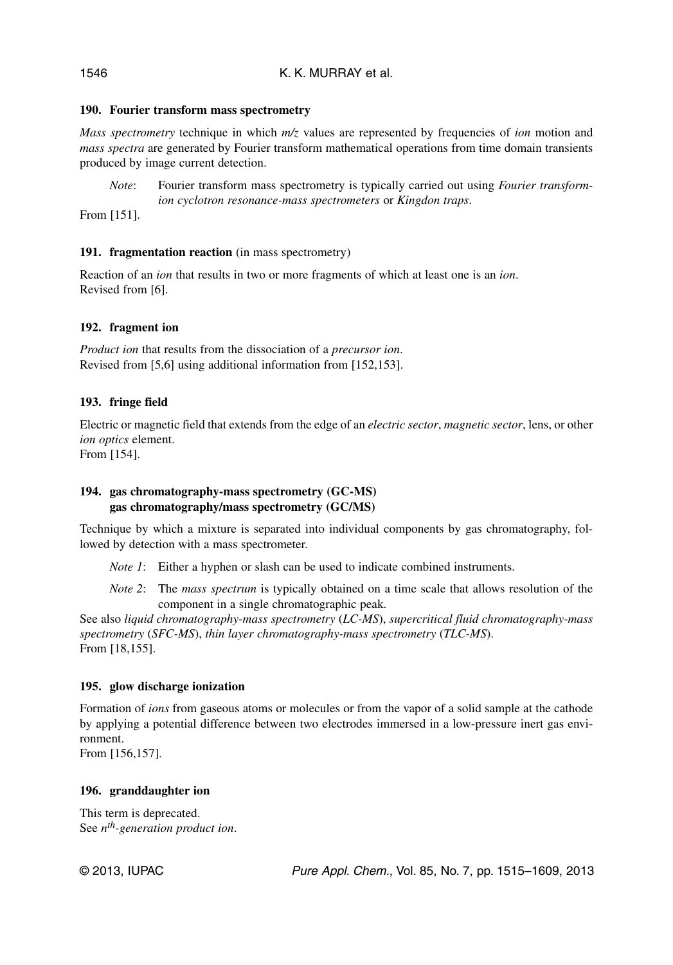## **190. Fourier transform mass spectrometry**

*Mass spectrometry* technique in which *m/z* values are represented by frequencies of *ion* motion and *mass spectra* are generated by Fourier transform mathematical operations from time domain transients produced by image current detection.

*Note*: Fourier transform mass spectrometry is typically carried out using *Fourier transformion cyclotron resonance-mass spectrometers* or *Kingdon traps*.

From [151].

## 191. fragmentation reaction (in mass spectrometry)

Reaction of an *ion* that results in two or more fragments of which at least one is an *ion*. Revised from [6].

## **192. fragment ion**

*Product ion* that results from the dissociation of a *precursor ion*. Revised from [5,6] using additional information from [152,153].

## **193. fringe field**

Electric or magnetic field that extends from the edge of an *electric sector*, *magnetic sector*, lens, or other *ion optics* element.

From [154].

## **194. gas chromatography-mass spectrometry (GC-MS) gas chromatography/mass spectrometry (GC/MS)**

Technique by which a mixture is separated into individual components by gas chromatography, followed by detection with a mass spectrometer.

*Note 1*: Either a hyphen or slash can be used to indicate combined instruments.

*Note 2*: The *mass spectrum* is typically obtained on a time scale that allows resolution of the component in a single chromatographic peak.

See also *liquid chromatography-mass spectrometry* (*LC-MS*), *supercritical fluid chromatography-mass spectrometry* (*SFC-MS*), *thin layer chromatography-mass spectrometry* (*TLC-MS*). From [18,155].

#### **195. glow discharge ionization**

Formation of *ions* from gaseous atoms or molecules or from the vapor of a solid sample at the cathode by applying a potential difference between two electrodes immersed in a low-pressure inert gas environment.

From [156,157].

#### **196. granddaughter ion**

This term is deprecated. See *nth-generation product ion*.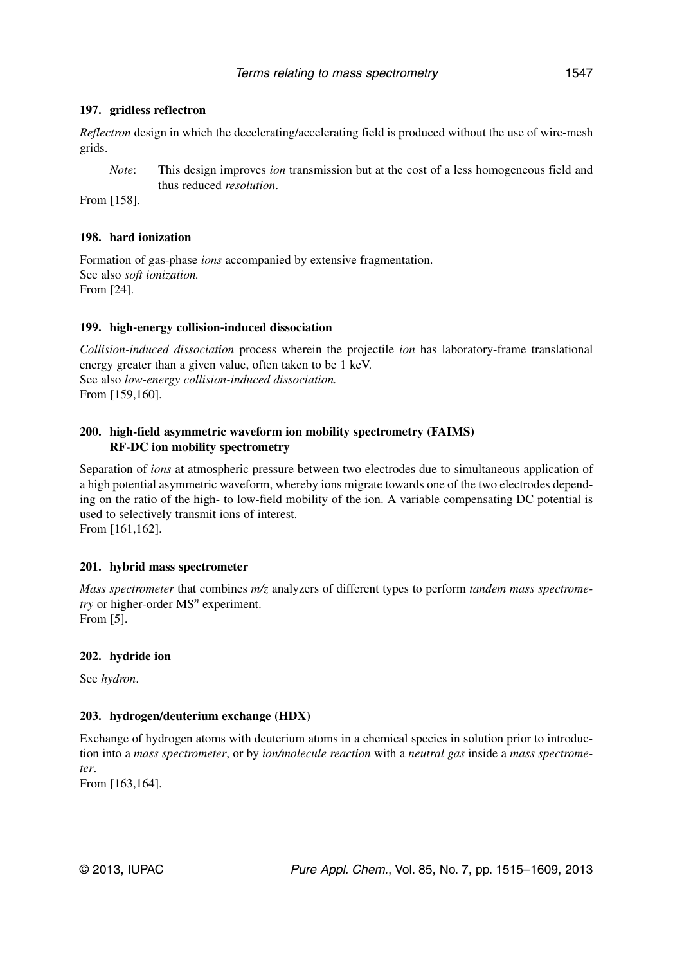## **197. gridless reflectron**

*Reflectron* design in which the decelerating/accelerating field is produced without the use of wire-mesh grids.

*Note*: This design improves *ion* transmission but at the cost of a less homogeneous field and thus reduced *resolution*.

From [158].

#### **198. hard ionization**

Formation of gas-phase *ions* accompanied by extensive fragmentation. See also *soft ionization.* From [24].

#### **199. high-energy collision-induced dissociation**

*Collision-induced dissociation* process wherein the projectile *ion* has laboratory-frame translational energy greater than a given value, often taken to be 1 keV. See also *low-energy collision-induced dissociation.* From [159,160].

## **200. high-field asymmetric waveform ion mobility spectrometry (FAIMS) RF-DC ion mobility spectrometry**

Separation of *ions* at atmospheric pressure between two electrodes due to simultaneous application of a high potential asymmetric waveform, whereby ions migrate towards one of the two electrodes depending on the ratio of the high- to low-field mobility of the ion. A variable compensating DC potential is used to selectively transmit ions of interest.

From [161,162].

#### **201. hybrid mass spectrometer**

*Mass spectrometer* that combines *m/z* analyzers of different types to perform *tandem mass spectrometry* or higher-order MS*<sup>n</sup>* experiment. From [5].

#### **202. hydride ion**

See *hydron*.

#### **203. hydrogen/deuterium exchange (HDX)**

Exchange of hydrogen atoms with deuterium atoms in a chemical species in solution prior to introduction into a *mass spectrometer*, or by *ion/molecule reaction* with a *neutral gas* inside a *mass spectrometer*.

From [163,164].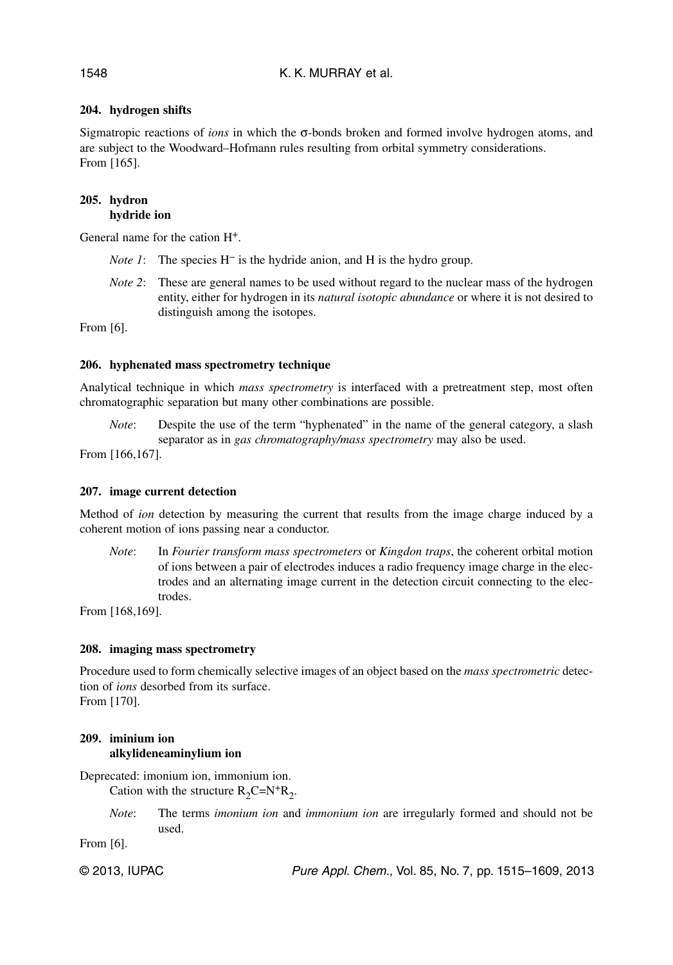## **204. hydrogen shifts**

Sigmatropic reactions of *ions* in which the σ-bonds broken and formed involve hydrogen atoms, and are subject to the Woodward–Hofmann rules resulting from orbital symmetry considerations. From [165].

#### **205. hydron hydride ion**

General name for the cation H+.

- *Note 1*: The species H<sup>−</sup> is the hydride anion, and H is the hydro group.
- *Note 2*: These are general names to be used without regard to the nuclear mass of the hydrogen entity, either for hydrogen in its *natural isotopic abundance* or where it is not desired to distinguish among the isotopes.

From [6].

#### **206. hyphenated mass spectrometry technique**

Analytical technique in which *mass spectrometry* is interfaced with a pretreatment step, most often chromatographic separation but many other combinations are possible.

*Note*: Despite the use of the term "hyphenated" in the name of the general category, a slash separator as in *gas chromatography/mass spectrometry* may also be used.

From [166,167].

## **207. image current detection**

Method of *ion* detection by measuring the current that results from the image charge induced by a coherent motion of ions passing near a conductor.

*Note*: In *Fourier transform mass spectrometers* or *Kingdon traps*, the coherent orbital motion of ions between a pair of electrodes induces a radio frequency image charge in the electrodes and an alternating image current in the detection circuit connecting to the electrodes.

From [168,169].

#### **208. imaging mass spectrometry**

Procedure used to form chemically selective images of an object based on the *mass spectrometric* detection of *ions* desorbed from its surface. From [170].

## **209. iminium ion alkylideneaminylium ion**

Deprecated: imonium ion, immonium ion.

Cation with the structure  $R_2C=N^+R_2$ .

*Note*: The terms *imonium ion* and *immonium ion* are irregularly formed and should not be used.

From [6].

© 2013, IUPAC **Pure Appl. Chem., Vol. 85, No. 7, pp. 1515–1609**, 2013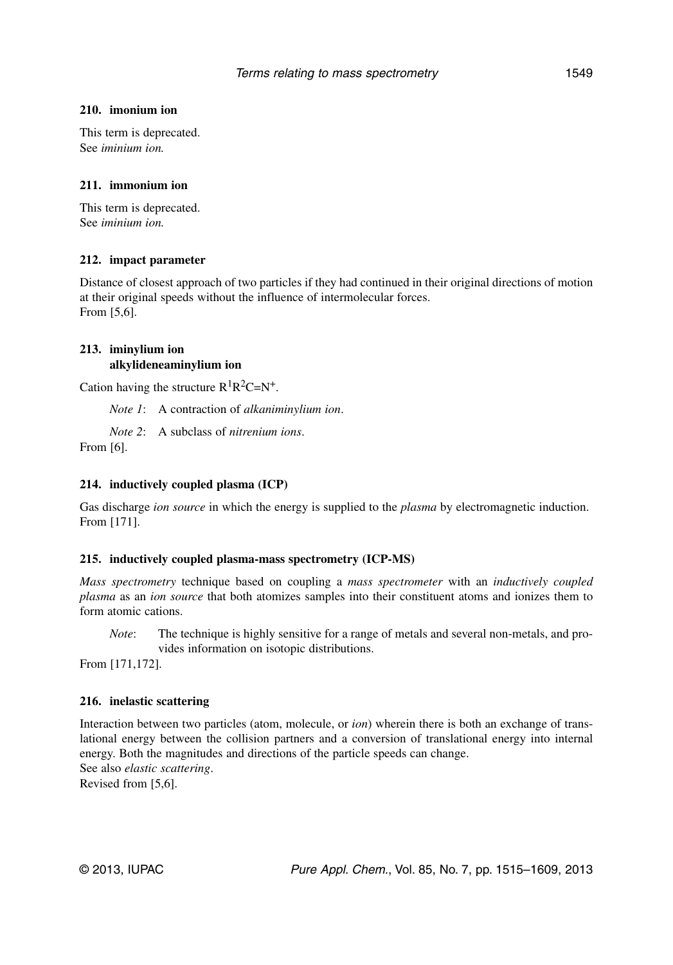#### **210. imonium ion**

This term is deprecated. See *iminium ion.*

#### **211. immonium ion**

This term is deprecated. See *iminium ion.*

#### **212. impact parameter**

Distance of closest approach of two particles if they had continued in their original directions of motion at their original speeds without the influence of intermolecular forces. From [5,6].

#### **213. iminylium ion alkylideneaminylium ion**

Cation having the structure  $R^{1}R^{2}C=N^{+}$ .

*Note 1*: A contraction of *alkaniminylium ion*.

*Note 2*: A subclass of *nitrenium ions*.

From [6].

#### **214. inductively coupled plasma (ICP)**

Gas discharge *ion source* in which the energy is supplied to the *plasma* by electromagnetic induction. From [171].

#### **215. inductively coupled plasma-mass spectrometry (ICP-MS)**

*Mass spectrometry* technique based on coupling a *mass spectrometer* with an *inductively coupled plasma* as an *ion source* that both atomizes samples into their constituent atoms and ionizes them to form atomic cations.

*Note*: The technique is highly sensitive for a range of metals and several non-metals, and provides information on isotopic distributions.

From [171,172].

#### **216. inelastic scattering**

Interaction between two particles (atom, molecule, or *ion*) wherein there is both an exchange of translational energy between the collision partners and a conversion of translational energy into internal energy. Both the magnitudes and directions of the particle speeds can change. See also *elastic scattering*. Revised from [5,6].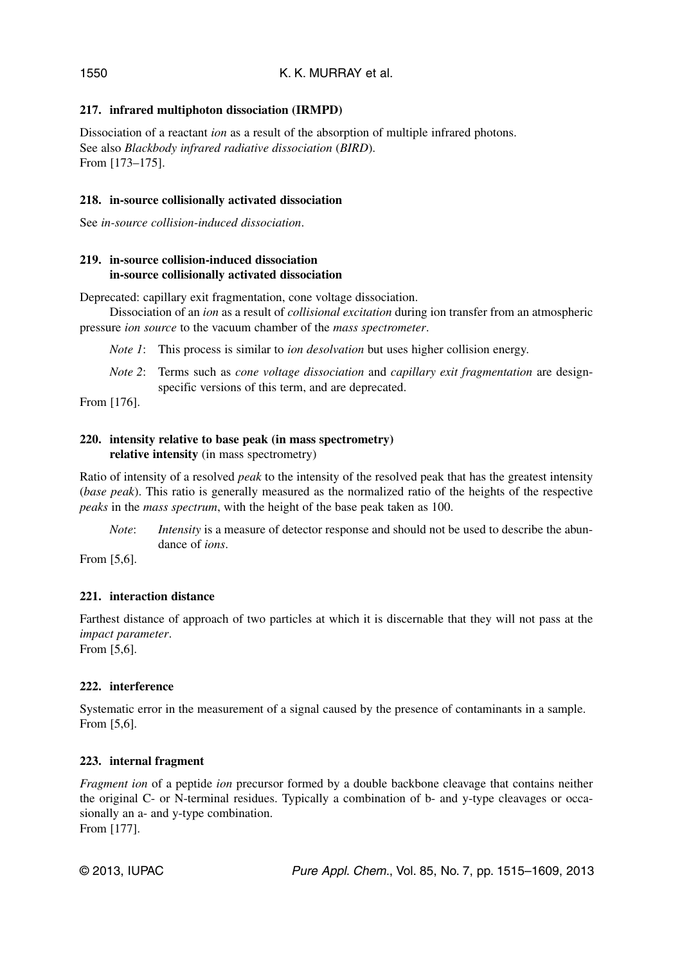## **217. infrared multiphoton dissociation (IRMPD)**

Dissociation of a reactant *ion* as a result of the absorption of multiple infrared photons. See also *Blackbody infrared radiative dissociation* (*BIRD*). From [173–175].

## **218. in-source collisionally activated dissociation**

See *in-source collision-induced dissociation*.

## **219. in-source collision-induced dissociation in-source collisionally activated dissociation**

Deprecated: capillary exit fragmentation, cone voltage dissociation.

Dissociation of an *ion* as a result of *collisional excitation* during ion transfer from an atmospheric pressure *ion source* to the vacuum chamber of the *mass spectrometer*.

*Note 1*: This process is similar to *ion desolvation* but uses higher collision energy.

*Note 2*: Terms such as *cone voltage dissociation* and *capillary exit fragmentation* are designspecific versions of this term, and are deprecated.

From [176].

## **220. intensity relative to base peak (in mass spectrometry) relative intensity** (in mass spectrometry)

Ratio of intensity of a resolved *peak* to the intensity of the resolved peak that has the greatest intensity (*base peak*). This ratio is generally measured as the normalized ratio of the heights of the respective *peaks* in the *mass spectrum*, with the height of the base peak taken as 100.

*Note*: *Intensity* is a measure of detector response and should not be used to describe the abundance of *ions*.

From [5,6].

## **221. interaction distance**

Farthest distance of approach of two particles at which it is discernable that they will not pass at the *impact parameter*.

From [5,6].

## **222. interference**

Systematic error in the measurement of a signal caused by the presence of contaminants in a sample. From [5,6].

## **223. internal fragment**

*Fragment ion* of a peptide *ion* precursor formed by a double backbone cleavage that contains neither the original C- or N-terminal residues. Typically a combination of b- and y-type cleavages or occasionally an a- and y-type combination. From [177].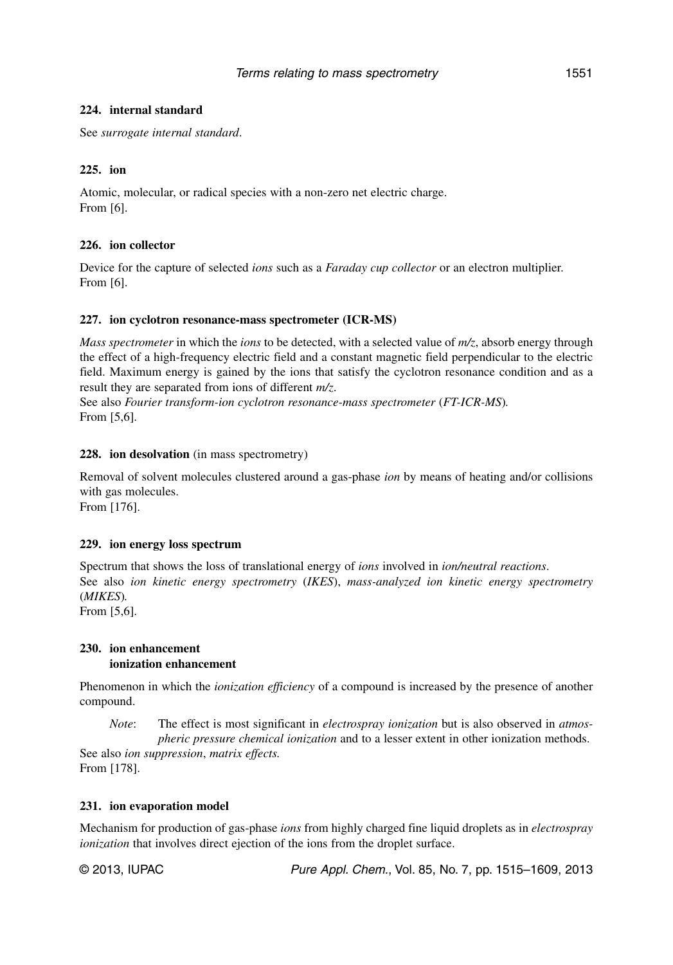### **224. internal standard**

See *surrogate internal standard*.

### **225. ion**

Atomic, molecular, or radical species with a non-zero net electric charge. From [6].

### **226. ion collector**

Device for the capture of selected *ions* such as a *Faraday cup collector* or an electron multiplier. From [6].

### **227. ion cyclotron resonance-mass spectrometer (ICR-MS)**

*Mass spectrometer* in which the *ions* to be detected, with a selected value of *m/z*, absorb energy through the effect of a high-frequency electric field and a constant magnetic field perpendicular to the electric field. Maximum energy is gained by the ions that satisfy the cyclotron resonance condition and as a result they are separated from ions of different *m/z*.

See also *Fourier transform-ion cyclotron resonance-mass spectrometer* (*FT-ICR-MS*)*.* From [5,6].

#### **228. ion desolvation** (in mass spectrometry)

Removal of solvent molecules clustered around a gas-phase *ion* by means of heating and/or collisions with gas molecules.

From [176].

#### **229. ion energy loss spectrum**

Spectrum that shows the loss of translational energy of *ions* involved in *ion/neutral reactions*. See also *ion kinetic energy spectrometry* (*IKES*), *mass-analyzed ion kinetic energy spectrometry* (*MIKES*)*.*

From [5,6].

#### **230. ion enhancement ionization enhancement**

Phenomenon in which the *ionization efficiency* of a compound is increased by the presence of another compound.

*Note*: The effect is most significant in *electrospray ionization* but is also observed in *atmospheric pressure chemical ionization* and to a lesser extent in other ionization methods.

See also *ion suppression*, *matrix effects.* From [178].

#### **231. ion evaporation model**

Mechanism for production of gas-phase *ions* from highly charged fine liquid droplets as in *electrospray ionization* that involves direct ejection of the ions from the droplet surface.

© 2013, IUPAC Pure Appl. Chem., Vol. 85, No. 7, pp. 1515–1609, 2013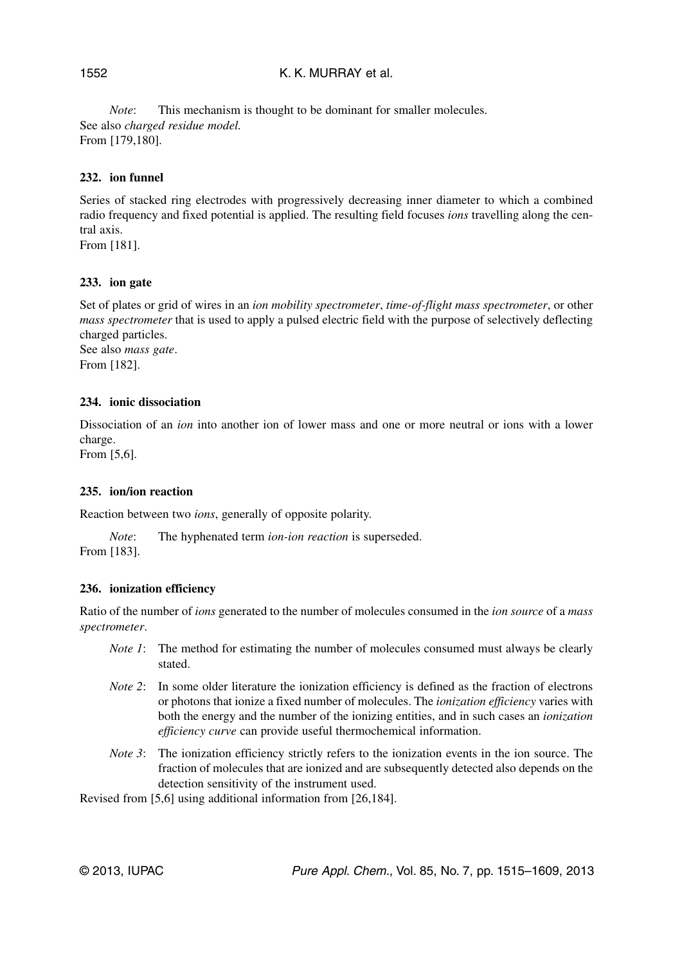## K. K. MURRAY et al.

*Note*: This mechanism is thought to be dominant for smaller molecules. See also *charged residue model.* From [179,180].

### **232. ion funnel**

Series of stacked ring electrodes with progressively decreasing inner diameter to which a combined radio frequency and fixed potential is applied. The resulting field focuses *ions* travelling along the central axis.

From [181].

### **233. ion gate**

Set of plates or grid of wires in an *ion mobility spectrometer*, *time-of-flight mass spectrometer*, or other *mass spectrometer* that is used to apply a pulsed electric field with the purpose of selectively deflecting charged particles.

See also *mass gate*. From [182].

### **234. ionic dissociation**

Dissociation of an *ion* into another ion of lower mass and one or more neutral or ions with a lower charge.

From [5,6].

#### **235. ion/ion reaction**

Reaction between two *ions*, generally of opposite polarity.

*Note*: The hyphenated term *ion-ion reaction* is superseded. From [183].

## **236. ionization efficiency**

Ratio of the number of *ions* generated to the number of molecules consumed in the *ion source* of a *mass spectrometer*.

- *Note 1*: The method for estimating the number of molecules consumed must always be clearly stated.
- *Note 2*: In some older literature the ionization efficiency is defined as the fraction of electrons or photons that ionize a fixed number of molecules. The *ionization efficiency* varies with both the energy and the number of the ionizing entities, and in such cases an *ionization efficiency curve* can provide useful thermochemical information.
- *Note 3*: The ionization efficiency strictly refers to the ionization events in the ion source. The fraction of molecules that are ionized and are subsequently detected also depends on the detection sensitivity of the instrument used.

Revised from [5,6] using additional information from [26,184].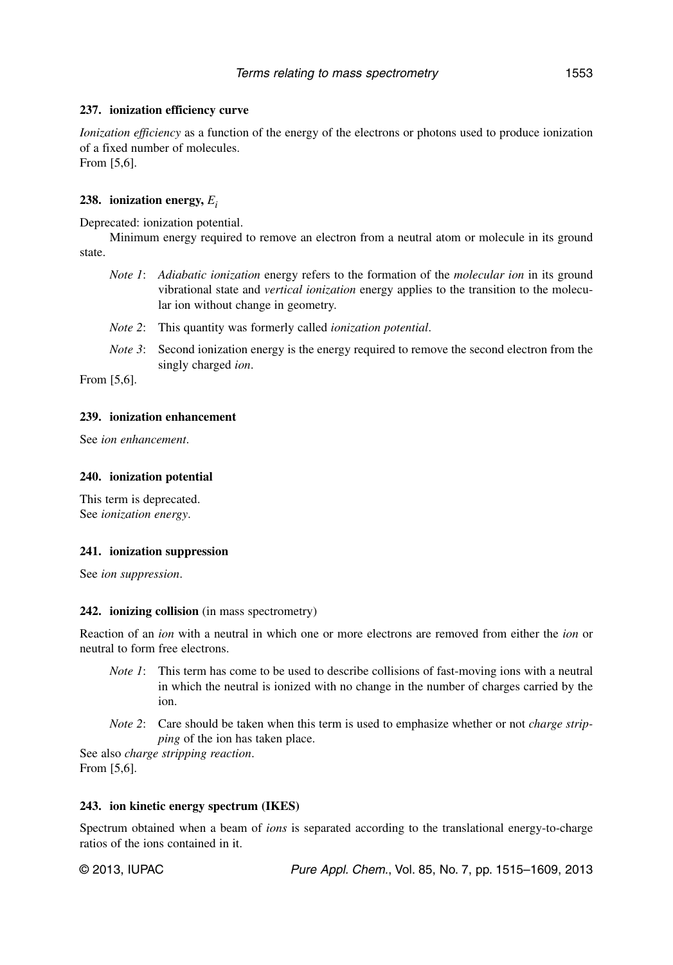### **237. ionization efficiency curve**

*Ionization efficiency* as a function of the energy of the electrons or photons used to produce ionization of a fixed number of molecules. From [5,6].

### **238. ionization energy,** *Ei*

Deprecated: ionization potential.

Minimum energy required to remove an electron from a neutral atom or molecule in its ground state.

- *Note 1*: *Adiabatic ionization* energy refers to the formation of the *molecular ion* in its ground vibrational state and *vertical ionization* energy applies to the transition to the molecular ion without change in geometry.
- *Note 2*: This quantity was formerly called *ionization potential*.
- *Note 3*: Second ionization energy is the energy required to remove the second electron from the singly charged *ion*.

From [5,6].

#### **239. ionization enhancement**

See *ion enhancement*.

### **240. ionization potential**

This term is deprecated. See *ionization energy*.

#### **241. ionization suppression**

See *ion suppression*.

#### **242. ionizing collision** (in mass spectrometry)

Reaction of an *ion* with a neutral in which one or more electrons are removed from either the *ion* or neutral to form free electrons.

- *Note 1*: This term has come to be used to describe collisions of fast-moving ions with a neutral in which the neutral is ionized with no change in the number of charges carried by the ion.
- *Note 2*: Care should be taken when this term is used to emphasize whether or not *charge stripping* of the ion has taken place.

See also *charge stripping reaction*. From [5,6].

#### **243. ion kinetic energy spectrum (IKES)**

Spectrum obtained when a beam of *ions* is separated according to the translational energy-to-charge ratios of the ions contained in it.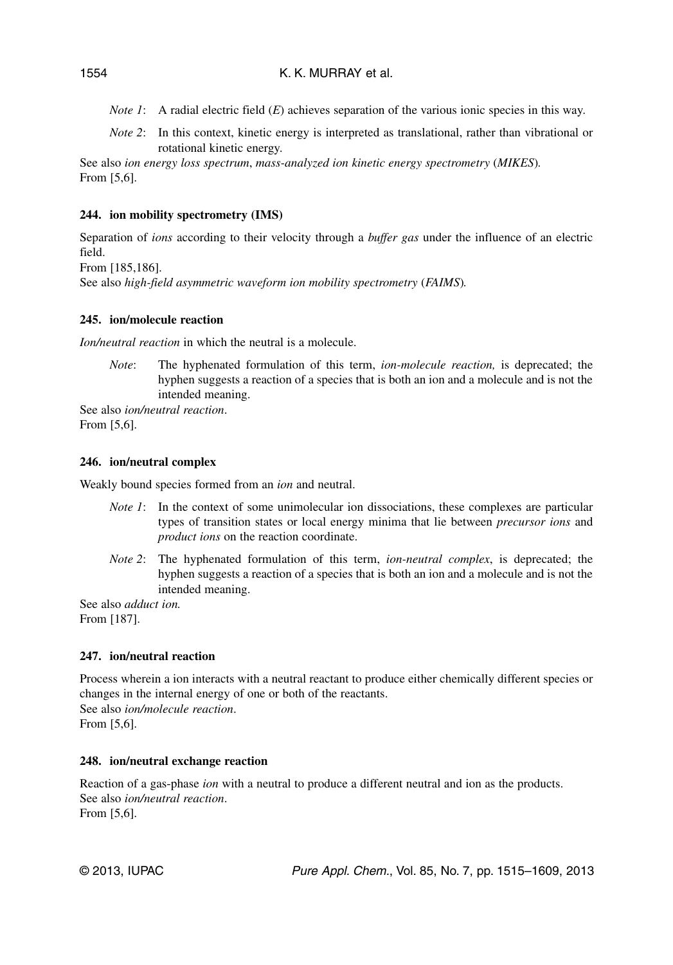- *Note 1*: A radial electric field (*E*) achieves separation of the various ionic species in this way.
- *Note 2*: In this context, kinetic energy is interpreted as translational, rather than vibrational or rotational kinetic energy.

See also *ion energy loss spectrum*, *mass-analyzed ion kinetic energy spectrometry* (*MIKES*)*.* From [5,6].

## **244. ion mobility spectrometry (IMS)**

Separation of *ions* according to their velocity through a *buffer gas* under the influence of an electric field.

From [185,186].

See also *high-field asymmetric waveform ion mobility spectrometry* (*FAIMS*)*.*

## **245. ion/molecule reaction**

*Ion/neutral reaction* in which the neutral is a molecule.

*Note*: The hyphenated formulation of this term, *ion-molecule reaction,* is deprecated; the hyphen suggests a reaction of a species that is both an ion and a molecule and is not the intended meaning.

See also *ion/neutral reaction*. From [5,6].

### **246. ion/neutral complex**

Weakly bound species formed from an *ion* and neutral.

- *Note 1*: In the context of some unimolecular ion dissociations, these complexes are particular types of transition states or local energy minima that lie between *precursor ions* and *product ions* on the reaction coordinate.
- *Note 2*: The hyphenated formulation of this term, *ion-neutral complex*, is deprecated; the hyphen suggests a reaction of a species that is both an ion and a molecule and is not the intended meaning.

See also *adduct ion.* From [187].

## **247. ion/neutral reaction**

Process wherein a ion interacts with a neutral reactant to produce either chemically different species or changes in the internal energy of one or both of the reactants. See also *ion/molecule reaction*. From [5,6].

## **248. ion/neutral exchange reaction**

Reaction of a gas-phase *ion* with a neutral to produce a different neutral and ion as the products. See also *ion/neutral reaction*. From [5,6].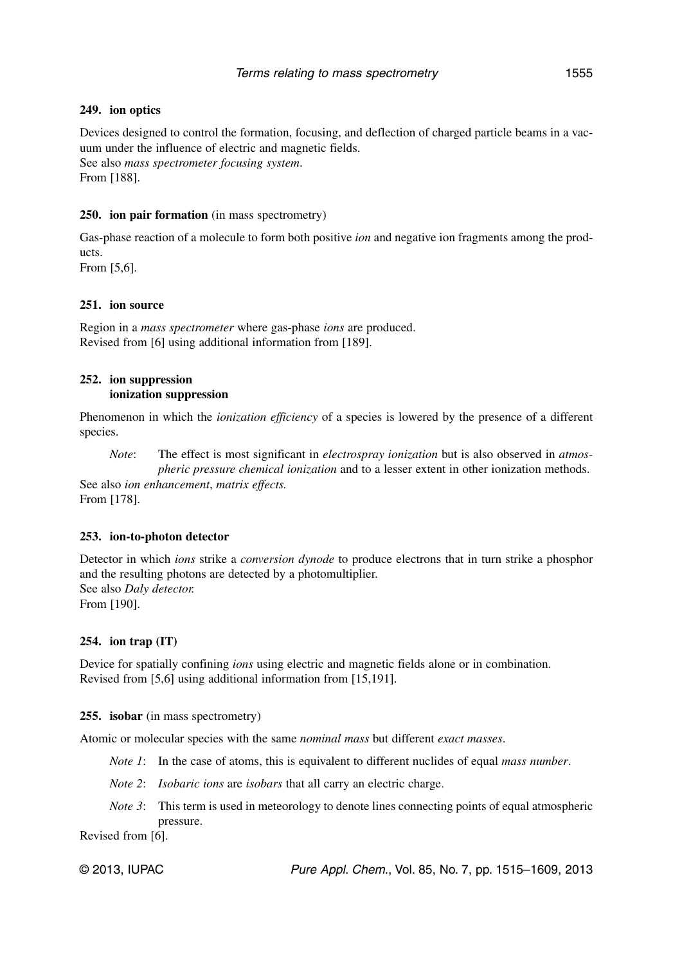### **249. ion optics**

Devices designed to control the formation, focusing, and deflection of charged particle beams in a vacuum under the influence of electric and magnetic fields. See also *mass spectrometer focusing system*. From [188].

### **250. ion pair formation** (in mass spectrometry)

Gas-phase reaction of a molecule to form both positive *ion* and negative ion fragments among the products.

From [5,6].

### **251. ion source**

Region in a *mass spectrometer* where gas-phase *ions* are produced. Revised from [6] using additional information from [189].

### **252. ion suppression ionization suppression**

Phenomenon in which the *ionization efficiency* of a species is lowered by the presence of a different species.

*Note*: The effect is most significant in *electrospray ionization* but is also observed in *atmospheric pressure chemical ionization* and to a lesser extent in other ionization methods. See also *ion enhancement*, *matrix effects.*

From [178].

#### **253. ion-to-photon detector**

Detector in which *ions* strike a *conversion dynode* to produce electrons that in turn strike a phosphor and the resulting photons are detected by a photomultiplier. See also *Daly detector.* From [190].

#### **254. ion trap (IT)**

Device for spatially confining *ions* using electric and magnetic fields alone or in combination. Revised from [5,6] using additional information from [15,191].

#### 255. **isobar** (in mass spectrometry)

Atomic or molecular species with the same *nominal mass* but different *exact masses*.

- *Note 1*: In the case of atoms, this is equivalent to different nuclides of equal *mass number*.
- *Note 2*: *Isobaric ions* are *isobars* that all carry an electric charge.
- *Note 3*: This term is used in meteorology to denote lines connecting points of equal atmospheric pressure.

Revised from [6].

© 2013, IUPAC **Pure Appl. Chem., Vol. 85, No. 7, pp. 1515–1609**, 2013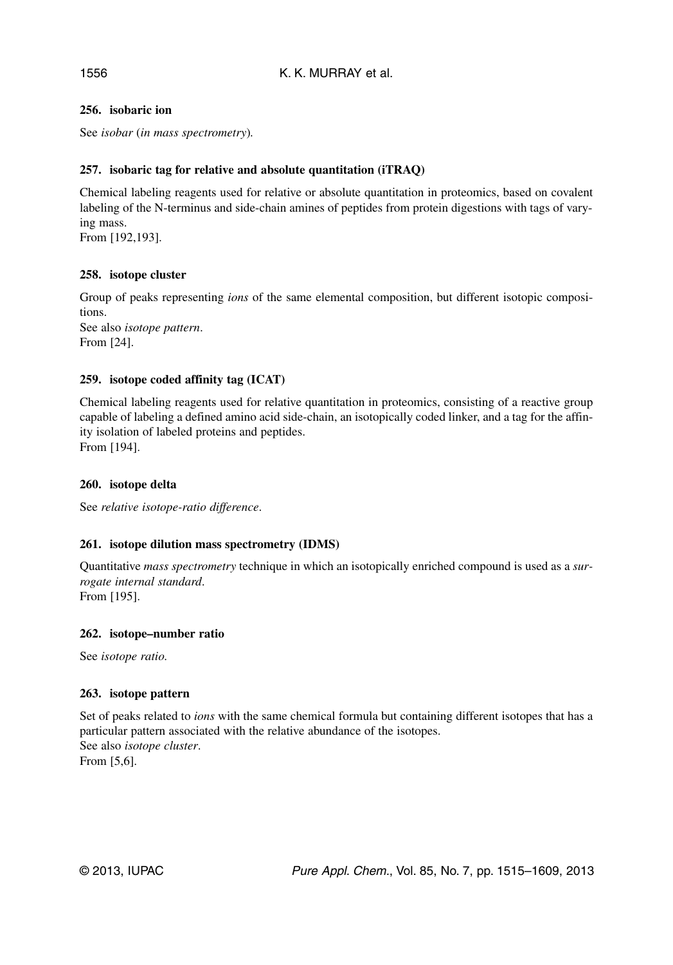## 1556

## **256. isobaric ion**

See *isobar* (*in mass spectrometry*)*.*

## **257. isobaric tag for relative and absolute quantitation (iTRAQ)**

Chemical labeling reagents used for relative or absolute quantitation in proteomics, based on covalent labeling of the N-terminus and side-chain amines of peptides from protein digestions with tags of varying mass.

From [192,193].

## **258. isotope cluster**

Group of peaks representing *ions* of the same elemental composition, but different isotopic compositions. See also *isotope pattern*. From [24].

## **259. isotope coded affinity tag (ICAT)**

Chemical labeling reagents used for relative quantitation in proteomics, consisting of a reactive group capable of labeling a defined amino acid side-chain, an isotopically coded linker, and a tag for the affinity isolation of labeled proteins and peptides. From [194].

## **260. isotope delta**

See *relative isotope-ratio difference*.

## **261. isotope dilution mass spectrometry (IDMS)**

Quantitative *mass spectrometry* technique in which an isotopically enriched compound is used as a *surrogate internal standard*. From [195].

#### **262. isotope–number ratio**

See *isotope ratio.*

## **263. isotope pattern**

Set of peaks related to *ions* with the same chemical formula but containing different isotopes that has a particular pattern associated with the relative abundance of the isotopes. See also *isotope cluster*. From [5,6].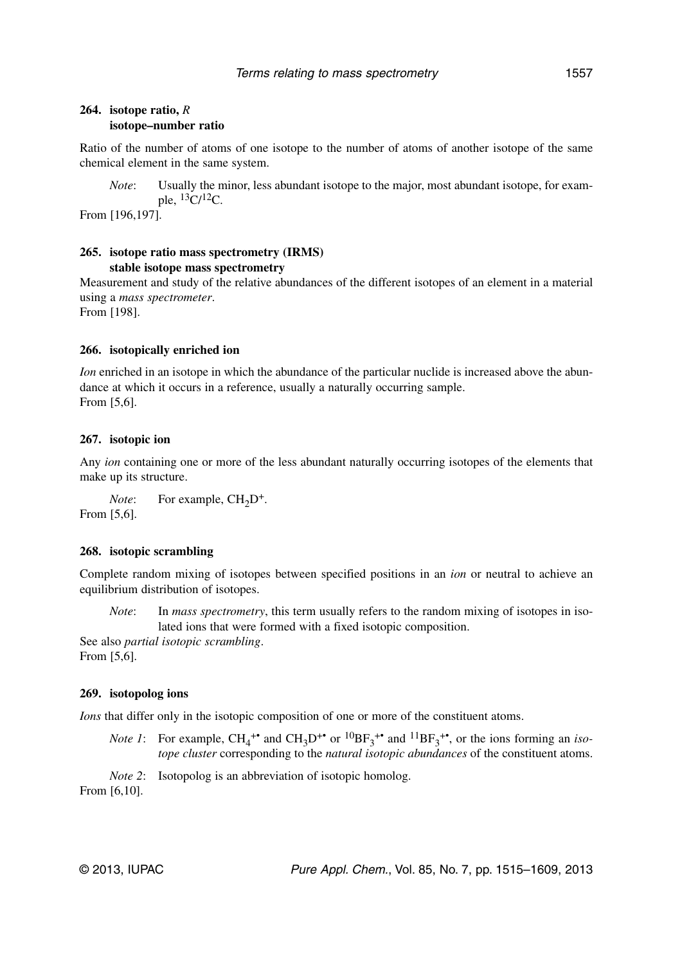#### **264. isotope ratio,** *R* **isotope–number ratio**

Ratio of the number of atoms of one isotope to the number of atoms of another isotope of the same chemical element in the same system.

*Note*: Usually the minor, less abundant isotope to the major, most abundant isotope, for example,  ${}^{13}C/{}^{12}C$ .

From [196,197].

### **265. isotope ratio mass spectrometry (IRMS) stable isotope mass spectrometry**

Measurement and study of the relative abundances of the different isotopes of an element in a material using a *mass spectrometer*.

From [198].

#### **266. isotopically enriched ion**

*Ion* enriched in an isotope in which the abundance of the particular nuclide is increased above the abundance at which it occurs in a reference, usually a naturally occurring sample. From [5,6].

### **267. isotopic ion**

Any *ion* containing one or more of the less abundant naturally occurring isotopes of the elements that make up its structure.

*Note*: For example, CH<sub>2</sub>D<sup>+</sup>. From [5,6].

#### **268. isotopic scrambling**

Complete random mixing of isotopes between specified positions in an *ion* or neutral to achieve an equilibrium distribution of isotopes.

*Note*: In *mass spectrometry*, this term usually refers to the random mixing of isotopes in isolated ions that were formed with a fixed isotopic composition.

See also *partial isotopic scrambling*. From [5,6].

#### **269. isotopolog ions**

*Ions* that differ only in the isotopic composition of one or more of the constituent atoms.

*Note 1*: For example,  $CH_4^{\dagger*}$  and  $CH_3D^{\dagger*}$  or  ${}^{10}BF_3^{\dagger*}$  and  ${}^{11}BF_3^{\dagger*}$ , or the ions forming an *isotope cluster* corresponding to the *natural isotopic abundances* of the constituent atoms.

*Note 2*: Isotopolog is an abbreviation of isotopic homolog.

From [6,10].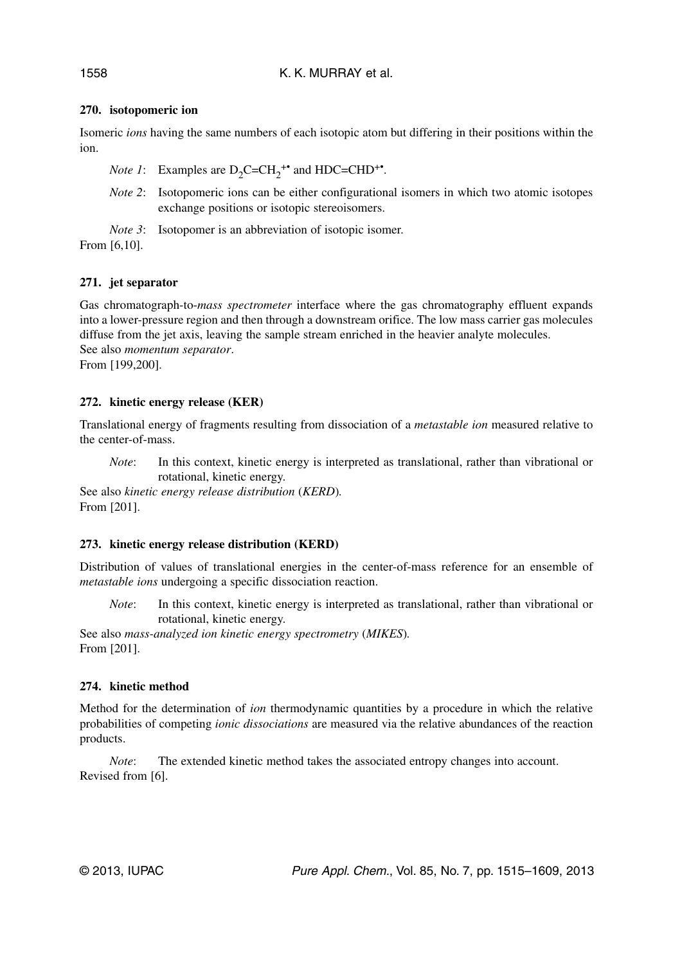## **270. isotopomeric ion**

Isomeric *ions* having the same numbers of each isotopic atom but differing in their positions within the ion.

*Note 1*: Examples are  $D_2C=CH_2^{++}$  and  $HDC=CHD^{++}$ .

*Note 2*: Isotopomeric ions can be either configurational isomers in which two atomic isotopes exchange positions or isotopic stereoisomers.

*Note 3*: Isotopomer is an abbreviation of isotopic isomer.

From [6,10].

## **271. jet separator**

Gas chromatograph-to-*mass spectrometer* interface where the gas chromatography effluent expands into a lower-pressure region and then through a downstream orifice. The low mass carrier gas molecules diffuse from the jet axis, leaving the sample stream enriched in the heavier analyte molecules. See also *momentum separator*. From [199,200].

## **272. kinetic energy release (KER)**

Translational energy of fragments resulting from dissociation of a *metastable ion* measured relative to the center-of-mass.

*Note*: In this context, kinetic energy is interpreted as translational, rather than vibrational or rotational, kinetic energy.

See also *kinetic energy release distribution* (*KERD*)*.* From [201].

## **273. kinetic energy release distribution (KERD)**

Distribution of values of translational energies in the center-of-mass reference for an ensemble of *metastable ions* undergoing a specific dissociation reaction.

*Note*: In this context, kinetic energy is interpreted as translational, rather than vibrational or rotational, kinetic energy.

See also *mass-analyzed ion kinetic energy spectrometry* (*MIKES*)*.* From [201].

## **274. kinetic method**

Method for the determination of *ion* thermodynamic quantities by a procedure in which the relative probabilities of competing *ionic dissociations* are measured via the relative abundances of the reaction products.

*Note*: The extended kinetic method takes the associated entropy changes into account. Revised from [6].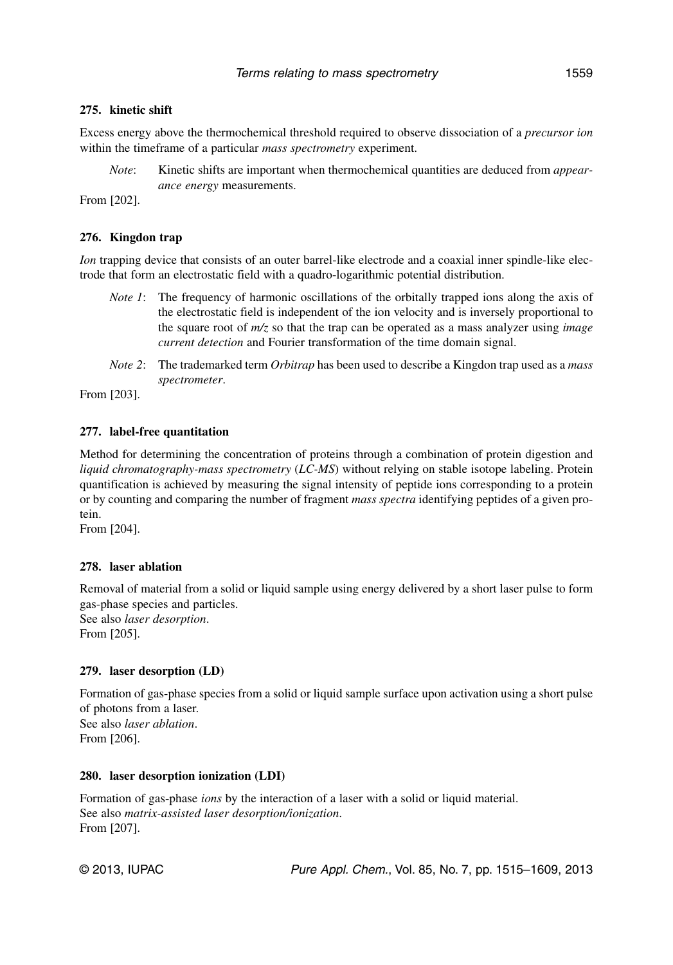## **275. kinetic shift**

Excess energy above the thermochemical threshold required to observe dissociation of a *precursor ion* within the timeframe of a particular *mass spectrometry* experiment.

*Note*: Kinetic shifts are important when thermochemical quantities are deduced from *appearance energy* measurements.

From [202].

### **276. Kingdon trap**

*Ion* trapping device that consists of an outer barrel-like electrode and a coaxial inner spindle-like electrode that form an electrostatic field with a quadro-logarithmic potential distribution.

- *Note 1*: The frequency of harmonic oscillations of the orbitally trapped ions along the axis of the electrostatic field is independent of the ion velocity and is inversely proportional to the square root of *m/z* so that the trap can be operated as a mass analyzer using *image current detection* and Fourier transformation of the time domain signal.
- *Note 2*: The trademarked term *Orbitrap* has been used to describe a Kingdon trap used as a *mass spectrometer*.

From [203].

### **277. label-free quantitation**

Method for determining the concentration of proteins through a combination of protein digestion and *liquid chromatography-mass spectrometry* (*LC-MS*) without relying on stable isotope labeling. Protein quantification is achieved by measuring the signal intensity of peptide ions corresponding to a protein or by counting and comparing the number of fragment *mass spectra* identifying peptides of a given protein.

From [204].

#### **278. laser ablation**

Removal of material from a solid or liquid sample using energy delivered by a short laser pulse to form gas-phase species and particles. See also *laser desorption*.

From [205].

#### **279. laser desorption (LD)**

Formation of gas-phase species from a solid or liquid sample surface upon activation using a short pulse of photons from a laser. See also *laser ablation*. From [206].

#### **280. laser desorption ionization (LDI)**

Formation of gas-phase *ions* by the interaction of a laser with a solid or liquid material. See also *matrix-assisted laser desorption/ionization*. From [207].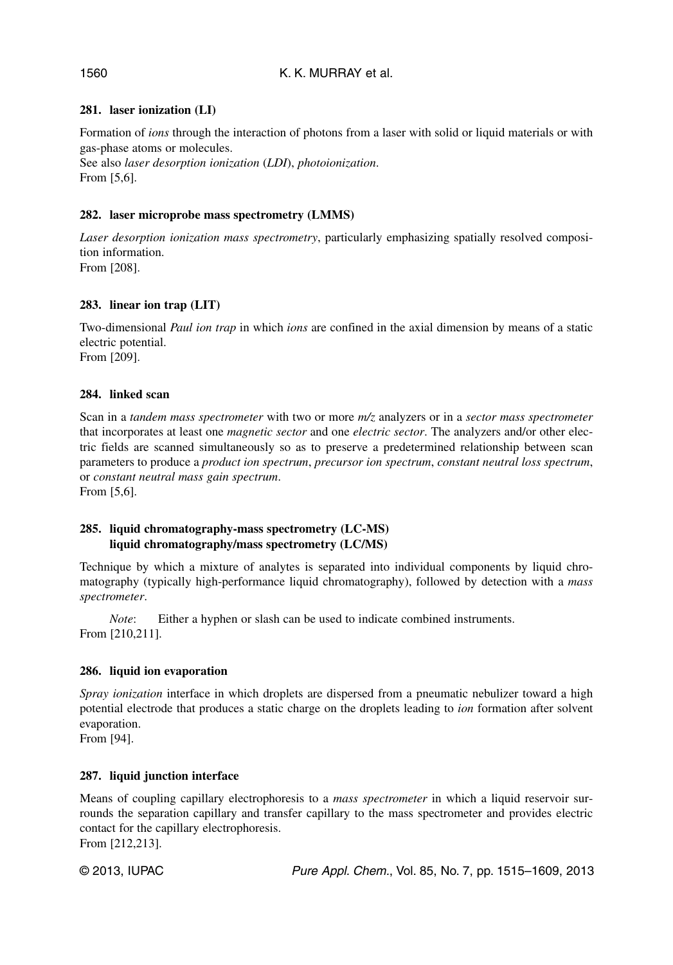### K. K. MURRAY et al.

## **281. laser ionization (LI)**

Formation of *ions* through the interaction of photons from a laser with solid or liquid materials or with gas-phase atoms or molecules.

See also *laser desorption ionization* (*LDI*), *photoionization*. From [5,6].

### **282. laser microprobe mass spectrometry (LMMS)**

*Laser desorption ionization mass spectrometry*, particularly emphasizing spatially resolved composition information. From [208].

### **283. linear ion trap (LIT)**

Two-dimensional *Paul ion trap* in which *ions* are confined in the axial dimension by means of a static electric potential. From [209].

### **284. linked scan**

Scan in a *tandem mass spectrometer* with two or more *m/z* analyzers or in a *sector mass spectrometer* that incorporates at least one *magnetic sector* and one *electric sector*. The analyzers and/or other electric fields are scanned simultaneously so as to preserve a predetermined relationship between scan parameters to produce a *product ion spectrum*, *precursor ion spectrum*, *constant neutral loss spectrum*, or *constant neutral mass gain spectrum*.

From [5,6].

#### **285. liquid chromatography-mass spectrometry (LC-MS) liquid chromatography/mass spectrometry (LC/MS)**

Technique by which a mixture of analytes is separated into individual components by liquid chromatography (typically high-performance liquid chromatography), followed by detection with a *mass spectrometer*.

*Note*: Either a hyphen or slash can be used to indicate combined instruments. From [210,211].

#### **286. liquid ion evaporation**

*Spray ionization* interface in which droplets are dispersed from a pneumatic nebulizer toward a high potential electrode that produces a static charge on the droplets leading to *ion* formation after solvent evaporation.

From [94].

#### **287. liquid junction interface**

Means of coupling capillary electrophoresis to a *mass spectrometer* in which a liquid reservoir surrounds the separation capillary and transfer capillary to the mass spectrometer and provides electric contact for the capillary electrophoresis. From [212,213].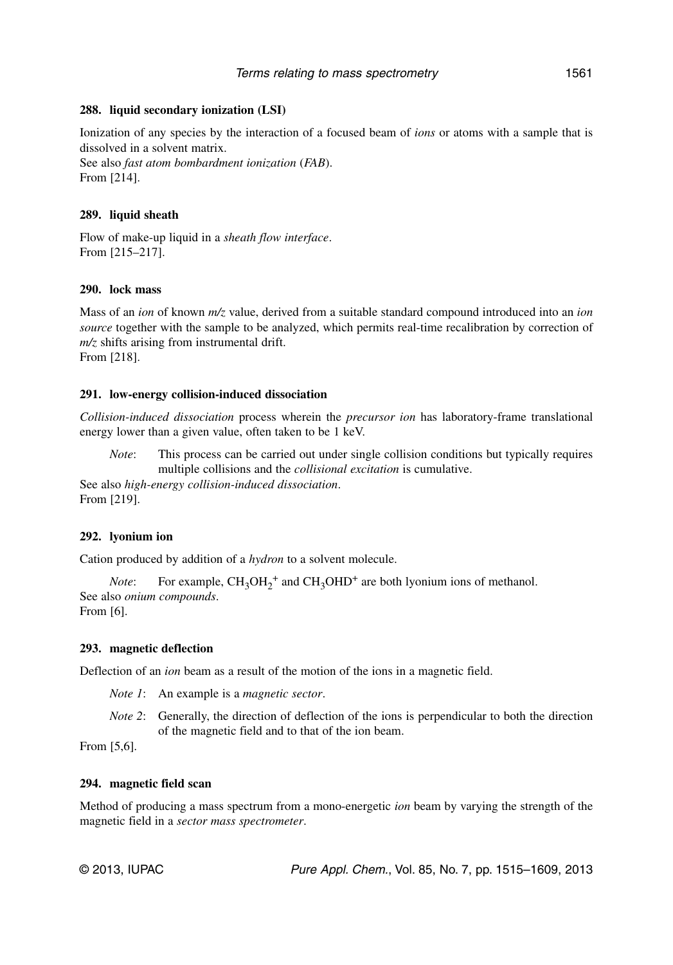#### **288. liquid secondary ionization (LSI)**

Ionization of any species by the interaction of a focused beam of *ions* or atoms with a sample that is dissolved in a solvent matrix. See also *fast atom bombardment ionization* (*FAB*).

From [214].

#### **289. liquid sheath**

Flow of make-up liquid in a *sheath flow interface*. From [215–217].

#### **290. lock mass**

Mass of an *ion* of known *m/z* value, derived from a suitable standard compound introduced into an *ion source* together with the sample to be analyzed, which permits real-time recalibration by correction of *m/z* shifts arising from instrumental drift. From [218].

#### **291. low-energy collision-induced dissociation**

*Collision-induced dissociation* process wherein the *precursor ion* has laboratory-frame translational energy lower than a given value, often taken to be 1 keV.

*Note*: This process can be carried out under single collision conditions but typically requires multiple collisions and the *collisional excitation* is cumulative. See also *high-energy collision-induced dissociation*.

From [219].

#### **292. lyonium ion**

Cation produced by addition of a *hydron* to a solvent molecule.

*Note*: For example,  $CH_3OH_2^+$  and  $CH_3OHD^+$  are both lyonium ions of methanol. See also *onium compounds*. From [6].

# **293. magnetic deflection**

Deflection of an *ion* beam as a result of the motion of the ions in a magnetic field.

*Note 1*: An example is a *magnetic sector*.

*Note 2*: Generally, the direction of deflection of the ions is perpendicular to both the direction of the magnetic field and to that of the ion beam.

From [5,6].

#### **294. magnetic field scan**

Method of producing a mass spectrum from a mono-energetic *ion* beam by varying the strength of the magnetic field in a *sector mass spectrometer*.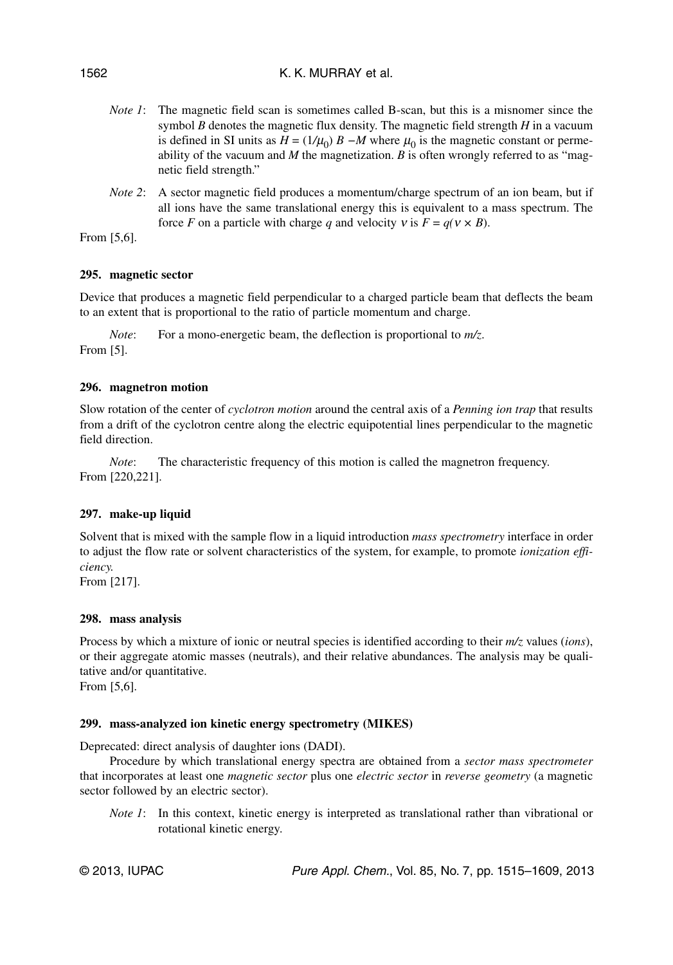### K. K. MURRAY et al.

- *Note 1*: The magnetic field scan is sometimes called B-scan, but this is a misnomer since the symbol *B* denotes the magnetic flux density. The magnetic field strength *H* in a vacuum is defined in SI units as  $H = (1/\mu_0) B - M$  where  $\mu_0$  is the magnetic constant or permeability of the vacuum and *M* the magnetization. *B* is often wrongly referred to as "magnetic field strength."
- *Note 2*: A sector magnetic field produces a momentum/charge spectrum of an ion beam, but if all ions have the same translational energy this is equivalent to a mass spectrum. The force *F* on a particle with charge *q* and velocity *v* is  $F = q(v \times B)$ .

From [5,6].

## **295. magnetic sector**

Device that produces a magnetic field perpendicular to a charged particle beam that deflects the beam to an extent that is proportional to the ratio of particle momentum and charge.

*Note*: For a mono-energetic beam, the deflection is proportional to  $m/z$ . From [5].

## **296. magnetron motion**

Slow rotation of the center of *cyclotron motion* around the central axis of a *Penning ion trap* that results from a drift of the cyclotron centre along the electric equipotential lines perpendicular to the magnetic field direction.

*Note*: The characteristic frequency of this motion is called the magnetron frequency. From [220,221].

## **297. make-up liquid**

Solvent that is mixed with the sample flow in a liquid introduction *mass spectrometry* interface in order to adjust the flow rate or solvent characteristics of the system, for example, to promote *ionization efficiency.*

From [217].

## **298. mass analysis**

Process by which a mixture of ionic or neutral species is identified according to their *m/z* values (*ions*), or their aggregate atomic masses (neutrals), and their relative abundances. The analysis may be qualitative and/or quantitative.

From [5,6].

## **299. mass-analyzed ion kinetic energy spectrometry (MIKES)**

Deprecated: direct analysis of daughter ions (DADI).

Procedure by which translational energy spectra are obtained from a *sector mass spectrometer* that incorporates at least one *magnetic sector* plus one *electric sector* in *reverse geometry* (a magnetic sector followed by an electric sector).

*Note 1*: In this context, kinetic energy is interpreted as translational rather than vibrational or rotational kinetic energy.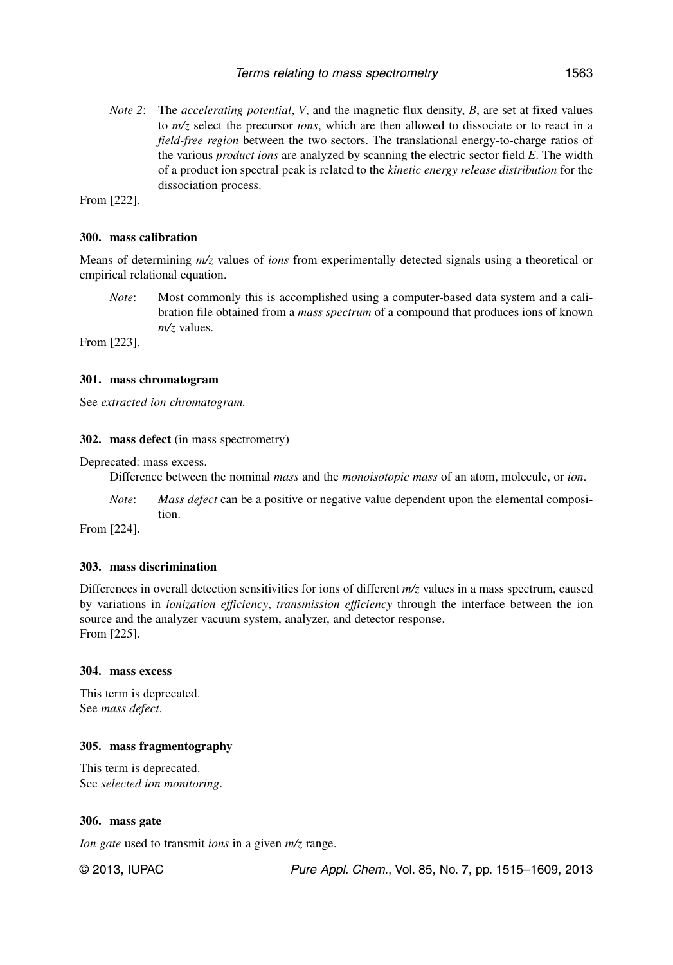*Note 2*: The *accelerating potential*, *V*, and the magnetic flux density, *B*, are set at fixed values to *m/z* select the precursor *ions*, which are then allowed to dissociate or to react in a *field-free region* between the two sectors. The translational energy-to-charge ratios of the various *product ions* are analyzed by scanning the electric sector field *E*. The width of a product ion spectral peak is related to the *kinetic energy release distribution* for the dissociation process.

From [222].

#### **300. mass calibration**

Means of determining *m/z* values of *ions* from experimentally detected signals using a theoretical or empirical relational equation.

*Note*: Most commonly this is accomplished using a computer-based data system and a calibration file obtained from a *mass spectrum* of a compound that produces ions of known *m/z* values.

From [223].

#### **301. mass chromatogram**

See *extracted ion chromatogram.*

**302. mass defect** (in mass spectrometry)

Deprecated: mass excess.

Difference between the nominal *mass* and the *monoisotopic mass* of an atom, molecule, or *ion*.

*Note*: *Mass defect* can be a positive or negative value dependent upon the elemental composition.

From [224].

#### **303. mass discrimination**

Differences in overall detection sensitivities for ions of different *m/z* values in a mass spectrum, caused by variations in *ionization efficiency*, *transmission efficiency* through the interface between the ion source and the analyzer vacuum system, analyzer, and detector response. From [225].

#### **304. mass excess**

This term is deprecated. See *mass defect*.

#### **305. mass fragmentography**

This term is deprecated. See *selected ion monitoring*.

#### **306. mass gate**

*Ion gate* used to transmit *ions* in a given *m/z* range.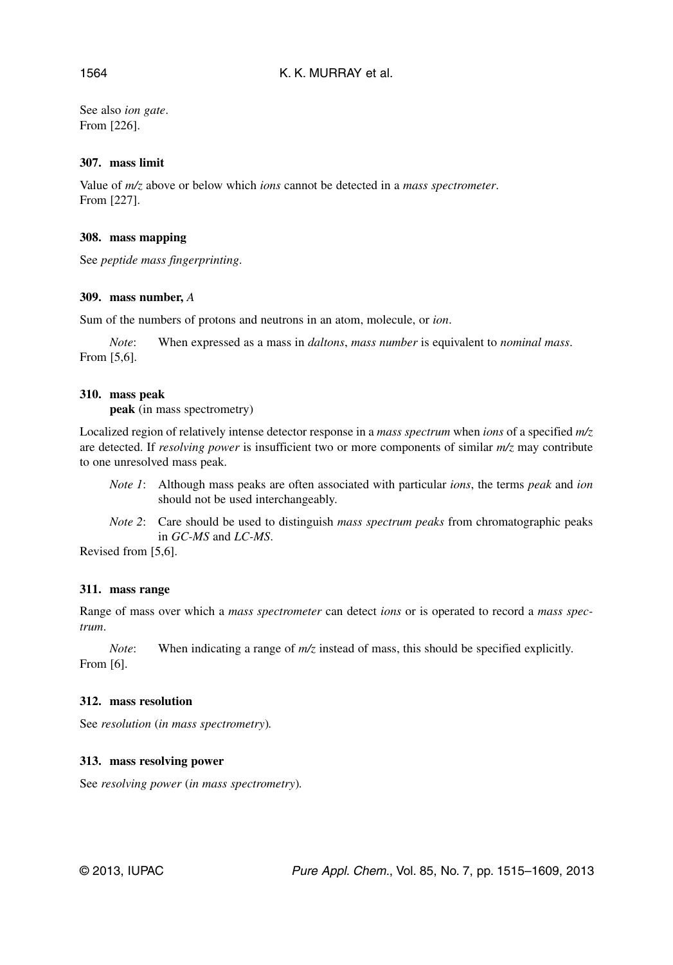See also *ion gate*. From [226].

### **307. mass limit**

Value of *m/z* above or below which *ions* cannot be detected in a *mass spectrometer*. From [227].

### **308. mass mapping**

See *peptide mass fingerprinting*.

### **309. mass number,** *A*

Sum of the numbers of protons and neutrons in an atom, molecule, or *ion*.

*Note*: When expressed as a mass in *daltons*, *mass number* is equivalent to *nominal mass*. From [5,6].

### **310. mass peak**

**peak** (in mass spectrometry)

Localized region of relatively intense detector response in a *mass spectrum* when *ions* of a specified *m/z* are detected. If *resolving power* is insufficient two or more components of similar *m/z* may contribute to one unresolved mass peak.

- *Note 1*: Although mass peaks are often associated with particular *ions*, the terms *peak* and *ion* should not be used interchangeably.
- *Note 2*: Care should be used to distinguish *mass spectrum peaks* from chromatographic peaks in *GC-MS* and *LC-MS*.

Revised from [5,6].

#### **311. mass range**

Range of mass over which a *mass spectrometer* can detect *ions* or is operated to record a *mass spectrum*.

*Note*: When indicating a range of  $m/z$  instead of mass, this should be specified explicitly. From [6].

#### **312. mass resolution**

See *resolution* (*in mass spectrometry*)*.*

## **313. mass resolving power**

See *resolving power* (*in mass spectrometry*)*.*

#### 1564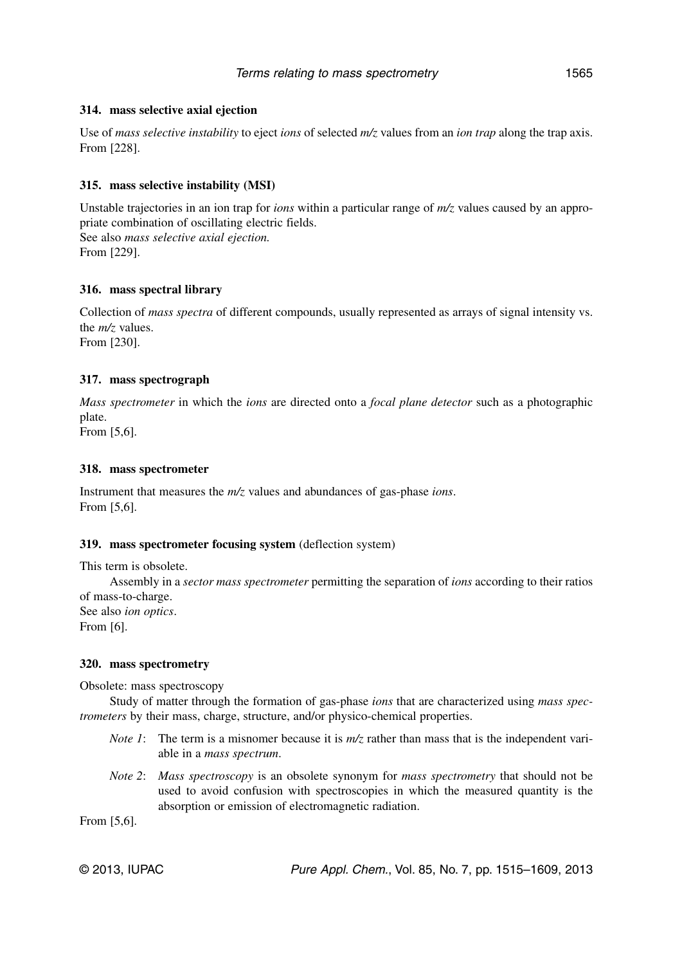### **314. mass selective axial ejection**

Use of *mass selective instability* to eject *ions* of selected *m/z* values from an *ion trap* along the trap axis. From [228].

## **315. mass selective instability (MSI)**

Unstable trajectories in an ion trap for *ions* within a particular range of *m/z* values caused by an appropriate combination of oscillating electric fields. See also *mass selective axial ejection.* From [229].

### **316. mass spectral library**

Collection of *mass spectra* of different compounds, usually represented as arrays of signal intensity vs. the *m/z* values. From [230].

### **317. mass spectrograph**

*Mass spectrometer* in which the *ions* are directed onto a *focal plane detector* such as a photographic plate.

From [5,6].

### **318. mass spectrometer**

Instrument that measures the *m/z* values and abundances of gas-phase *ions*. From [5,6].

#### **319. mass spectrometer focusing system** (deflection system)

This term is obsolete.

Assembly in a *sector mass spectrometer* permitting the separation of *ions* according to their ratios of mass-to-charge. See also *ion optics*.

From [6].

#### **320. mass spectrometry**

Obsolete: mass spectroscopy

Study of matter through the formation of gas-phase *ions* that are characterized using *mass spectrometers* by their mass, charge, structure, and/or physico-chemical properties.

- *Note 1*: The term is a misnomer because it is  $m/z$  rather than mass that is the independent variable in a *mass spectrum*.
- *Note 2*: *Mass spectroscopy* is an obsolete synonym for *mass spectrometry* that should not be used to avoid confusion with spectroscopies in which the measured quantity is the absorption or emission of electromagnetic radiation.

From [5,6].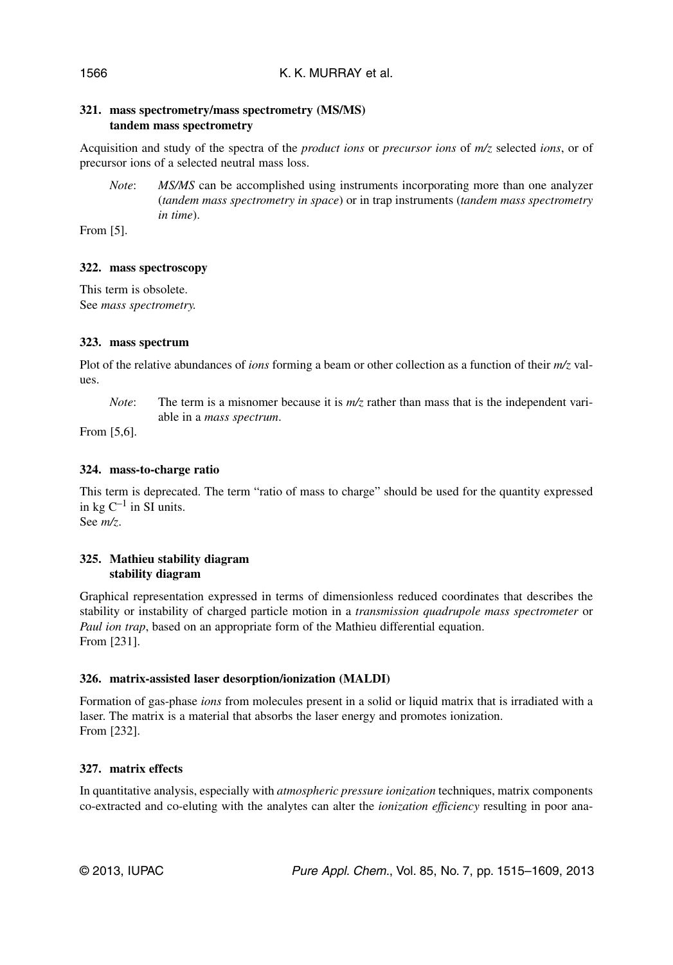### **321. mass spectrometry/mass spectrometry (MS/MS) tandem mass spectrometry**

Acquisition and study of the spectra of the *product ions* or *precursor ions* of *m/z* selected *ions*, or of precursor ions of a selected neutral mass loss.

*Note*: *MS/MS* can be accomplished using instruments incorporating more than one analyzer (*tandem mass spectrometry in space*) or in trap instruments (*tandem mass spectrometry in time*).

From [5].

### **322. mass spectroscopy**

This term is obsolete. See *mass spectrometry.*

### **323. mass spectrum**

Plot of the relative abundances of *ions* forming a beam or other collection as a function of their *m/z* values.

*Note*: The term is a misnomer because it is  $m/z$  rather than mass that is the independent variable in a *mass spectrum*.

From [5,6].

## **324. mass-to-charge ratio**

This term is deprecated. The term "ratio of mass to charge" should be used for the quantity expressed in kg  $C^{-1}$  in SI units. See *m/z*.

### **325. Mathieu stability diagram stability diagram**

Graphical representation expressed in terms of dimensionless reduced coordinates that describes the stability or instability of charged particle motion in a *transmission quadrupole mass spectrometer* or *Paul ion trap*, based on an appropriate form of the Mathieu differential equation. From [231].

#### **326. matrix-assisted laser desorption/ionization (MALDI)**

Formation of gas-phase *ions* from molecules present in a solid or liquid matrix that is irradiated with a laser. The matrix is a material that absorbs the laser energy and promotes ionization. From [232].

## **327. matrix effects**

In quantitative analysis, especially with *atmospheric pressure ionization* techniques, matrix components co-extracted and co-eluting with the analytes can alter the *ionization efficiency* resulting in poor ana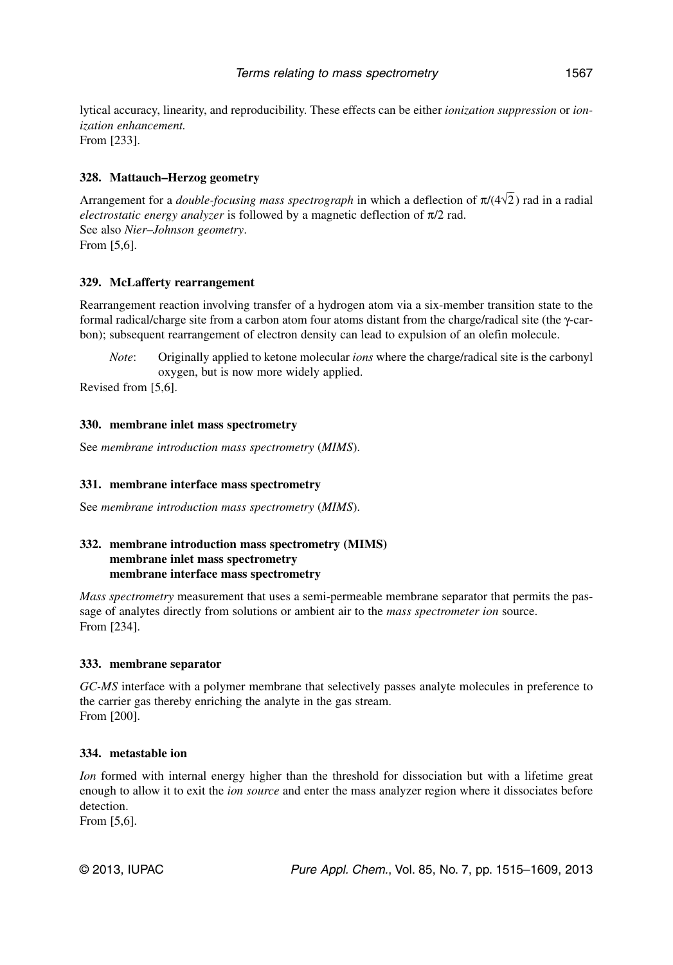lytical accuracy, linearity, and reproducibility. These effects can be either *ionization suppression* or *ionization enhancement.* From [233].

### **328. Mattauch–Herzog geometry**

Arrangement for a *double-focusing mass spectrograph* in which a deflection of  $\pi/(4\sqrt{2})$  rad in a radial *electrostatic energy analyzer* is followed by a magnetic deflection of π/2 rad. See also *Nier–Johnson geometry*. From [5,6].

### **329. McLafferty rearrangement**

Rearrangement reaction involving transfer of a hydrogen atom via a six-member transition state to the formal radical/charge site from a carbon atom four atoms distant from the charge/radical site (the γ-carbon); subsequent rearrangement of electron density can lead to expulsion of an olefin molecule.

*Note*: Originally applied to ketone molecular *ions* where the charge/radical site is the carbonyl oxygen, but is now more widely applied.

Revised from [5,6].

### **330. membrane inlet mass spectrometry**

See *membrane introduction mass spectrometry* (*MIMS*).

#### **331. membrane interface mass spectrometry**

See *membrane introduction mass spectrometry* (*MIMS*).

### **332. membrane introduction mass spectrometry (MIMS) membrane inlet mass spectrometry membrane interface mass spectrometry**

*Mass spectrometry* measurement that uses a semi-permeable membrane separator that permits the passage of analytes directly from solutions or ambient air to the *mass spectrometer ion* source. From [234].

#### **333. membrane separator**

*GC-MS* interface with a polymer membrane that selectively passes analyte molecules in preference to the carrier gas thereby enriching the analyte in the gas stream. From [200].

#### **334. metastable ion**

*Ion* formed with internal energy higher than the threshold for dissociation but with a lifetime great enough to allow it to exit the *ion source* and enter the mass analyzer region where it dissociates before detection.

From [5,6].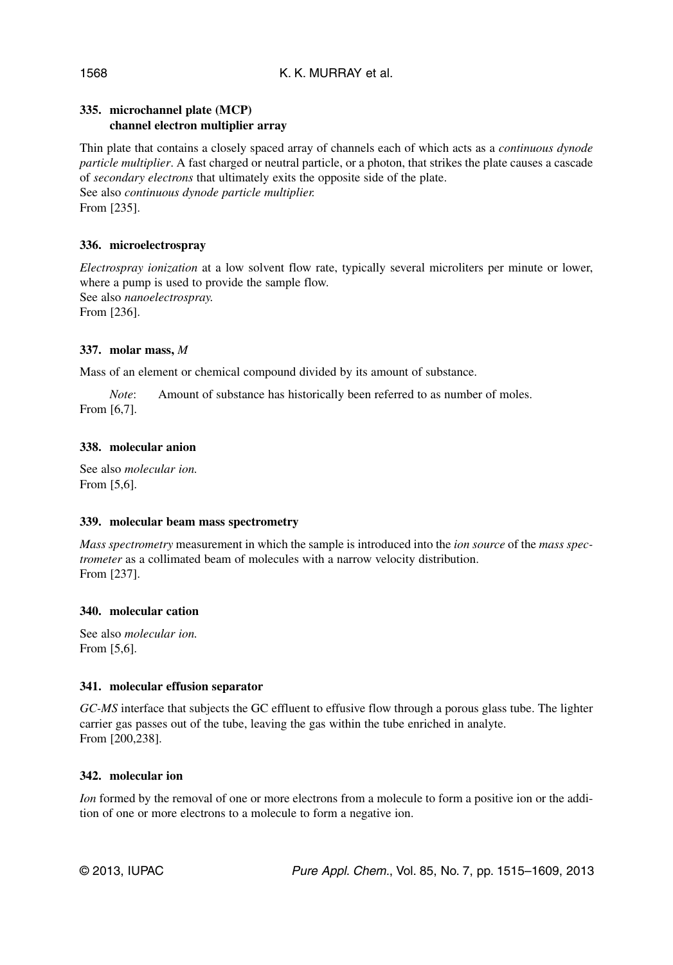## **335. microchannel plate (MCP) channel electron multiplier array**

Thin plate that contains a closely spaced array of channels each of which acts as a *continuous dynode particle multiplier*. A fast charged or neutral particle, or a photon, that strikes the plate causes a cascade of *secondary electrons* that ultimately exits the opposite side of the plate. See also *continuous dynode particle multiplier.* From [235].

## **336. microelectrospray**

*Electrospray ionization* at a low solvent flow rate, typically several microliters per minute or lower, where a pump is used to provide the sample flow. See also *nanoelectrospray.* From [236].

## **337. molar mass,** *M*

Mass of an element or chemical compound divided by its amount of substance.

*Note*: Amount of substance has historically been referred to as number of moles. From [6,7].

## **338. molecular anion**

See also *molecular ion.* From [5,6].

## **339. molecular beam mass spectrometry**

*Mass spectrometry* measurement in which the sample is introduced into the *ion source* of the *mass spectrometer* as a collimated beam of molecules with a narrow velocity distribution. From [237].

## **340. molecular cation**

See also *molecular ion.* From [5,6].

#### **341. molecular effusion separator**

*GC-MS* interface that subjects the GC effluent to effusive flow through a porous glass tube. The lighter carrier gas passes out of the tube, leaving the gas within the tube enriched in analyte. From [200,238].

## **342. molecular ion**

*Ion* formed by the removal of one or more electrons from a molecule to form a positive ion or the addition of one or more electrons to a molecule to form a negative ion.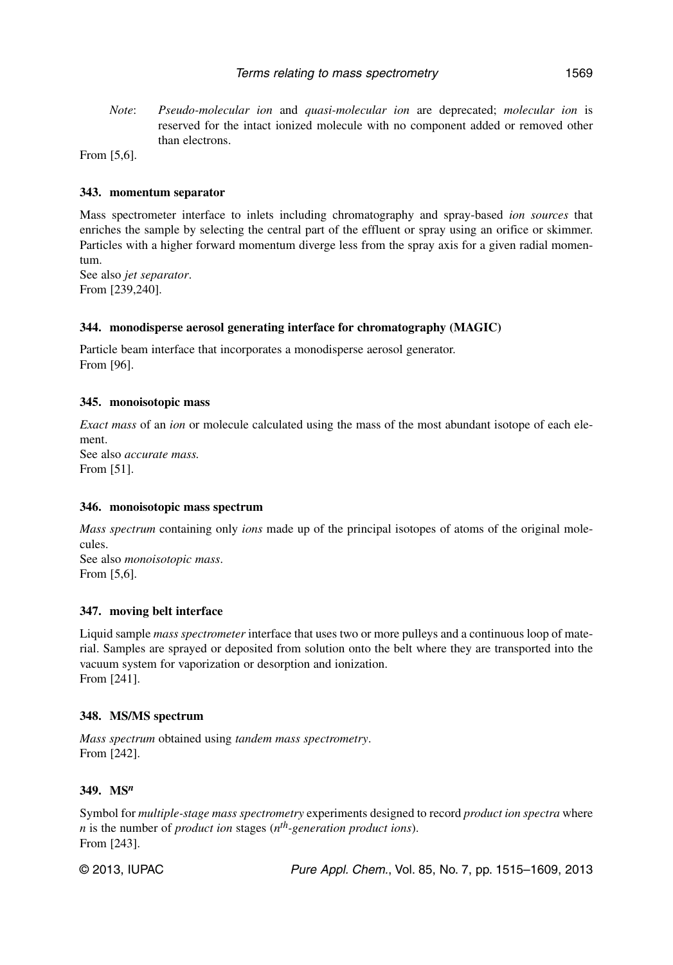*Note*: *Pseudo-molecular ion* and *quasi-molecular ion* are deprecated; *molecular ion* is reserved for the intact ionized molecule with no component added or removed other than electrons.

From [5,6].

#### **343. momentum separator**

Mass spectrometer interface to inlets including chromatography and spray-based *ion sources* that enriches the sample by selecting the central part of the effluent or spray using an orifice or skimmer. Particles with a higher forward momentum diverge less from the spray axis for a given radial momentum.

See also *jet separator*. From [239,240].

#### **344. monodisperse aerosol generating interface for chromatography (MAGIC)**

Particle beam interface that incorporates a monodisperse aerosol generator. From [96].

#### **345. monoisotopic mass**

*Exact mass* of an *ion* or molecule calculated using the mass of the most abundant isotope of each element. See also *accurate mass.* From [51].

#### **346. monoisotopic mass spectrum**

*Mass spectrum* containing only *ions* made up of the principal isotopes of atoms of the original molecules. See also *monoisotopic mass*.

From [5,6].

#### **347. moving belt interface**

Liquid sample *mass spectrometer* interface that uses two or more pulleys and a continuous loop of material. Samples are sprayed or deposited from solution onto the belt where they are transported into the vacuum system for vaporization or desorption and ionization. From [241].

#### **348. MS/MS spectrum**

*Mass spectrum* obtained using *tandem mass spectrometry*. From [242].

#### **349. MS***<sup>n</sup>*

Symbol for *multiple-stage mass spectrometry* experiments designed to record *product ion spectra* where *n* is the number of *product ion* stages (*nth-generation product ions*). From [243].

© 2013, IUPAC **Pure Appl. Chem., Vol. 85, No. 7, pp. 1515–1609**, 2013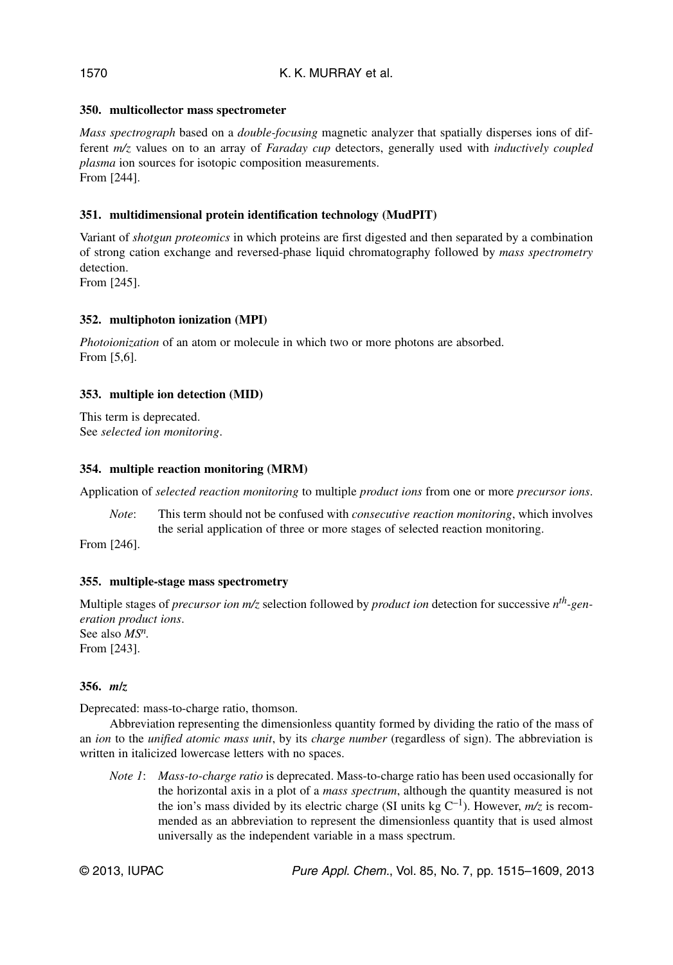## **350. multicollector mass spectrometer**

*Mass spectrograph* based on a *double-focusing* magnetic analyzer that spatially disperses ions of different *m/z* values on to an array of *Faraday cup* detectors, generally used with *inductively coupled plasma* ion sources for isotopic composition measurements. From [244].

## **351. multidimensional protein identification technology (MudPIT)**

Variant of *shotgun proteomics* in which proteins are first digested and then separated by a combination of strong cation exchange and reversed-phase liquid chromatography followed by *mass spectrometry* detection.

From [245].

### **352. multiphoton ionization (MPI)**

*Photoionization* of an atom or molecule in which two or more photons are absorbed. From [5,6].

### **353. multiple ion detection (MID)**

This term is deprecated. See *selected ion monitoring*.

#### **354. multiple reaction monitoring (MRM)**

Application of *selected reaction monitoring* to multiple *product ions* from one or more *precursor ions*.

*Note*: This term should not be confused with *consecutive reaction monitoring*, which involves the serial application of three or more stages of selected reaction monitoring.

From [246].

#### **355. multiple-stage mass spectrometry**

Multiple stages of *precursor ion m/z* selection followed by *product ion* detection for successive *nth-generation product ions*. See also *MSn.* From [243].

#### **356.** *m***/***z*

Deprecated: mass-to-charge ratio, thomson.

Abbreviation representing the dimensionless quantity formed by dividing the ratio of the mass of an *ion* to the *unified atomic mass unit*, by its *charge number* (regardless of sign). The abbreviation is written in italicized lowercase letters with no spaces.

*Note 1*: *Mass-to-charge ratio* is deprecated. Mass-to-charge ratio has been used occasionally for the horizontal axis in a plot of a *mass spectrum*, although the quantity measured is not the ion's mass divided by its electric charge (SI units kg  $C^{-1}$ ). However,  $m/z$  is recommended as an abbreviation to represent the dimensionless quantity that is used almost universally as the independent variable in a mass spectrum.

© 2013, IUPAC **Pure Appl. Chem., Vol. 85, No. 7, pp. 1515–1609**, 2013

#### 1570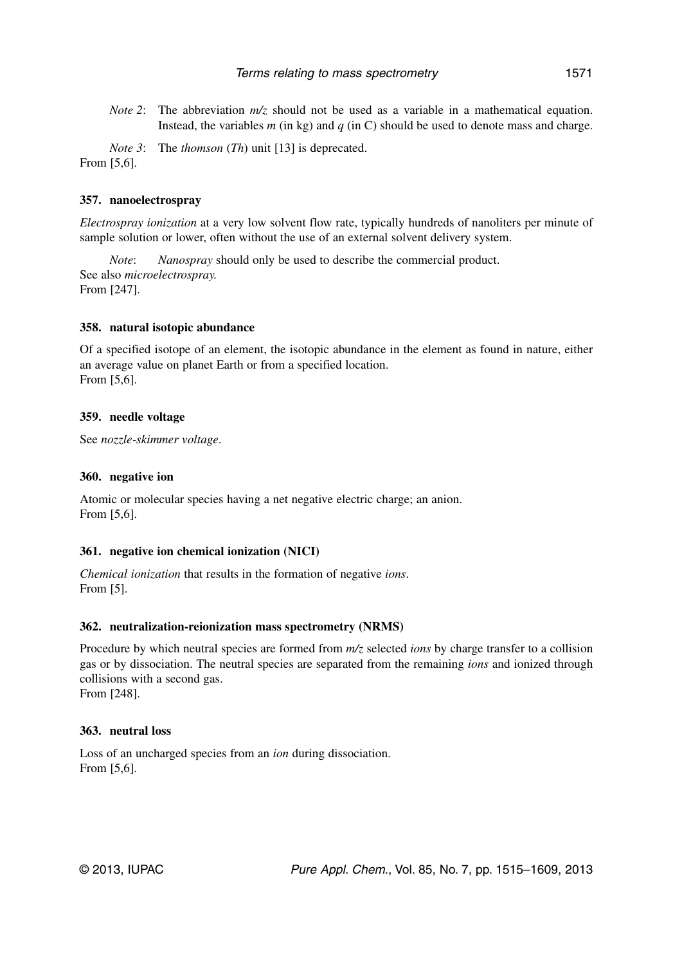*Note 2*: The abbreviation  $m/z$  should not be used as a variable in a mathematical equation. Instead, the variables  $m$  (in kg) and  $q$  (in C) should be used to denote mass and charge.

*Note 3*: The *thomson* (*Th*) unit [13] is deprecated. From [5,6].

### **357. nanoelectrospray**

*Electrospray ionization* at a very low solvent flow rate, typically hundreds of nanoliters per minute of sample solution or lower, often without the use of an external solvent delivery system.

*Note*: *Nanospray* should only be used to describe the commercial product. See also *microelectrospray.* From [247].

#### **358. natural isotopic abundance**

Of a specified isotope of an element, the isotopic abundance in the element as found in nature, either an average value on planet Earth or from a specified location. From [5,6].

#### **359. needle voltage**

See *nozzle-skimmer voltage*.

#### **360. negative ion**

Atomic or molecular species having a net negative electric charge; an anion. From [5,6].

#### **361. negative ion chemical ionization (NICI)**

*Chemical ionization* that results in the formation of negative *ions*. From [5].

#### **362. neutralization-reionization mass spectrometry (NRMS)**

Procedure by which neutral species are formed from *m/z* selected *ions* by charge transfer to a collision gas or by dissociation. The neutral species are separated from the remaining *ions* and ionized through collisions with a second gas.

From [248].

### **363. neutral loss**

Loss of an uncharged species from an *ion* during dissociation. From [5,6].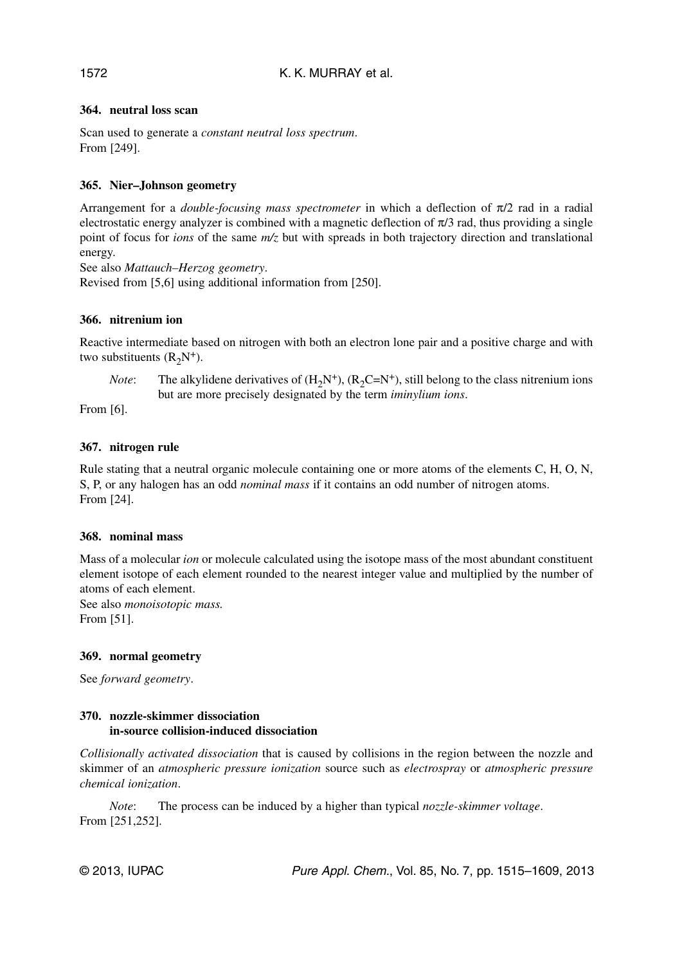## **364. neutral loss scan**

Scan used to generate a *constant neutral loss spectrum*. From [249].

## **365. Nier–Johnson geometry**

Arrangement for a *double-focusing mass spectrometer* in which a deflection of π/2 rad in a radial electrostatic energy analyzer is combined with a magnetic deflection of  $\pi/3$  rad, thus providing a single point of focus for *ions* of the same *m/z* but with spreads in both trajectory direction and translational energy.

See also *Mattauch–Herzog geometry*.

Revised from [5,6] using additional information from [250].

### **366. nitrenium ion**

Reactive intermediate based on nitrogen with both an electron lone pair and a positive charge and with two substituents  $(R_2N^+)$ .

*Note*: The alkylidene derivatives of  $(H_2N^+), (R_2C=N^+),$  still belong to the class nitrenium ions but are more precisely designated by the term *iminylium ions*.

From [6].

### **367. nitrogen rule**

Rule stating that a neutral organic molecule containing one or more atoms of the elements C, H, O, N, S, P, or any halogen has an odd *nominal mass* if it contains an odd number of nitrogen atoms. From [24].

#### **368. nominal mass**

Mass of a molecular *ion* or molecule calculated using the isotope mass of the most abundant constituent element isotope of each element rounded to the nearest integer value and multiplied by the number of atoms of each element.

See also *monoisotopic mass.* From [51].

#### **369. normal geometry**

See *forward geometry*.

#### **370. nozzle-skimmer dissociation in-source collision-induced dissociation**

*Collisionally activated dissociation* that is caused by collisions in the region between the nozzle and skimmer of an *atmospheric pressure ionization* source such as *electrospray* or *atmospheric pressure chemical ionization*.

*Note*: The process can be induced by a higher than typical *nozzle-skimmer voltage*. From [251,252].

1572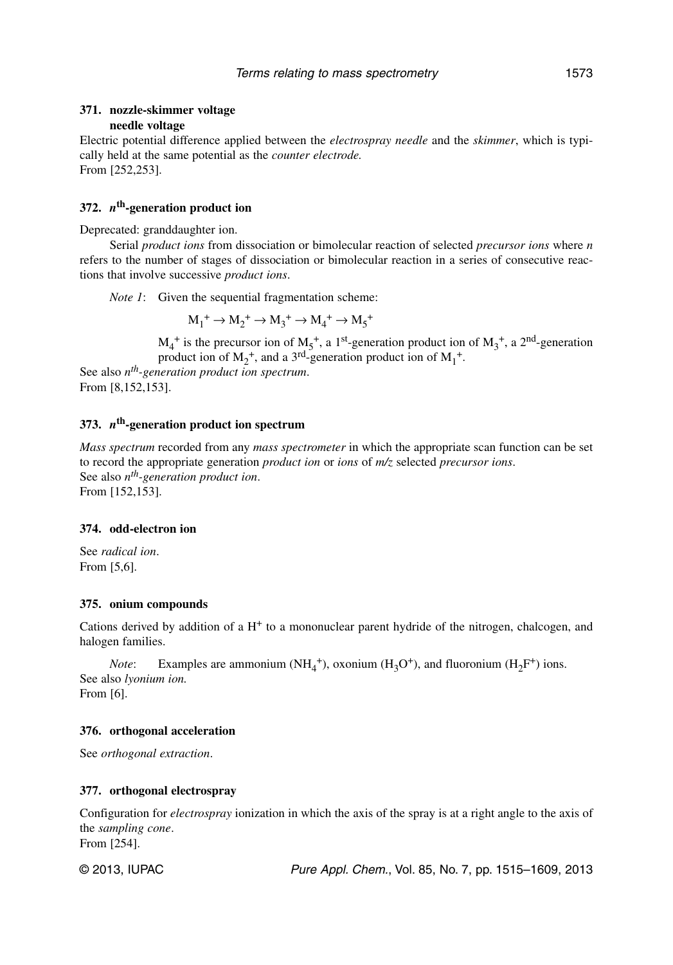#### **371. nozzle-skimmer voltage needle voltage**

Electric potential difference applied between the *electrospray needle* and the *skimmer*, which is typically held at the same potential as the *counter electrode.* From [252,253].

#### **372.** *n***th-generation product ion**

Deprecated: granddaughter ion.

Serial *product ions* from dissociation or bimolecular reaction of selected *precursor ions* where *n* refers to the number of stages of dissociation or bimolecular reaction in a series of consecutive reactions that involve successive *product ions*.

*Note 1*: Given the sequential fragmentation scheme:

 $M_1^+ \rightarrow M_2^+ \rightarrow M_3^+ \rightarrow M_4^+ \rightarrow M_5^+$ 

 $M_4^+$  is the precursor ion of  $M_5^+$ , a 1<sup>st</sup>-generation product ion of  $M_3^+$ , a 2<sup>nd</sup>-generation product ion of  $M_2^+$ , and a 3<sup>rd</sup>-generation product ion of  $M_1^+$ . See also *nth-generation product ion spectrum*.

From [8,152,153].

### **373.** *n***th-generation product ion spectrum**

*Mass spectrum* recorded from any *mass spectrometer* in which the appropriate scan function can be set to record the appropriate generation *product ion* or *ions* of *m/z* selected *precursor ions*. See also *nth-generation product ion*. From [152,153].

### **374. odd-electron ion**

See *radical ion*. From [5,6].

#### **375. onium compounds**

Cations derived by addition of a  $H<sup>+</sup>$  to a mononuclear parent hydride of the nitrogen, chalcogen, and halogen families.

*Note*: Examples are ammonium  $(NH_4^+)$ , oxonium  $(H_3O^+)$ , and fluoronium  $(H_2F^+)$  ions. See also *lyonium ion.* From [6].

## **376. orthogonal acceleration**

See *orthogonal extraction*.

#### **377. orthogonal electrospray**

Configuration for *electrospray* ionization in which the axis of the spray is at a right angle to the axis of the *sampling cone*. From [254].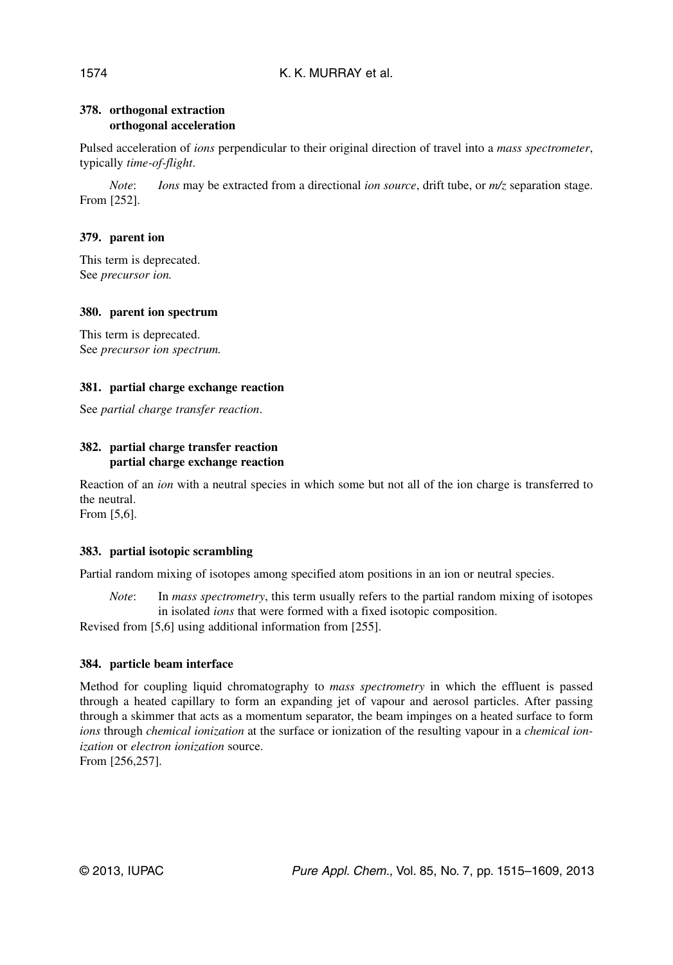## **378. orthogonal extraction orthogonal acceleration**

Pulsed acceleration of *ions* perpendicular to their original direction of travel into a *mass spectrometer*, typically *time-of-flight*.

*Note*: *Ions* may be extracted from a directional *ion source*, drift tube, or  $m/z$  separation stage. From [252].

## **379. parent ion**

This term is deprecated. See *precursor ion.*

## **380. parent ion spectrum**

This term is deprecated. See *precursor ion spectrum.*

## **381. partial charge exchange reaction**

See *partial charge transfer reaction*.

## **382. partial charge transfer reaction partial charge exchange reaction**

Reaction of an *ion* with a neutral species in which some but not all of the ion charge is transferred to the neutral.

From [5,6].

## **383. partial isotopic scrambling**

Partial random mixing of isotopes among specified atom positions in an ion or neutral species.

*Note*: In *mass spectrometry*, this term usually refers to the partial random mixing of isotopes in isolated *ions* that were formed with a fixed isotopic composition.

Revised from [5,6] using additional information from [255].

## **384. particle beam interface**

Method for coupling liquid chromatography to *mass spectrometry* in which the effluent is passed through a heated capillary to form an expanding jet of vapour and aerosol particles. After passing through a skimmer that acts as a momentum separator, the beam impinges on a heated surface to form *ions* through *chemical ionization* at the surface or ionization of the resulting vapour in a *chemical ionization* or *electron ionization* source.

From [256,257].

1574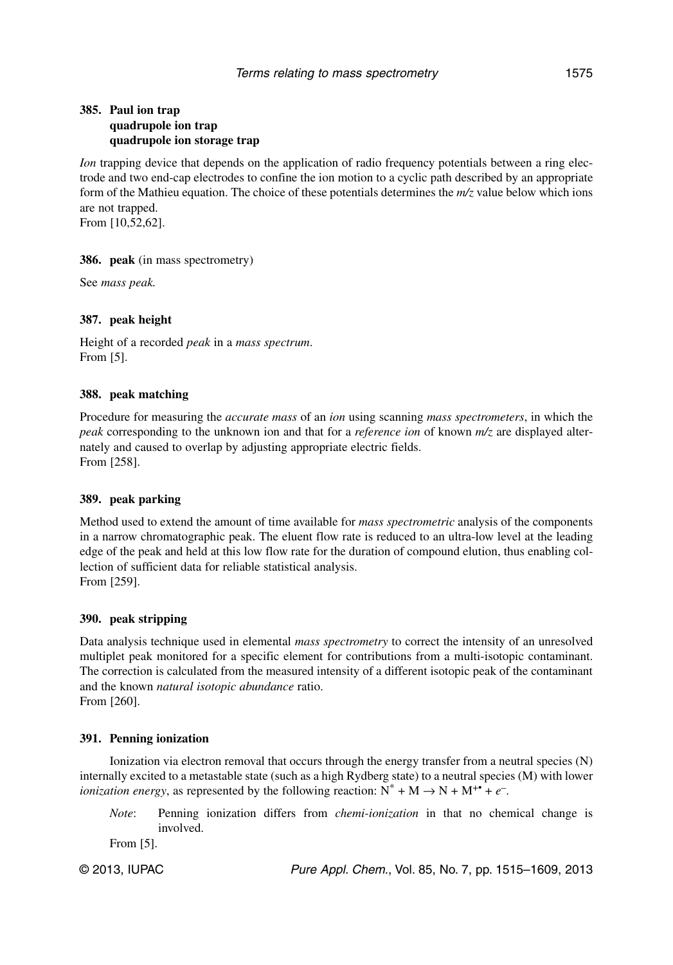### **385. Paul ion trap quadrupole ion trap quadrupole ion storage trap**

*Ion* trapping device that depends on the application of radio frequency potentials between a ring electrode and two end-cap electrodes to confine the ion motion to a cyclic path described by an appropriate form of the Mathieu equation. The choice of these potentials determines the *m/z* value below which ions are not trapped. From [10,52,62].

**386. peak** (in mass spectrometry)

See *mass peak.*

### **387. peak height**

Height of a recorded *peak* in a *mass spectrum*. From [5].

### **388. peak matching**

Procedure for measuring the *accurate mass* of an *ion* using scanning *mass spectrometers*, in which the *peak* corresponding to the unknown ion and that for a *reference ion* of known *m/z* are displayed alternately and caused to overlap by adjusting appropriate electric fields. From [258].

#### **389. peak parking**

Method used to extend the amount of time available for *mass spectrometric* analysis of the components in a narrow chromatographic peak. The eluent flow rate is reduced to an ultra-low level at the leading edge of the peak and held at this low flow rate for the duration of compound elution, thus enabling collection of sufficient data for reliable statistical analysis. From [259].

#### **390. peak stripping**

Data analysis technique used in elemental *mass spectrometry* to correct the intensity of an unresolved multiplet peak monitored for a specific element for contributions from a multi-isotopic contaminant. The correction is calculated from the measured intensity of a different isotopic peak of the contaminant and the known *natural isotopic abundance* ratio. From [260].

#### **391. Penning ionization**

Ionization via electron removal that occurs through the energy transfer from a neutral species (N) internally excited to a metastable state (such as a high Rydberg state) to a neutral species (M) with lower *ionization energy*, as represented by the following reaction:  $N^* + M \rightarrow N + M^{+*} + e^{-}$ .

*Note*: Penning ionization differs from *chemi-ionization* in that no chemical change is involved.

From [5].

© 2013, IUPAC **Pure Appl. Chem., Vol. 85, No. 7, pp. 1515–1609**, 2013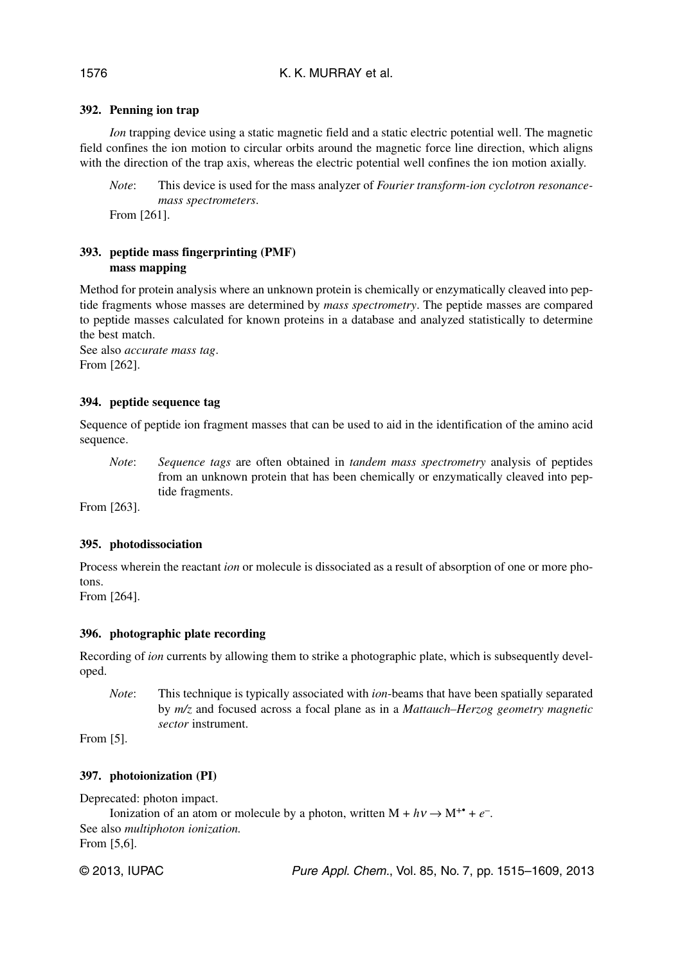## K. K. MURRAY et al.

### **392. Penning ion trap**

*Ion* trapping device using a static magnetic field and a static electric potential well. The magnetic field confines the ion motion to circular orbits around the magnetic force line direction, which aligns with the direction of the trap axis, whereas the electric potential well confines the ion motion axially.

*Note*: This device is used for the mass analyzer of *Fourier transform-ion cyclotron resonancemass spectrometers*.

From [261].

## **393. peptide mass fingerprinting (PMF) mass mapping**

Method for protein analysis where an unknown protein is chemically or enzymatically cleaved into peptide fragments whose masses are determined by *mass spectrometry*. The peptide masses are compared to peptide masses calculated for known proteins in a database and analyzed statistically to determine the best match.

See also *accurate mass tag*. From [262].

#### **394. peptide sequence tag**

Sequence of peptide ion fragment masses that can be used to aid in the identification of the amino acid sequence.

*Note*: *Sequence tags* are often obtained in *tandem mass spectrometry* analysis of peptides from an unknown protein that has been chemically or enzymatically cleaved into peptide fragments.

From [263].

#### **395. photodissociation**

Process wherein the reactant *ion* or molecule is dissociated as a result of absorption of one or more photons.

From [264].

## **396. photographic plate recording**

Recording of *ion* currents by allowing them to strike a photographic plate, which is subsequently developed.

*Note*: This technique is typically associated with *ion*-beams that have been spatially separated by *m/z* and focused across a focal plane as in a *Mattauch–Herzog geometry magnetic sector* instrument.

From [5].

#### **397. photoionization (PI)**

Deprecated: photon impact. Ionization of an atom or molecule by a photon, written  $M + h\nu \rightarrow M^{+*} + e^{-}$ . See also *multiphoton ionization.* From [5,6].

© 2013, IUPAC **Pure Appl. Chem., Vol. 85, No. 7, pp. 1515–1609**, 2013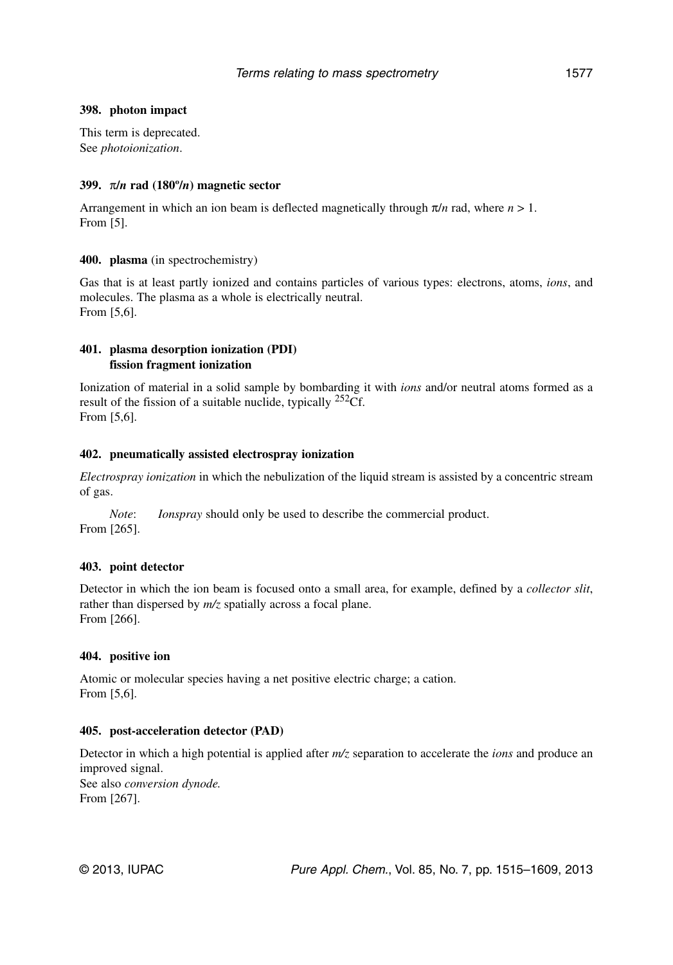#### **398. photon impact**

This term is deprecated. See *photoionization*.

#### **399.** π**/***n* **rad (180º/***n***) magnetic sector**

Arrangement in which an ion beam is deflected magnetically through  $\pi/n$  rad, where  $n > 1$ . From [5].

#### **400. plasma** (in spectrochemistry)

Gas that is at least partly ionized and contains particles of various types: electrons, atoms, *ions*, and molecules. The plasma as a whole is electrically neutral. From [5,6].

#### **401. plasma desorption ionization (PDI) fission fragment ionization**

Ionization of material in a solid sample by bombarding it with *ions* and/or neutral atoms formed as a result of the fission of a suitable nuclide, typically  $252 \text{C}$ f. From [5,6].

#### **402. pneumatically assisted electrospray ionization**

*Electrospray ionization* in which the nebulization of the liquid stream is assisted by a concentric stream of gas.

*Note*: *Ionspray* should only be used to describe the commercial product. From [265].

#### **403. point detector**

Detector in which the ion beam is focused onto a small area, for example, defined by a *collector slit*, rather than dispersed by  $m/z$  spatially across a focal plane. From [266].

#### **404. positive ion**

Atomic or molecular species having a net positive electric charge; a cation. From [5,6].

#### **405. post-acceleration detector (PAD)**

Detector in which a high potential is applied after *m/z* separation to accelerate the *ions* and produce an improved signal. See also *conversion dynode.* From [267].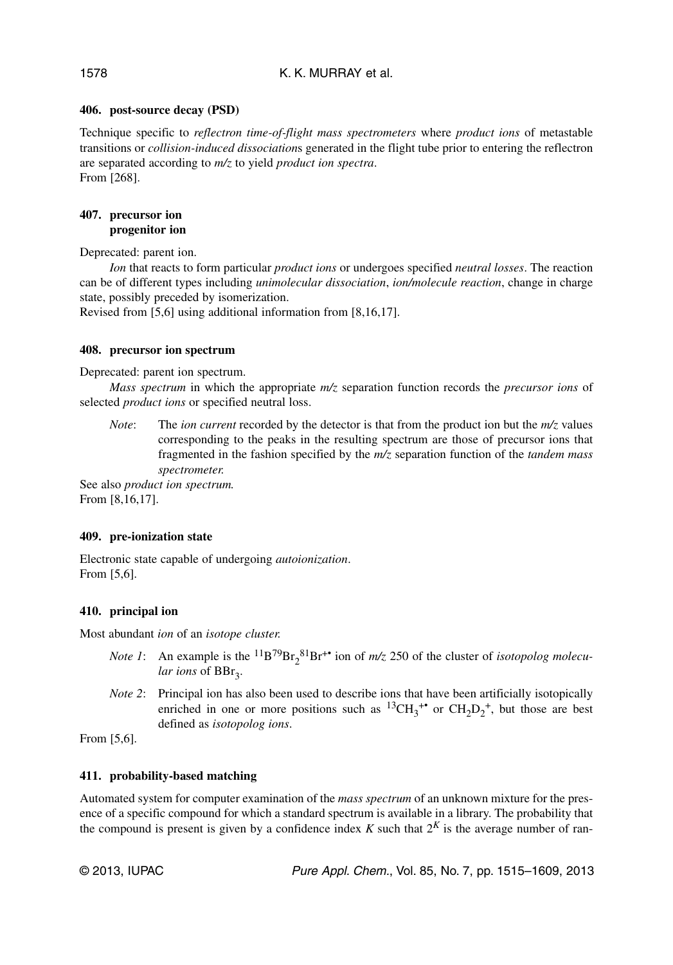### K. K. MURRAY et al.

### **406. post-source decay (PSD)**

Technique specific to *reflectron time-of-flight mass spectrometers* where *product ions* of metastable transitions or *collision-induced dissociation*s generated in the flight tube prior to entering the reflectron are separated according to *m/z* to yield *product ion spectra*. From [268].

### **407. precursor ion progenitor ion**

Deprecated: parent ion.

*Ion* that reacts to form particular *product ions* or undergoes specified *neutral losses*. The reaction can be of different types including *unimolecular dissociation*, *ion/molecule reaction*, change in charge state, possibly preceded by isomerization.

Revised from [5,6] using additional information from [8,16,17].

### **408. precursor ion spectrum**

Deprecated: parent ion spectrum.

*Mass spectrum* in which the appropriate *m/z* separation function records the *precursor ions* of selected *product ions* or specified neutral loss.

*Note*: The *ion current* recorded by the detector is that from the product ion but the *m/z* values corresponding to the peaks in the resulting spectrum are those of precursor ions that fragmented in the fashion specified by the *m/z* separation function of the *tandem mass spectrometer.*

See also *product ion spectrum.* From [8,16,17].

## **409. pre-ionization state**

Electronic state capable of undergoing *autoionization*. From [5,6].

## **410. principal ion**

Most abundant *ion* of an *isotope cluster.*

- *Note 1*: An example is the <sup>11</sup>B<sup>79</sup>Br<sub>2</sub><sup>81</sup>Br<sup>+•</sup> ion of  $m/z$  250 of the cluster of *isotopolog molecu*lar ions of BBr<sub>3</sub>.
- *Note 2*: Principal ion has also been used to describe ions that have been artificially isotopically enriched in one or more positions such as  ${}^{13}CH_3^{+*}$  or  $CH_2D_2^+$ , but those are best defined as *isotopolog ions*.

From [5,6].

## **411. probability-based matching**

Automated system for computer examination of the *mass spectrum* of an unknown mixture for the presence of a specific compound for which a standard spectrum is available in a library. The probability that the compound is present is given by a confidence index  $K$  such that  $2^K$  is the average number of ran-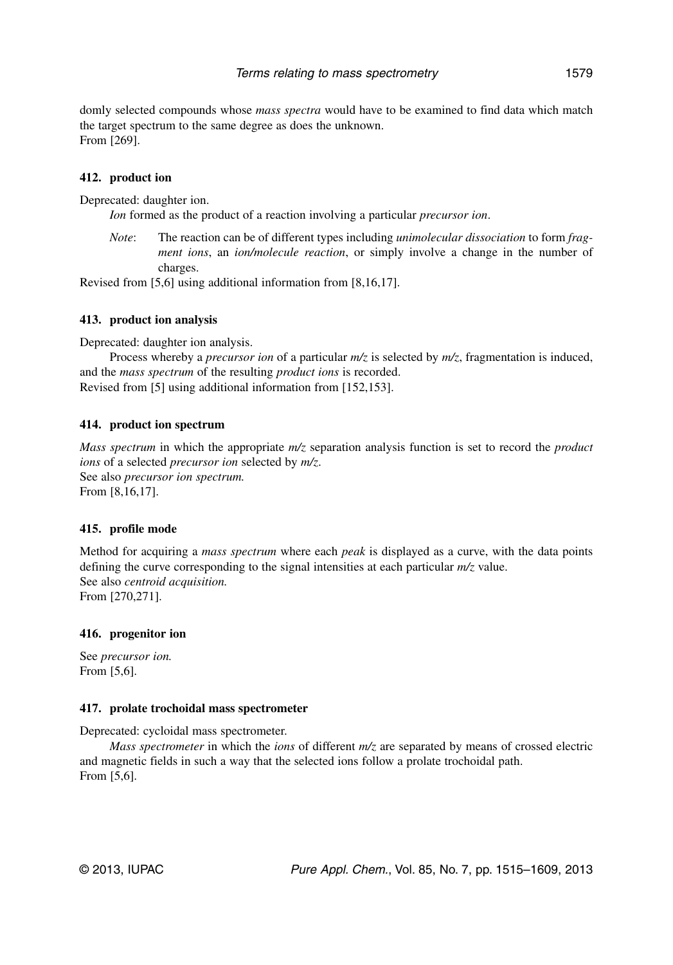domly selected compounds whose *mass spectra* would have to be examined to find data which match the target spectrum to the same degree as does the unknown. From [269].

### **412. product ion**

Deprecated: daughter ion.

*Ion* formed as the product of a reaction involving a particular *precursor ion*.

*Note*: The reaction can be of different types including *unimolecular dissociation* to form *fragment ions*, an *ion/molecule reaction*, or simply involve a change in the number of charges.

Revised from [5,6] using additional information from [8,16,17].

### **413. product ion analysis**

Deprecated: daughter ion analysis.

Process whereby a *precursor ion* of a particular *m/z* is selected by *m/z*, fragmentation is induced, and the *mass spectrum* of the resulting *product ions* is recorded. Revised from [5] using additional information from [152,153].

### **414. product ion spectrum**

*Mass spectrum* in which the appropriate *m/z* separation analysis function is set to record the *product ions* of a selected *precursor ion* selected by *m/z*. See also *precursor ion spectrum.* From [8,16,17].

#### **415. profile mode**

Method for acquiring a *mass spectrum* where each *peak* is displayed as a curve, with the data points defining the curve corresponding to the signal intensities at each particular *m/z* value. See also *centroid acquisition.* From [270,271].

#### **416. progenitor ion**

See *precursor ion.* From [5,6].

#### **417. prolate trochoidal mass spectrometer**

Deprecated: cycloidal mass spectrometer.

*Mass spectrometer* in which the *ions* of different *m/z* are separated by means of crossed electric and magnetic fields in such a way that the selected ions follow a prolate trochoidal path. From [5,6].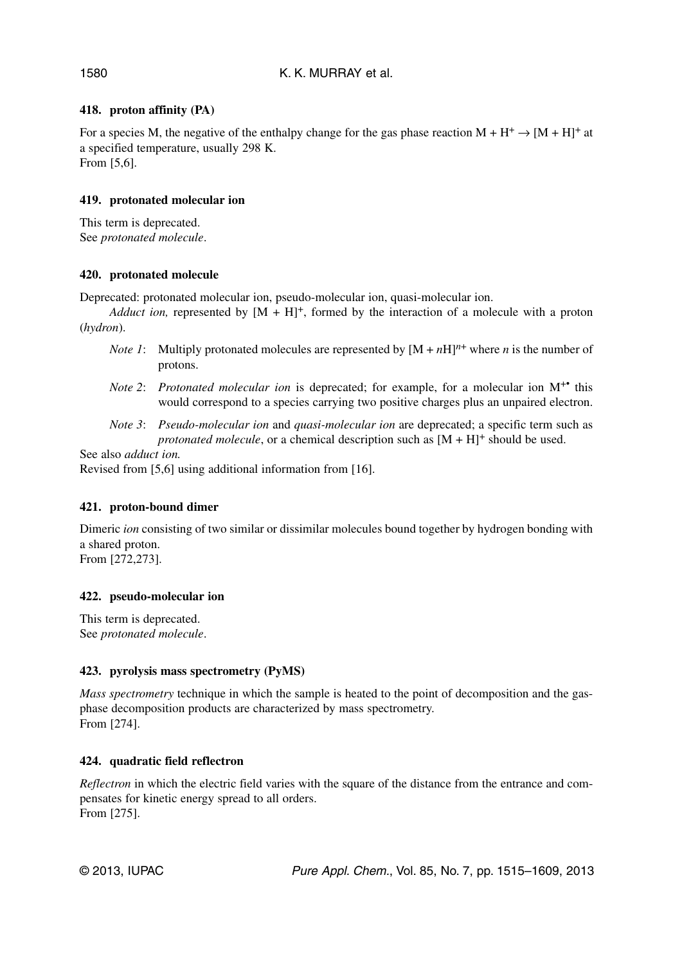## **418. proton affinity (PA)**

For a species M, the negative of the enthalpy change for the gas phase reaction  $M + H^+ \rightarrow [M + H]^+$  at a specified temperature, usually 298 K. From [5,6].

## **419. protonated molecular ion**

This term is deprecated. See *protonated molecule*.

## **420. protonated molecule**

Deprecated: protonated molecular ion, pseudo-molecular ion, quasi-molecular ion.

*Adduct ion,* represented by  $[M + H]^+$ , formed by the interaction of a molecule with a proton (*hydron*).

- *Note 1*: Multiply protonated molecules are represented by  $[M + nH]^{n+}$  where *n* is the number of protons.
- *Note 2: Protonated molecular ion* is deprecated; for example, for a molecular ion M<sup>+•</sup> this would correspond to a species carrying two positive charges plus an unpaired electron.
- *Note 3*: *Pseudo-molecular ion* and *quasi-molecular ion* are deprecated; a specific term such as *protonated molecule*, or a chemical description such as  $[M + H]$ <sup>+</sup> should be used.

See also *adduct ion.*

Revised from [5,6] using additional information from [16].

## **421. proton-bound dimer**

Dimeric *ion* consisting of two similar or dissimilar molecules bound together by hydrogen bonding with a shared proton. From [272,273].

**422. pseudo-molecular ion** 

This term is deprecated. See *protonated molecule*.

## **423. pyrolysis mass spectrometry (PyMS)**

*Mass spectrometry* technique in which the sample is heated to the point of decomposition and the gasphase decomposition products are characterized by mass spectrometry. From [274].

## **424. quadratic field reflectron**

*Reflectron* in which the electric field varies with the square of the distance from the entrance and compensates for kinetic energy spread to all orders. From [275].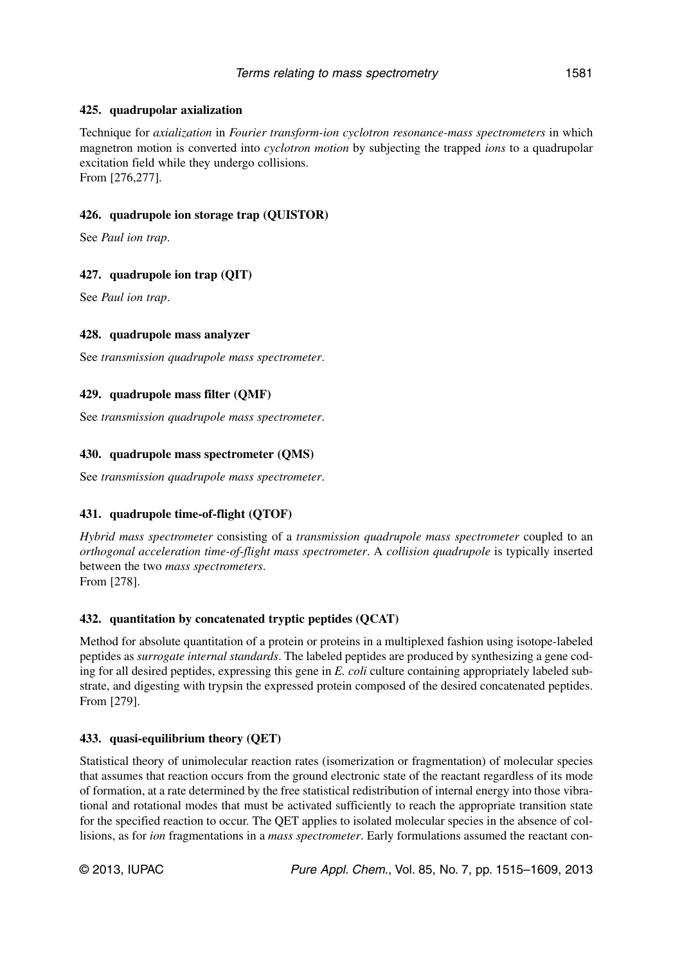## **425. quadrupolar axialization**

Technique for *axialization* in *Fourier transform-ion cyclotron resonance-mass spectrometers* in which magnetron motion is converted into *cyclotron motion* by subjecting the trapped *ions* to a quadrupolar excitation field while they undergo collisions. From [276,277].

## **426. quadrupole ion storage trap (QUISTOR)**

See *Paul ion trap*.

## **427. quadrupole ion trap (QIT)**

See *Paul ion trap*.

### **428. quadrupole mass analyzer**

See *transmission quadrupole mass spectrometer*.

### **429. quadrupole mass filter (QMF)**

See *transmission quadrupole mass spectrometer*.

### **430. quadrupole mass spectrometer (QMS)**

See *transmission quadrupole mass spectrometer*.

## **431. quadrupole time-of-flight (QTOF)**

*Hybrid mass spectrometer* consisting of a *transmission quadrupole mass spectrometer* coupled to an *orthogonal acceleration time-of-flight mass spectrometer*. A *collision quadrupole* is typically inserted between the two *mass spectrometers*. From [278].

## **432. quantitation by concatenated tryptic peptides (QCAT)**

Method for absolute quantitation of a protein or proteins in a multiplexed fashion using isotope-labeled peptides as *surrogate internal standards*. The labeled peptides are produced by synthesizing a gene coding for all desired peptides, expressing this gene in *E. coli* culture containing appropriately labeled substrate, and digesting with trypsin the expressed protein composed of the desired concatenated peptides. From [279].

#### **433. quasi-equilibrium theory (QET)**

Statistical theory of unimolecular reaction rates (isomerization or fragmentation) of molecular species that assumes that reaction occurs from the ground electronic state of the reactant regardless of its mode of formation, at a rate determined by the free statistical redistribution of internal energy into those vibrational and rotational modes that must be activated sufficiently to reach the appropriate transition state for the specified reaction to occur. The QET applies to isolated molecular species in the absence of collisions, as for *ion* fragmentations in a *mass spectrometer*. Early formulations assumed the reactant con-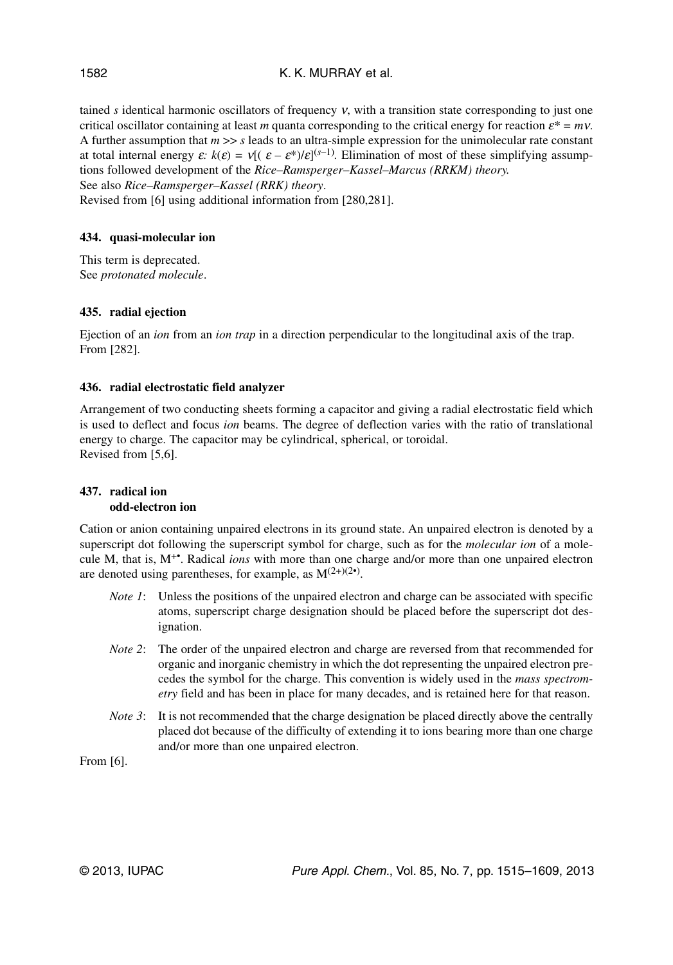## K. K. MURRAY et al.

tained *s* identical harmonic oscillators of frequency ν, with a transition state corresponding to just one critical oscillator containing at least *m* quanta corresponding to the critical energy for reaction  $\varepsilon^* = m \nu$ . A further assumption that  $m \gg s$  leads to an ultra-simple expression for the unimolecular rate constant at total internal energy  $\varepsilon$ :  $k(\varepsilon) = v[(\varepsilon - \varepsilon^*)/\varepsilon]^{(s-1)}$ . Elimination of most of these simplifying assumptions followed development of the *Rice–Ramsperger–Kassel–Marcus (RRKM) theory.* See also *Rice–Ramsperger–Kassel (RRK) theory*.

Revised from [6] using additional information from [280,281].

## **434. quasi-molecular ion**

This term is deprecated. See *protonated molecule*.

### **435. radial ejection**

Ejection of an *ion* from an *ion trap* in a direction perpendicular to the longitudinal axis of the trap. From [282].

### **436. radial electrostatic field analyzer**

Arrangement of two conducting sheets forming a capacitor and giving a radial electrostatic field which is used to deflect and focus *ion* beams. The degree of deflection varies with the ratio of translational energy to charge. The capacitor may be cylindrical, spherical, or toroidal. Revised from [5,6].

#### **437. radical ion odd-electron ion**

Cation or anion containing unpaired electrons in its ground state. An unpaired electron is denoted by a superscript dot following the superscript symbol for charge, such as for the *molecular ion* of a molecule M, that is, M+•. Radical *ions* with more than one charge and/or more than one unpaired electron are denoted using parentheses, for example, as  $M^{(2+)(2)}$ .

- *Note 1*: Unless the positions of the unpaired electron and charge can be associated with specific atoms, superscript charge designation should be placed before the superscript dot designation.
- *Note 2*: The order of the unpaired electron and charge are reversed from that recommended for organic and inorganic chemistry in which the dot representing the unpaired electron precedes the symbol for the charge. This convention is widely used in the *mass spectrometry* field and has been in place for many decades, and is retained here for that reason.
- *Note 3*: It is not recommended that the charge designation be placed directly above the centrally placed dot because of the difficulty of extending it to ions bearing more than one charge and/or more than one unpaired electron.

From [6].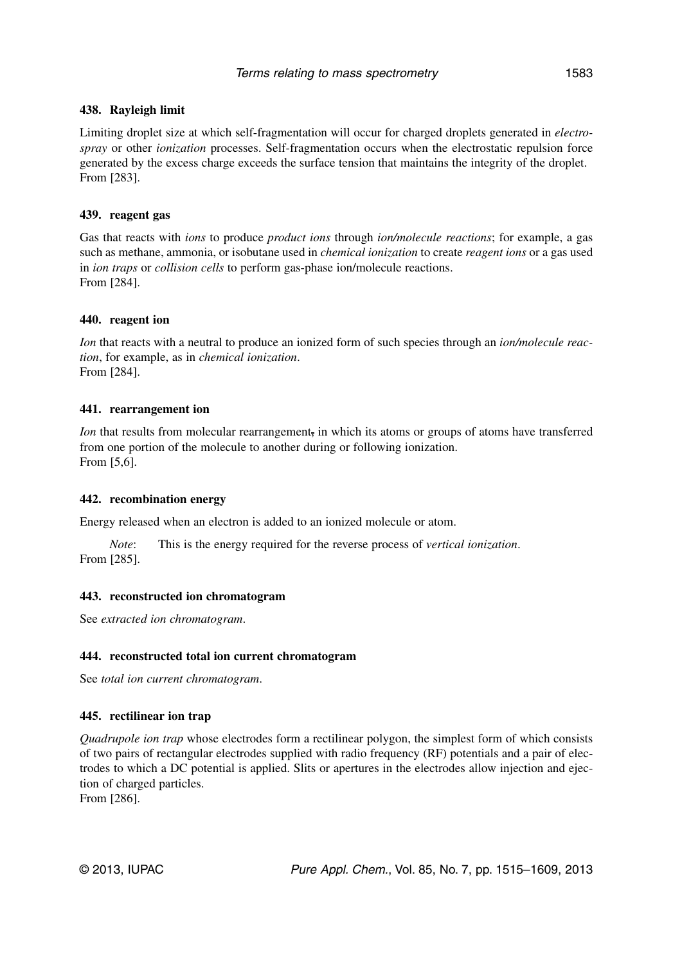### Terms relating to mass spectrometry 1583

### **438. Rayleigh limit**

Limiting droplet size at which self-fragmentation will occur for charged droplets generated in *electrospray* or other *ionization* processes. Self-fragmentation occurs when the electrostatic repulsion force generated by the excess charge exceeds the surface tension that maintains the integrity of the droplet. From [283].

### **439. reagent gas**

Gas that reacts with *ions* to produce *product ions* through *ion/molecule reactions*; for example, a gas such as methane, ammonia, or isobutane used in *chemical ionization* to create *reagent ions* or a gas used in *ion traps* or *collision cells* to perform gas-phase ion/molecule reactions. From [284].

### **440. reagent ion**

*Ion* that reacts with a neutral to produce an ionized form of such species through an *ion/molecule reaction*, for example, as in *chemical ionization*. From [284].

### **441. rearrangement ion**

*Ion* that results from molecular rearrangement, in which its atoms or groups of atoms have transferred from one portion of the molecule to another during or following ionization. From [5,6].

#### **442. recombination energy**

Energy released when an electron is added to an ionized molecule or atom.

*Note*: This is the energy required for the reverse process of *vertical ionization*. From [285].

#### **443. reconstructed ion chromatogram**

See *extracted ion chromatogram*.

## **444. reconstructed total ion current chromatogram**

See *total ion current chromatogram*.

## **445. rectilinear ion trap**

*Quadrupole ion trap* whose electrodes form a rectilinear polygon, the simplest form of which consists of two pairs of rectangular electrodes supplied with radio frequency (RF) potentials and a pair of electrodes to which a DC potential is applied. Slits or apertures in the electrodes allow injection and ejection of charged particles.

From [286].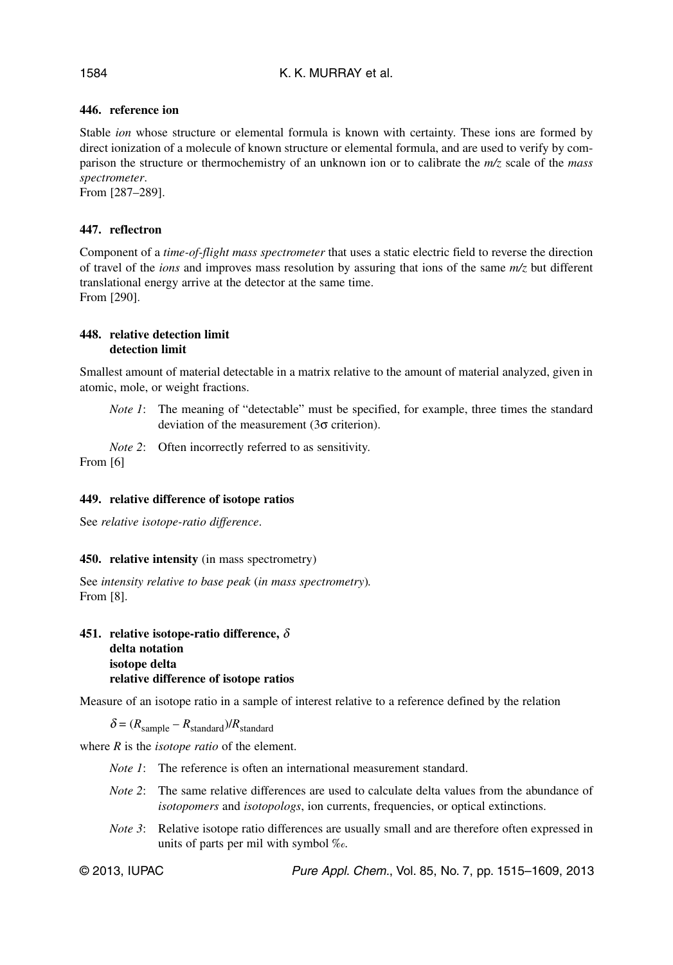## **446. reference ion**

Stable *ion* whose structure or elemental formula is known with certainty. These ions are formed by direct ionization of a molecule of known structure or elemental formula, and are used to verify by comparison the structure or thermochemistry of an unknown ion or to calibrate the *m/z* scale of the *mass spectrometer*.

From [287–289].

## **447. reflectron**

Component of a *time-of-flight mass spectrometer* that uses a static electric field to reverse the direction of travel of the *ions* and improves mass resolution by assuring that ions of the same *m/z* but different translational energy arrive at the detector at the same time. From [290].

#### **448. relative detection limit detection limit**

Smallest amount of material detectable in a matrix relative to the amount of material analyzed, given in atomic, mole, or weight fractions.

*Note 1*: The meaning of "detectable" must be specified, for example, three times the standard deviation of the measurement (3σ criterion).

*Note 2*: Often incorrectly referred to as sensitivity.

From [6]

#### **449. relative difference of isotope ratios**

See *relative isotope-ratio difference*.

#### **450. relative intensity** (in mass spectrometry)

See *intensity relative to base peak* (*in mass spectrometry*)*.* From [8].

#### **451. relative isotope-ratio difference,** δ **delta notation isotope delta relative difference of isotope ratios**

Measure of an isotope ratio in a sample of interest relative to a reference defined by the relation

 $\delta = (R_{sample} - R_{standard})/R_{standard}$ 

where *R* is the *isotope ratio* of the element.

- *Note 1*: The reference is often an international measurement standard.
- *Note 2*: The same relative differences are used to calculate delta values from the abundance of *isotopomers* and *isotopologs*, ion currents, frequencies, or optical extinctions.
- *Note 3*: Relative isotope ratio differences are usually small and are therefore often expressed in units of parts per mil with symbol ‰.

© 2013, IUPAC Pure Appl. Chem., Vol. 85, No. 7, pp. 1515–1609, 2013

#### 1584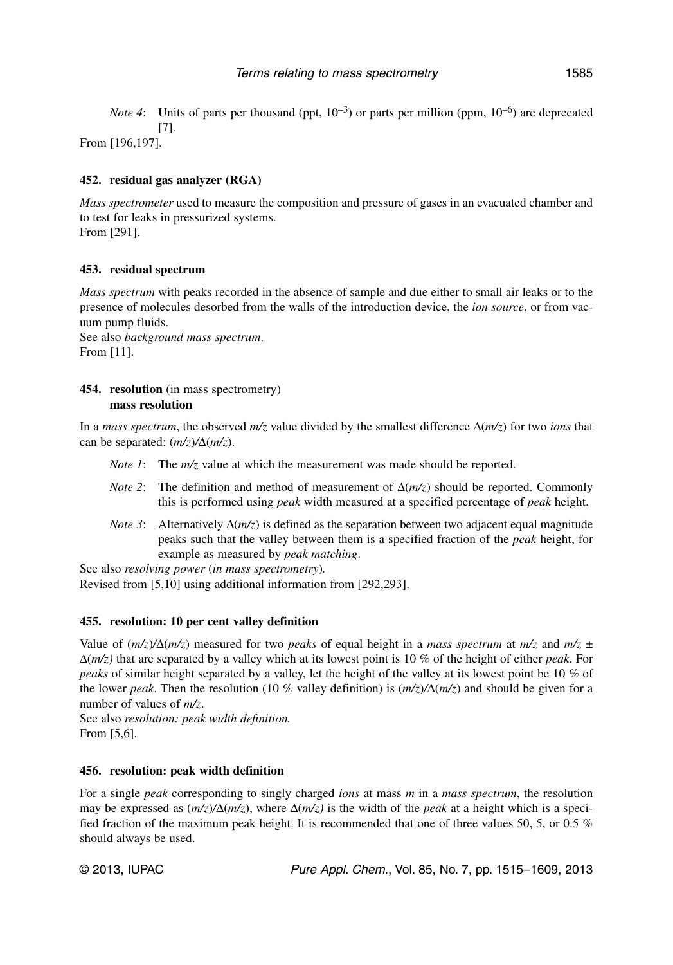*Note 4*: Units of parts per thousand (ppt,  $10^{-3}$ ) or parts per million (ppm,  $10^{-6}$ ) are deprecated [7].

From [196,197].

### **452. residual gas analyzer (RGA)**

*Mass spectrometer* used to measure the composition and pressure of gases in an evacuated chamber and to test for leaks in pressurized systems. From [291].

### **453. residual spectrum**

*Mass spectrum* with peaks recorded in the absence of sample and due either to small air leaks or to the presence of molecules desorbed from the walls of the introduction device, the *ion source*, or from vacuum pump fluids. See also *background mass spectrum*.

From [11].

#### **454. resolution** (in mass spectrometry) **mass resolution**

In a *mass spectrum*, the observed *m/z* value divided by the smallest difference Δ(*m/z*) for two *ions* that can be separated: (*m/z*)*/*Δ(*m/z*).

- *Note 1*: The  $m/z$  value at which the measurement was made should be reported.
- *Note 2*: The definition and method of measurement of  $\Delta(m/z)$  should be reported. Commonly this is performed using *peak* width measured at a specified percentage of *peak* height.
- *Note 3*: Alternatively  $\Delta$ (*m/z*) is defined as the separation between two adjacent equal magnitude peaks such that the valley between them is a specified fraction of the *peak* height, for example as measured by *peak matching*.

See also *resolving power* (*in mass spectrometry*)*.* Revised from [5,10] using additional information from [292,293].

#### **455. resolution: 10 per cent valley definition**

Value of  $(m/z)/\Delta(m/z)$  measured for two *peaks* of equal height in a *mass spectrum* at  $m/z$  and  $m/z \pm$ Δ(*m/z)* that are separated by a valley which at its lowest point is 10 % of the height of either *peak*. For *peaks* of similar height separated by a valley, let the height of the valley at its lowest point be 10 % of the lower *peak*. Then the resolution (10 % valley definition) is (*m/z*)*/*Δ(*m/z*) and should be given for a number of values of *m/z*.

See also *resolution: peak width definition.* From [5,6].

#### **456. resolution: peak width definition**

For a single *peak* corresponding to singly charged *ions* at mass *m* in a *mass spectrum*, the resolution may be expressed as  $(m/z)/\Delta(m/z)$ , where  $\Delta(m/z)$  is the width of the *peak* at a height which is a specified fraction of the maximum peak height. It is recommended that one of three values 50, 5, or 0.5 % should always be used.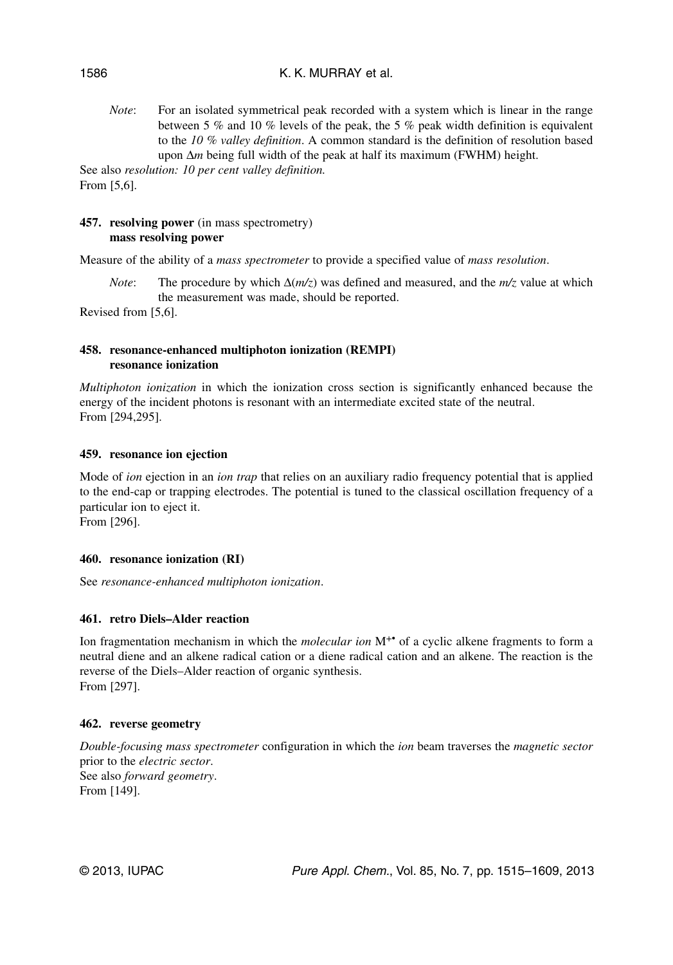### K. K. MURRAY et al.

*Note*: For an isolated symmetrical peak recorded with a system which is linear in the range between 5 % and 10 % levels of the peak, the 5 % peak width definition is equivalent to the *10 % valley definition*. A common standard is the definition of resolution based upon Δ*m* being full width of the peak at half its maximum (FWHM) height.

See also *resolution: 10 per cent valley definition.* From [5,6].

#### **457. resolving power** (in mass spectrometry) **mass resolving power**

Measure of the ability of a *mass spectrometer* to provide a specified value of *mass resolution*.

*Note*: The procedure by which  $\Delta(m/z)$  was defined and measured, and the  $m/z$  value at which the measurement was made, should be reported.

Revised from [5,6].

#### **458. resonance-enhanced multiphoton ionization (REMPI) resonance ionization**

*Multiphoton ionization* in which the ionization cross section is significantly enhanced because the energy of the incident photons is resonant with an intermediate excited state of the neutral. From [294,295].

#### **459. resonance ion ejection**

Mode of *ion* ejection in an *ion trap* that relies on an auxiliary radio frequency potential that is applied to the end-cap or trapping electrodes. The potential is tuned to the classical oscillation frequency of a particular ion to eject it. From [296].

#### **460. resonance ionization (RI)**

See *resonance-enhanced multiphoton ionization*.

#### **461. retro Diels–Alder reaction**

Ion fragmentation mechanism in which the *molecular ion* M+• of a cyclic alkene fragments to form a neutral diene and an alkene radical cation or a diene radical cation and an alkene. The reaction is the reverse of the Diels–Alder reaction of organic synthesis. From [297].

#### **462. reverse geometry**

*Double-focusing mass spectrometer* configuration in which the *ion* beam traverses the *magnetic sector* prior to the *electric sector*. See also *forward geometry*. From [149].

1586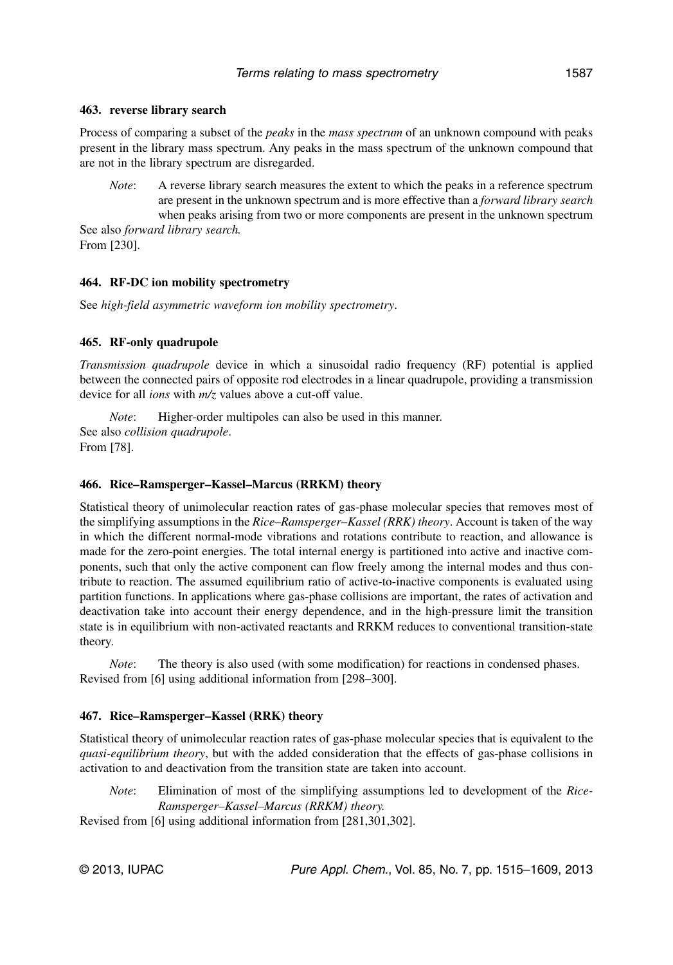#### **463. reverse library search**

Process of comparing a subset of the *peaks* in the *mass spectrum* of an unknown compound with peaks present in the library mass spectrum. Any peaks in the mass spectrum of the unknown compound that are not in the library spectrum are disregarded.

*Note*: A reverse library search measures the extent to which the peaks in a reference spectrum are present in the unknown spectrum and is more effective than a *forward library search* when peaks arising from two or more components are present in the unknown spectrum See also *forward library search.*

From [230].

#### **464. RF-DC ion mobility spectrometry**

See *high-field asymmetric waveform ion mobility spectrometry*.

#### **465. RF-only quadrupole**

*Transmission quadrupole* device in which a sinusoidal radio frequency (RF) potential is applied between the connected pairs of opposite rod electrodes in a linear quadrupole, providing a transmission device for all *ions* with *m/z* values above a cut-off value.

*Note*: Higher-order multipoles can also be used in this manner. See also *collision quadrupole*. From [78].

#### **466. Rice–Ramsperger–Kassel–Marcus (RRKM) theory**

Statistical theory of unimolecular reaction rates of gas-phase molecular species that removes most of the simplifying assumptions in the *Rice–Ramsperger–Kassel (RRK) theory*. Account is taken of the way in which the different normal-mode vibrations and rotations contribute to reaction, and allowance is made for the zero-point energies. The total internal energy is partitioned into active and inactive components, such that only the active component can flow freely among the internal modes and thus contribute to reaction. The assumed equilibrium ratio of active-to-inactive components is evaluated using partition functions. In applications where gas-phase collisions are important, the rates of activation and deactivation take into account their energy dependence, and in the high-pressure limit the transition state is in equilibrium with non-activated reactants and RRKM reduces to conventional transition-state theory.

*Note*: The theory is also used (with some modification) for reactions in condensed phases. Revised from [6] using additional information from [298–300].

#### **467. Rice–Ramsperger–Kassel (RRK) theory**

Statistical theory of unimolecular reaction rates of gas-phase molecular species that is equivalent to the *quasi-equilibrium theory*, but with the added consideration that the effects of gas-phase collisions in activation to and deactivation from the transition state are taken into account.

*Note*: Elimination of most of the simplifying assumptions led to development of the *Rice-Ramsperger–Kassel–Marcus (RRKM) theory.*

Revised from [6] using additional information from [281,301,302].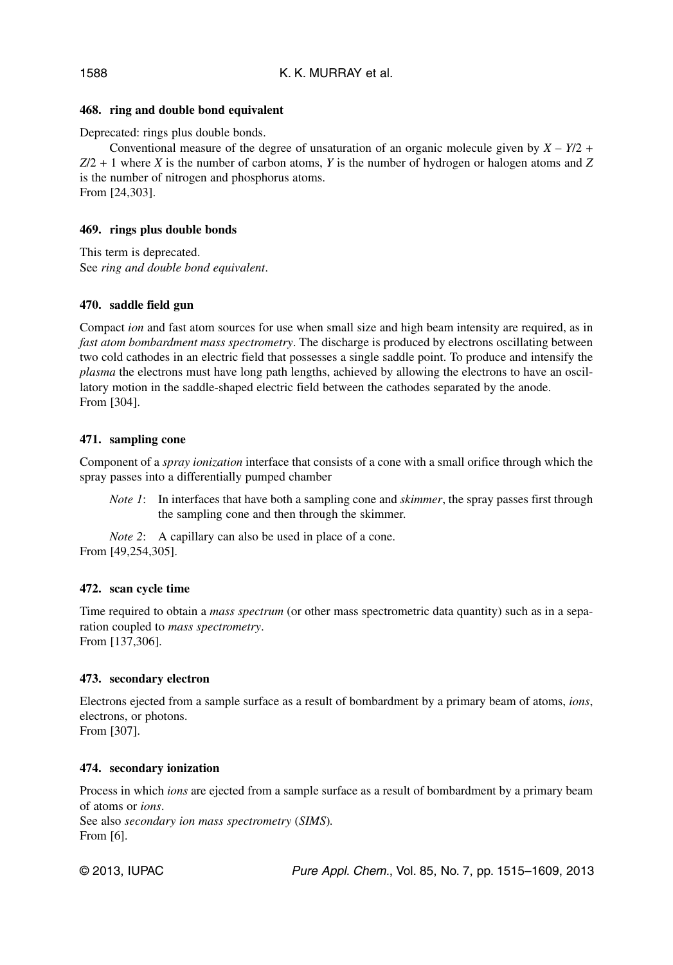# **468. ring and double bond equivalent**

Deprecated: rings plus double bonds.

Conventional measure of the degree of unsaturation of an organic molecule given by  $X - Y/2$  + *Z*/2 + 1 where *X* is the number of carbon atoms, *Y* is the number of hydrogen or halogen atoms and *Z* is the number of nitrogen and phosphorus atoms. From [24,303].

## **469. rings plus double bonds**

This term is deprecated. See *ring and double bond equivalent*.

### **470. saddle field gun**

Compact *ion* and fast atom sources for use when small size and high beam intensity are required, as in *fast atom bombardment mass spectrometry*. The discharge is produced by electrons oscillating between two cold cathodes in an electric field that possesses a single saddle point. To produce and intensify the *plasma* the electrons must have long path lengths, achieved by allowing the electrons to have an oscillatory motion in the saddle-shaped electric field between the cathodes separated by the anode. From [304].

### **471. sampling cone**

Component of a *spray ionization* interface that consists of a cone with a small orifice through which the spray passes into a differentially pumped chamber

*Note 1*: In interfaces that have both a sampling cone and *skimmer*, the spray passes first through the sampling cone and then through the skimmer.

*Note 2*: A capillary can also be used in place of a cone. From [49,254,305].

# **472. scan cycle time**

Time required to obtain a *mass spectrum* (or other mass spectrometric data quantity) such as in a separation coupled to *mass spectrometry*. From [137,306].

#### **473. secondary electron**

Electrons ejected from a sample surface as a result of bombardment by a primary beam of atoms, *ions*, electrons, or photons.

From [307].

# **474. secondary ionization**

Process in which *ions* are ejected from a sample surface as a result of bombardment by a primary beam of atoms or *ions*. See also *secondary ion mass spectrometry* (*SIMS*)*.* From [6].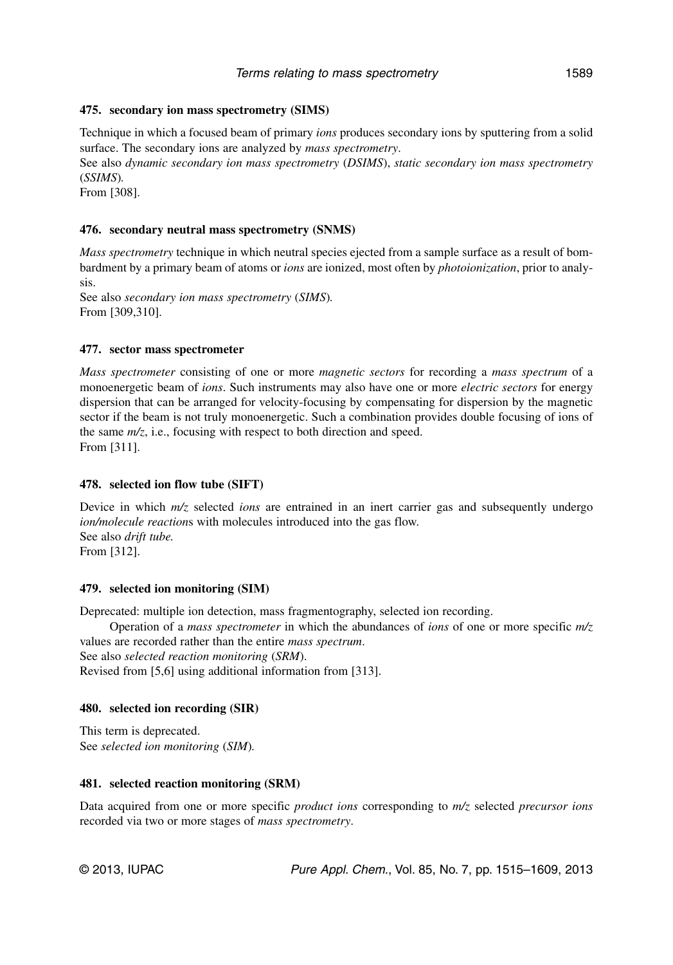### **475. secondary ion mass spectrometry (SIMS)**

Technique in which a focused beam of primary *ions* produces secondary ions by sputtering from a solid surface. The secondary ions are analyzed by *mass spectrometry*.

See also *dynamic secondary ion mass spectrometry* (*DSIMS*), *static secondary ion mass spectrometry* (*SSIMS*)*.*

From [308].

## **476. secondary neutral mass spectrometry (SNMS)**

*Mass spectrometry* technique in which neutral species ejected from a sample surface as a result of bombardment by a primary beam of atoms or *ions* are ionized, most often by *photoionization*, prior to analysis.

See also *secondary ion mass spectrometry* (*SIMS*)*.* From [309,310].

#### **477. sector mass spectrometer**

*Mass spectrometer* consisting of one or more *magnetic sectors* for recording a *mass spectrum* of a monoenergetic beam of *ions*. Such instruments may also have one or more *electric sectors* for energy dispersion that can be arranged for velocity-focusing by compensating for dispersion by the magnetic sector if the beam is not truly monoenergetic. Such a combination provides double focusing of ions of the same *m/z*, i.e., focusing with respect to both direction and speed. From [311].

#### **478. selected ion flow tube (SIFT)**

Device in which *m/z* selected *ions* are entrained in an inert carrier gas and subsequently undergo *ion/molecule reaction*s with molecules introduced into the gas flow. See also *drift tube.* From [312].

#### **479. selected ion monitoring (SIM)**

Deprecated: multiple ion detection, mass fragmentography, selected ion recording.

Operation of a *mass spectrometer* in which the abundances of *ions* of one or more specific *m/z* values are recorded rather than the entire *mass spectrum*. See also *selected reaction monitoring* (*SRM*).

Revised from [5,6] using additional information from [313].

#### **480. selected ion recording (SIR)**

This term is deprecated. See *selected ion monitoring* (*SIM*)*.*

#### **481. selected reaction monitoring (SRM)**

Data acquired from one or more specific *product ions* corresponding to *m/z* selected *precursor ions* recorded via two or more stages of *mass spectrometry*.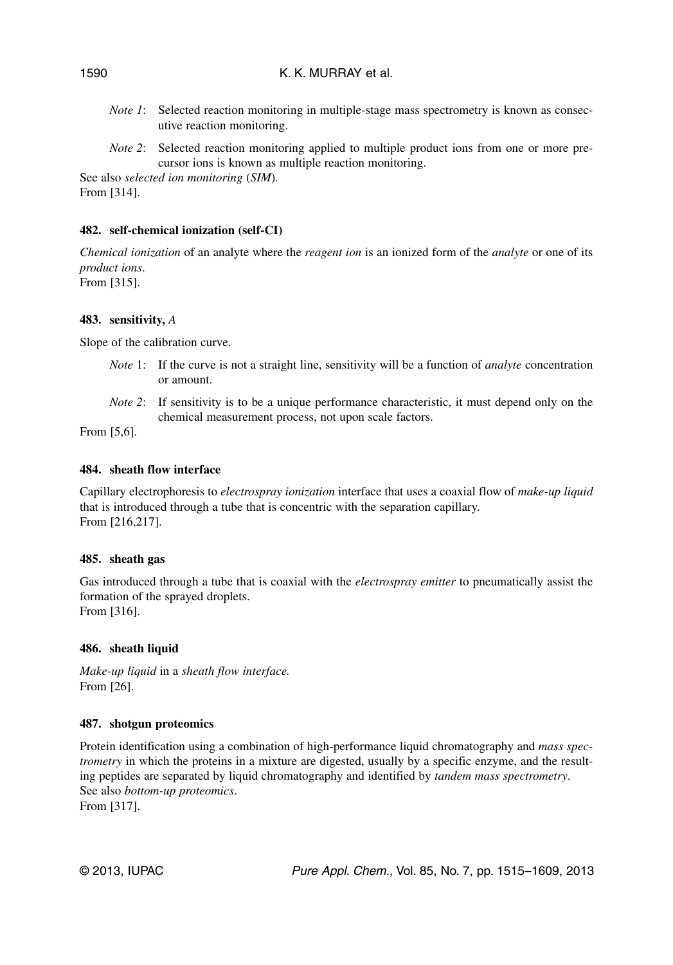- *Note 1*: Selected reaction monitoring in multiple-stage mass spectrometry is known as consecutive reaction monitoring.
- *Note 2*: Selected reaction monitoring applied to multiple product ions from one or more precursor ions is known as multiple reaction monitoring.

See also *selected ion monitoring* (*SIM*)*.* From [314].

# **482. self-chemical ionization (self-CI)**

*Chemical ionization* of an analyte where the *reagent ion* is an ionized form of the *analyte* or one of its *product ions*. From [315].

# **483. sensitivity,** *A*

Slope of the calibration curve.

- *Note* 1: If the curve is not a straight line, sensitivity will be a function of *analyte* concentration or amount.
- *Note* 2: If sensitivity is to be a unique performance characteristic, it must depend only on the chemical measurement process, not upon scale factors.

From [5,6].

# **484. sheath flow interface**

Capillary electrophoresis to *electrospray ionization* interface that uses a coaxial flow of *make-up liquid* that is introduced through a tube that is concentric with the separation capillary. From [216,217].

# **485. sheath gas**

Gas introduced through a tube that is coaxial with the *electrospray emitter* to pneumatically assist the formation of the sprayed droplets. From [316].

# **486. sheath liquid**

*Make-up liquid* in a *sheath flow interface.* From [26].

# **487. shotgun proteomics**

Protein identification using a combination of high-performance liquid chromatography and *mass spectrometry* in which the proteins in a mixture are digested, usually by a specific enzyme, and the resulting peptides are separated by liquid chromatography and identified by *tandem mass spectrometry*. See also *bottom-up proteomics*. From [317].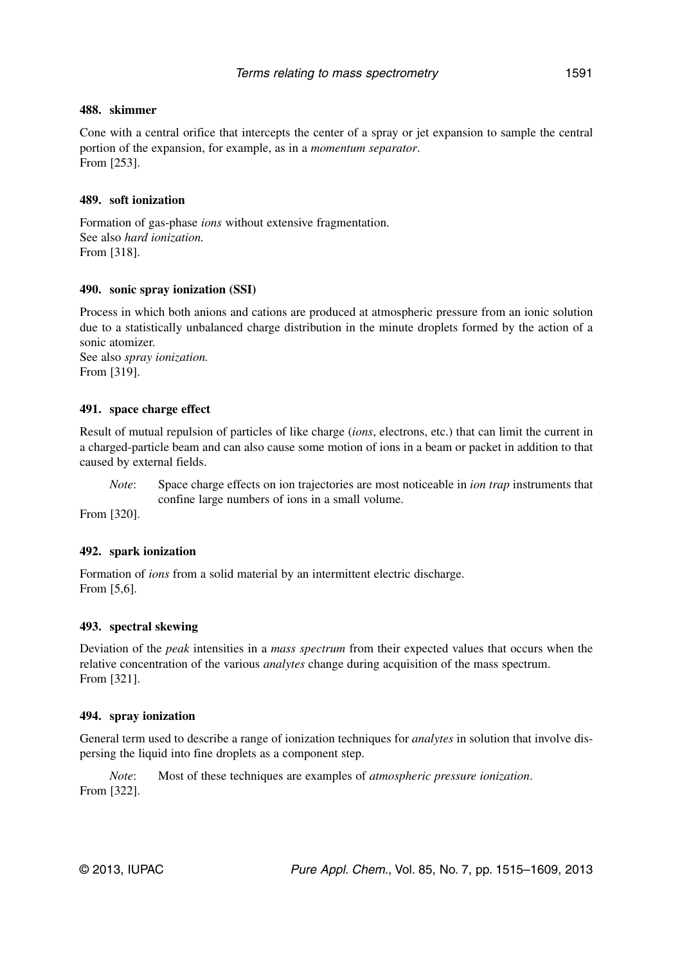### **488. skimmer**

Cone with a central orifice that intercepts the center of a spray or jet expansion to sample the central portion of the expansion, for example, as in a *momentum separator*. From [253].

## **489. soft ionization**

Formation of gas-phase *ions* without extensive fragmentation. See also *hard ionization.* From [318].

### **490. sonic spray ionization (SSI)**

Process in which both anions and cations are produced at atmospheric pressure from an ionic solution due to a statistically unbalanced charge distribution in the minute droplets formed by the action of a sonic atomizer.

See also *spray ionization.* From [319].

### **491. space charge effect**

Result of mutual repulsion of particles of like charge (*ions*, electrons, etc.) that can limit the current in a charged-particle beam and can also cause some motion of ions in a beam or packet in addition to that caused by external fields.

*Note*: Space charge effects on ion trajectories are most noticeable in *ion trap* instruments that confine large numbers of ions in a small volume.

From [320].

# **492. spark ionization**

Formation of *ions* from a solid material by an intermittent electric discharge. From [5,6].

# **493. spectral skewing**

Deviation of the *peak* intensities in a *mass spectrum* from their expected values that occurs when the relative concentration of the various *analytes* change during acquisition of the mass spectrum. From [321].

#### **494. spray ionization**

General term used to describe a range of ionization techniques for *analytes* in solution that involve dispersing the liquid into fine droplets as a component step.

*Note*: Most of these techniques are examples of *atmospheric pressure ionization*. From [322].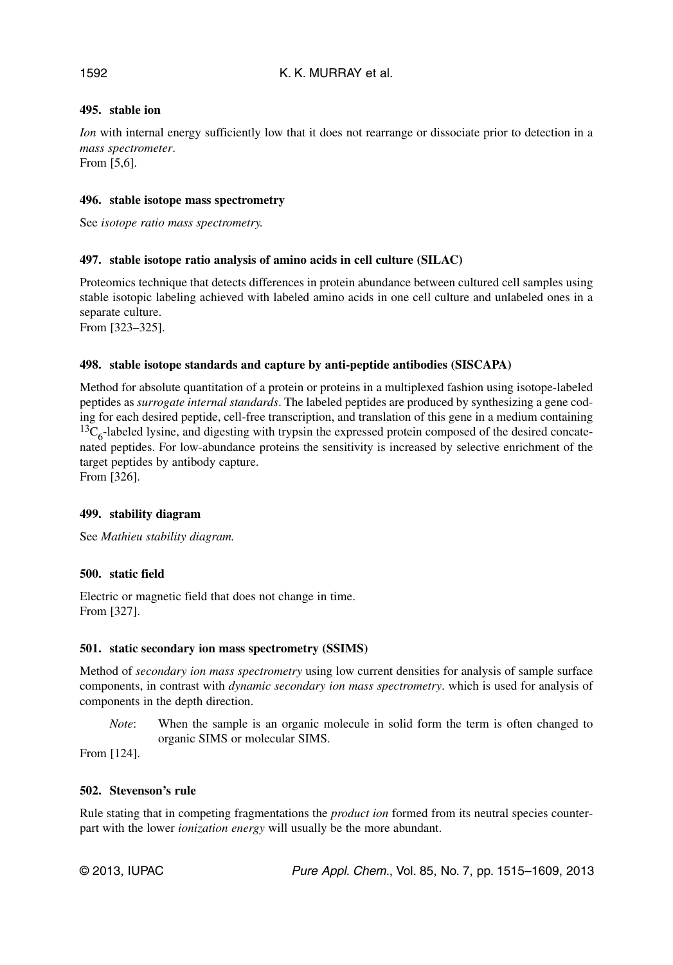# **495. stable ion**

*Ion* with internal energy sufficiently low that it does not rearrange or dissociate prior to detection in a *mass spectrometer*.

From [5,6].

### **496. stable isotope mass spectrometry**

See *isotope ratio mass spectrometry.*

# **497. stable isotope ratio analysis of amino acids in cell culture (SILAC)**

Proteomics technique that detects differences in protein abundance between cultured cell samples using stable isotopic labeling achieved with labeled amino acids in one cell culture and unlabeled ones in a separate culture.

From [323–325].

# **498. stable isotope standards and capture by anti-peptide antibodies (SISCAPA)**

Method for absolute quantitation of a protein or proteins in a multiplexed fashion using isotope-labeled peptides as *surrogate internal standards*. The labeled peptides are produced by synthesizing a gene coding for each desired peptide, cell-free transcription, and translation of this gene in a medium containing  $^{13}C_6$ -labeled lysine, and digesting with trypsin the expressed protein composed of the desired concatenated peptides. For low-abundance proteins the sensitivity is increased by selective enrichment of the target peptides by antibody capture.

From [326].

# **499. stability diagram**

See *Mathieu stability diagram.*

# **500. static field**

Electric or magnetic field that does not change in time. From [327].

#### **501. static secondary ion mass spectrometry (SSIMS)**

Method of *secondary ion mass spectrometry* using low current densities for analysis of sample surface components, in contrast with *dynamic secondary ion mass spectrometry*. which is used for analysis of components in the depth direction.

*Note*: When the sample is an organic molecule in solid form the term is often changed to organic SIMS or molecular SIMS.

From [124].

#### **502. Stevenson's rule**

Rule stating that in competing fragmentations the *product ion* formed from its neutral species counterpart with the lower *ionization energy* will usually be the more abundant.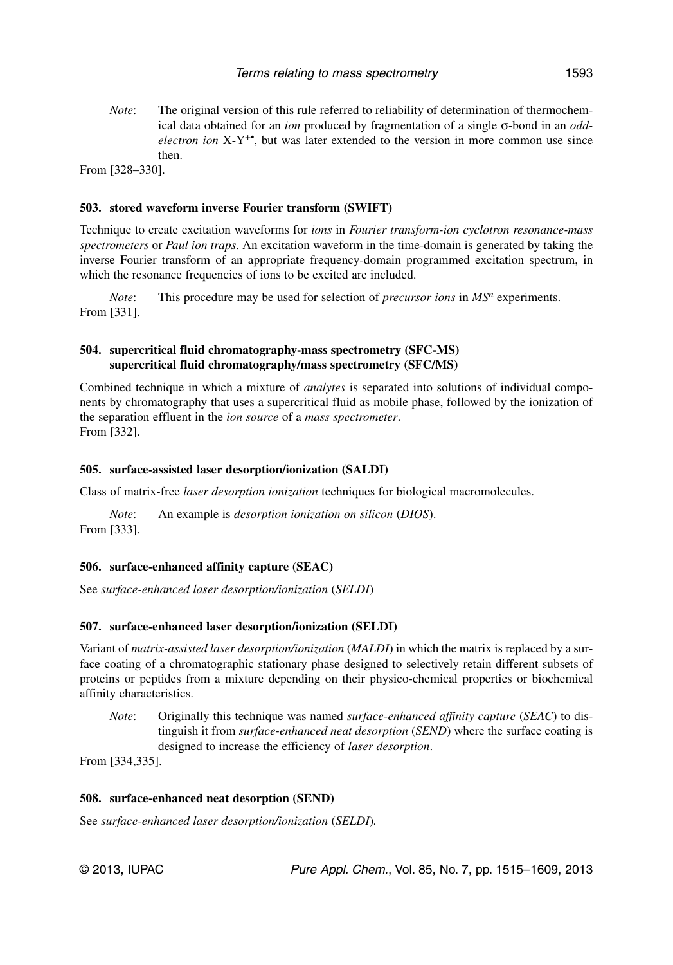*Note*: The original version of this rule referred to reliability of determination of thermochemical data obtained for an *ion* produced by fragmentation of a single σ-bond in an *oddelectron ion* X-Y<sup>+•</sup>, but was later extended to the version in more common use since then.

From [328–330].

#### **503. stored waveform inverse Fourier transform (SWIFT)**

Technique to create excitation waveforms for *ions* in *Fourier transform-ion cyclotron resonance-mass spectrometers* or *Paul ion traps*. An excitation waveform in the time-domain is generated by taking the inverse Fourier transform of an appropriate frequency-domain programmed excitation spectrum, in which the resonance frequencies of ions to be excited are included.

*Note*: This procedure may be used for selection of *precursor ions* in  $MS<sup>n</sup>$  experiments. From [331].

#### **504. supercritical fluid chromatography-mass spectrometry (SFC-MS) supercritical fluid chromatography/mass spectrometry (SFC/MS)**

Combined technique in which a mixture of *analytes* is separated into solutions of individual components by chromatography that uses a supercritical fluid as mobile phase, followed by the ionization of the separation effluent in the *ion source* of a *mass spectrometer*. From [332].

#### **505. surface-assisted laser desorption/ionization (SALDI)**

Class of matrix-free *laser desorption ionization* techniques for biological macromolecules.

*Note*: An example is *desorption ionization on silicon* (*DIOS*). From [333].

#### **506. surface-enhanced affinity capture (SEAC)**

See *surface-enhanced laser desorption/ionization* (*SELDI*)

#### **507. surface-enhanced laser desorption/ionization (SELDI)**

Variant of *matrix-assisted laser desorption/ionization* (*MALDI*) in which the matrix is replaced by a surface coating of a chromatographic stationary phase designed to selectively retain different subsets of proteins or peptides from a mixture depending on their physico-chemical properties or biochemical affinity characteristics.

*Note*: Originally this technique was named *surface-enhanced affinity capture* (*SEAC*) to distinguish it from *surface-enhanced neat desorption* (*SEND*) where the surface coating is designed to increase the efficiency of *laser desorption*.

From [334,335].

#### **508. surface-enhanced neat desorption (SEND)**

See *surface-enhanced laser desorption/ionization* (*SELDI*)*.*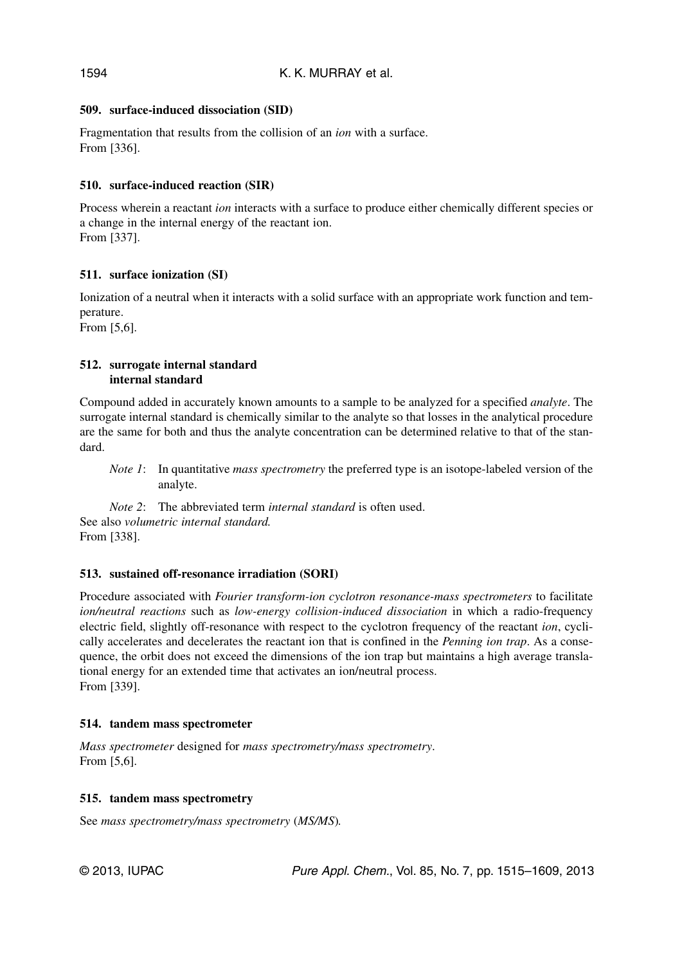## **509. surface-induced dissociation (SID)**

Fragmentation that results from the collision of an *ion* with a surface. From [336].

# **510. surface-induced reaction (SIR)**

Process wherein a reactant *ion* interacts with a surface to produce either chemically different species or a change in the internal energy of the reactant ion. From [337].

# **511. surface ionization (SI)**

Ionization of a neutral when it interacts with a solid surface with an appropriate work function and temperature.

From [5,6].

### **512. surrogate internal standard internal standard**

Compound added in accurately known amounts to a sample to be analyzed for a specified *analyte*. The surrogate internal standard is chemically similar to the analyte so that losses in the analytical procedure are the same for both and thus the analyte concentration can be determined relative to that of the standard.

*Note 1*: In quantitative *mass spectrometry* the preferred type is an isotope-labeled version of the analyte.

*Note 2*: The abbreviated term *internal standard* is often used. See also *volumetric internal standard.* From [338].

# **513. sustained off-resonance irradiation (SORI)**

Procedure associated with *Fourier transform-ion cyclotron resonance-mass spectrometers* to facilitate *ion/neutral reactions* such as *low-energy collision-induced dissociation* in which a radio-frequency electric field, slightly off-resonance with respect to the cyclotron frequency of the reactant *ion*, cyclically accelerates and decelerates the reactant ion that is confined in the *Penning ion trap*. As a consequence, the orbit does not exceed the dimensions of the ion trap but maintains a high average translational energy for an extended time that activates an ion/neutral process. From [339].

#### **514. tandem mass spectrometer**

*Mass spectrometer* designed for *mass spectrometry/mass spectrometry*. From [5,6].

#### **515. tandem mass spectrometry**

See *mass spectrometry/mass spectrometry* (*MS/MS*)*.*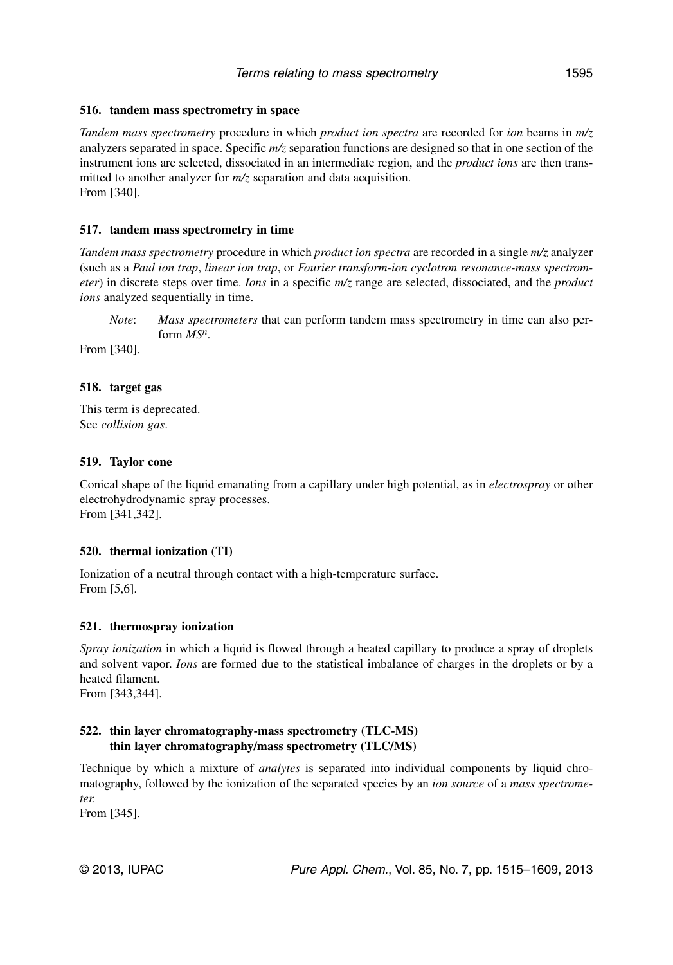# **516. tandem mass spectrometry in space**

*Tandem mass spectrometry* procedure in which *product ion spectra* are recorded for *ion* beams in *m/z* analyzers separated in space. Specific *m/z* separation functions are designed so that in one section of the instrument ions are selected, dissociated in an intermediate region, and the *product ions* are then transmitted to another analyzer for  $m/z$  separation and data acquisition. From [340].

# **517. tandem mass spectrometry in time**

*Tandem mass spectrometry* procedure in which *product ion spectra* are recorded in a single *m/z* analyzer (such as a *Paul ion trap*, *linear ion trap*, or *Fourier transform-ion cyclotron resonance-mass spectrometer*) in discrete steps over time. *Ions* in a specific *m/z* range are selected, dissociated, and the *product ions* analyzed sequentially in time.

*Note*: *Mass spectrometers* that can perform tandem mass spectrometry in time can also perform *MSn*.

From [340].

# **518. target gas**

This term is deprecated. See *collision gas*.

# **519. Taylor cone**

Conical shape of the liquid emanating from a capillary under high potential, as in *electrospray* or other electrohydrodynamic spray processes. From [341,342].

# **520. thermal ionization (TI)**

Ionization of a neutral through contact with a high-temperature surface. From [5,6].

# **521. thermospray ionization**

*Spray ionization* in which a liquid is flowed through a heated capillary to produce a spray of droplets and solvent vapor. *Ions* are formed due to the statistical imbalance of charges in the droplets or by a heated filament.

From [343,344].

# **522. thin layer chromatography-mass spectrometry (TLC-MS) thin layer chromatography/mass spectrometry (TLC/MS)**

Technique by which a mixture of *analytes* is separated into individual components by liquid chromatography, followed by the ionization of the separated species by an *ion source* of a *mass spectrometer.*

From [345].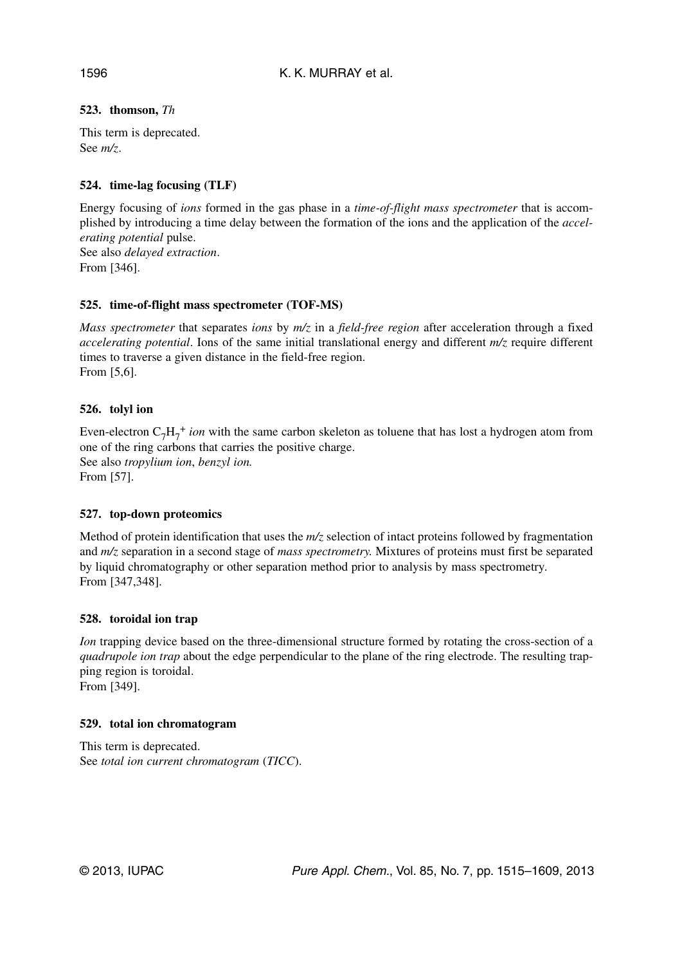# **523. thomson,** *Th*

This term is deprecated. See *m/z*.

## **524. time-lag focusing (TLF)**

Energy focusing of *ions* formed in the gas phase in a *time-of-flight mass spectrometer* that is accomplished by introducing a time delay between the formation of the ions and the application of the *accelerating potential* pulse.

See also *delayed extraction*. From [346].

#### **525. time-of-flight mass spectrometer (TOF-MS)**

*Mass spectrometer* that separates *ions* by *m/z* in a *field-free region* after acceleration through a fixed *accelerating potential*. Ions of the same initial translational energy and different *m/z* require different times to traverse a given distance in the field-free region. From [5,6].

### **526. tolyl ion**

Even-electron  $C_7H_7^+$  *ion* with the same carbon skeleton as toluene that has lost a hydrogen atom from one of the ring carbons that carries the positive charge. See also *tropylium ion*, *benzyl ion.* From [57].

#### **527. top-down proteomics**

Method of protein identification that uses the *m/z* selection of intact proteins followed by fragmentation and *m/z* separation in a second stage of *mass spectrometry.* Mixtures of proteins must first be separated by liquid chromatography or other separation method prior to analysis by mass spectrometry*.* From [347,348].

#### **528. toroidal ion trap**

*Ion* trapping device based on the three-dimensional structure formed by rotating the cross-section of a *quadrupole ion trap* about the edge perpendicular to the plane of the ring electrode. The resulting trapping region is toroidal.

From [349].

#### **529. total ion chromatogram**

This term is deprecated. See *total ion current chromatogram* (*TICC*).

1596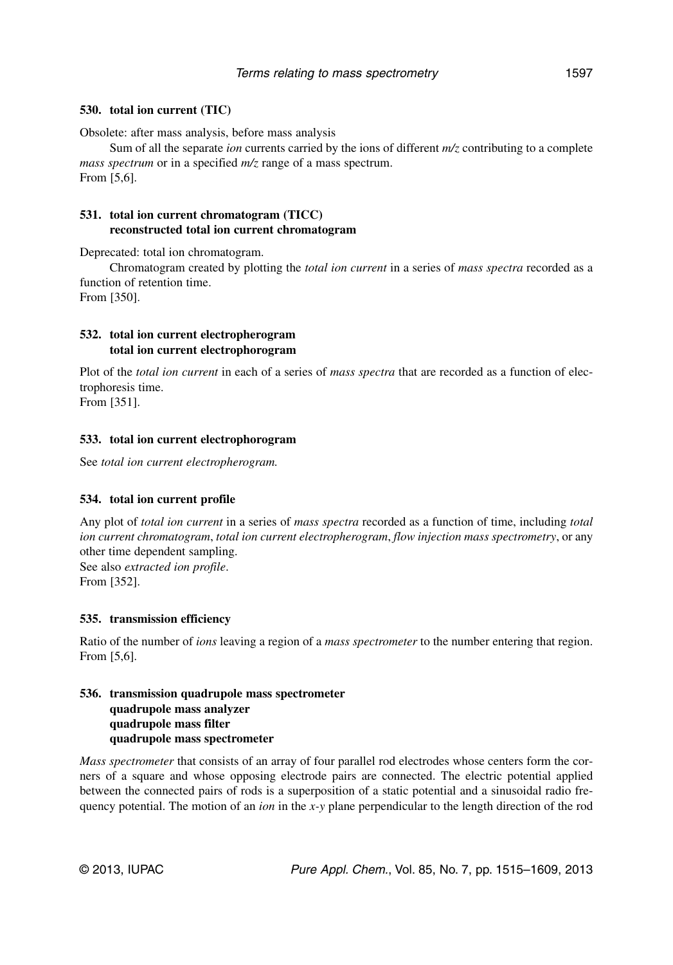#### **530. total ion current (TIC)**

Obsolete: after mass analysis, before mass analysis

Sum of all the separate *ion* currents carried by the ions of different *m/z* contributing to a complete *mass spectrum* or in a specified *m/z* range of a mass spectrum. From [5,6].

### **531. total ion current chromatogram (TICC) reconstructed total ion current chromatogram**

Deprecated: total ion chromatogram.

Chromatogram created by plotting the *total ion current* in a series of *mass spectra* recorded as a function of retention time.

From [350].

### **532. total ion current electropherogram total ion current electrophorogram**

Plot of the *total ion current* in each of a series of *mass spectra* that are recorded as a function of electrophoresis time.

From [351].

#### **533. total ion current electrophorogram**

See *total ion current electropherogram.*

#### **534. total ion current profile**

Any plot of *total ion current* in a series of *mass spectra* recorded as a function of time, including *total ion current chromatogram*, *total ion current electropherogram*, *flow injection mass spectrometry*, or any other time dependent sampling. See also *extracted ion profile*. From [352].

#### **535. transmission efficiency**

Ratio of the number of *ions* leaving a region of a *mass spectrometer* to the number entering that region. From [5,6].

### **536. transmission quadrupole mass spectrometer quadrupole mass analyzer quadrupole mass filter quadrupole mass spectrometer**

*Mass spectrometer* that consists of an array of four parallel rod electrodes whose centers form the corners of a square and whose opposing electrode pairs are connected. The electric potential applied between the connected pairs of rods is a superposition of a static potential and a sinusoidal radio frequency potential. The motion of an *ion* in the *x-y* plane perpendicular to the length direction of the rod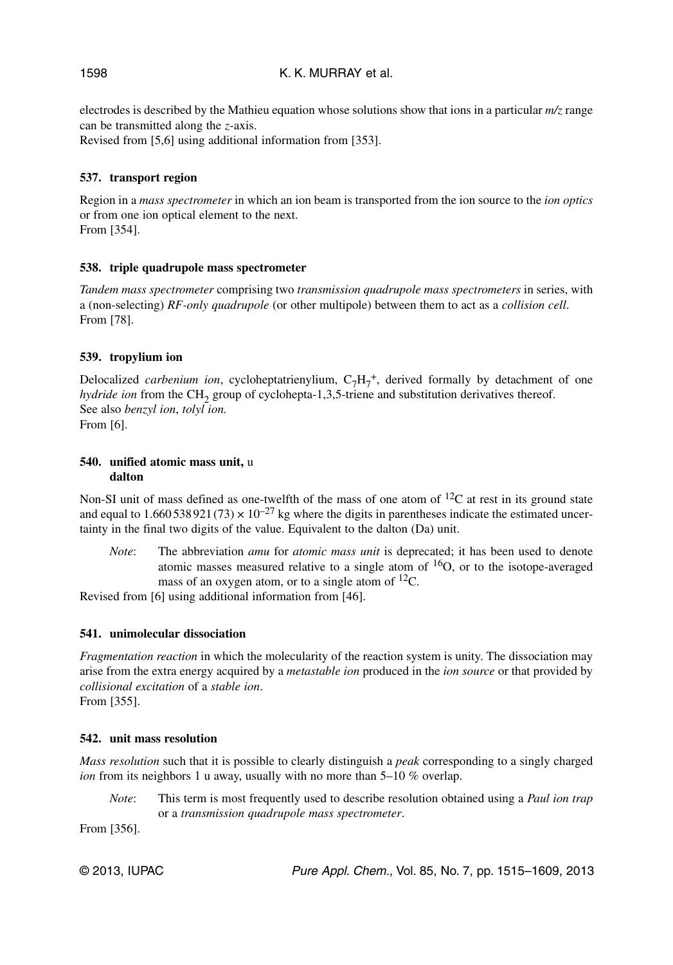electrodes is described by the Mathieu equation whose solutions show that ions in a particular *m/z* range can be transmitted along the *z*-axis.

Revised from [5,6] using additional information from [353].

# **537. transport region**

Region in a *mass spectrometer* in which an ion beam is transported from the ion source to the *ion optics* or from one ion optical element to the next. From [354].

### **538. triple quadrupole mass spectrometer**

*Tandem mass spectrometer* comprising two *transmission quadrupole mass spectrometers* in series, with a (non-selecting) *RF-only quadrupole* (or other multipole) between them to act as a *collision cell*. From [78].

### **539. tropylium ion**

Delocalized *carbenium ion*, cycloheptatrienylium, C<sub>7</sub>H<sub>7</sub><sup>+</sup>, derived formally by detachment of one *hydride ion* from the CH<sub>2</sub> group of cyclohepta-1,3,5-triene and substitution derivatives thereof. See also *benzyl ion*, *tolyl ion.* From [6].

#### **540. unified atomic mass unit,** u **dalton**

Non-SI unit of mass defined as one-twelfth of the mass of one atom of  ${}^{12}C$  at rest in its ground state and equal to 1.660 538 921 (73)  $\times$  10<sup>-27</sup> kg where the digits in parentheses indicate the estimated uncertainty in the final two digits of the value. Equivalent to the dalton (Da) unit.

*Note*: The abbreviation *amu* for *atomic mass unit* is deprecated; it has been used to denote atomic masses measured relative to a single atom of  ${}^{16}O$ , or to the isotope-averaged mass of an oxygen atom, or to a single atom of  $^{12}C$ .

Revised from [6] using additional information from [46].

# **541. unimolecular dissociation**

*Fragmentation reaction* in which the molecularity of the reaction system is unity. The dissociation may arise from the extra energy acquired by a *metastable ion* produced in the *ion source* or that provided by *collisional excitation* of a *stable ion*. From [355].

#### **542. unit mass resolution**

*Mass resolution* such that it is possible to clearly distinguish a *peak* corresponding to a singly charged *ion* from its neighbors 1 u away, usually with no more than 5–10 % overlap.

*Note*: This term is most frequently used to describe resolution obtained using a *Paul ion trap* or a *transmission quadrupole mass spectrometer*.

From [356].

1598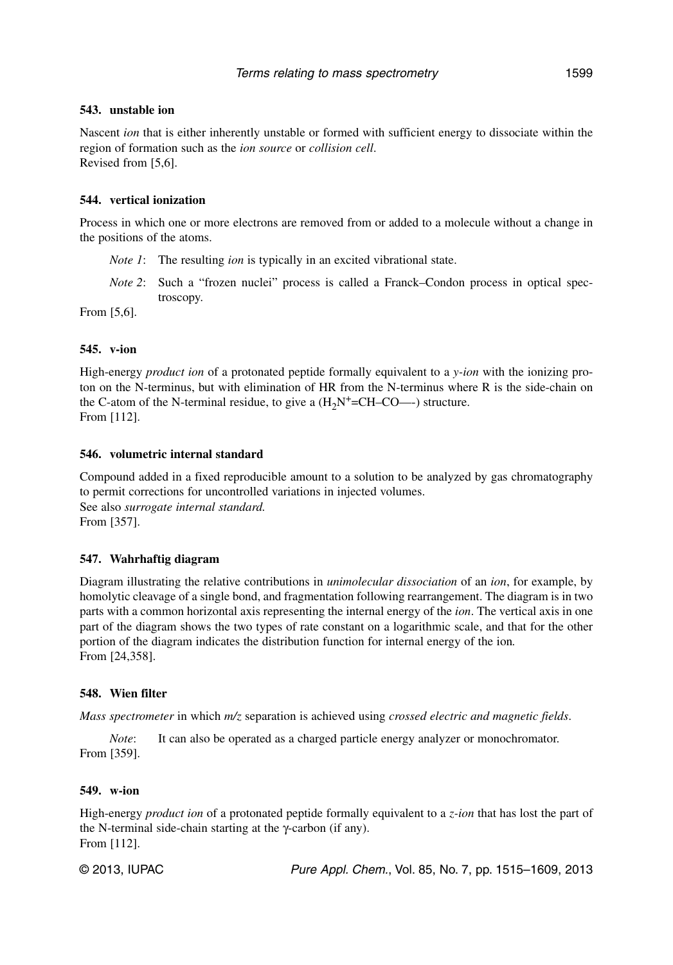#### **543. unstable ion**

Nascent *ion* that is either inherently unstable or formed with sufficient energy to dissociate within the region of formation such as the *ion source* or *collision cell*. Revised from [5,6].

#### **544. vertical ionization**

Process in which one or more electrons are removed from or added to a molecule without a change in the positions of the atoms.

- *Note 1*: The resulting *ion* is typically in an excited vibrational state.
- *Note 2*: Such a "frozen nuclei" process is called a Franck–Condon process in optical spectroscopy.

From [5,6].

#### **545. v-ion**

High-energy *product ion* of a protonated peptide formally equivalent to a *y-ion* with the ionizing proton on the N-terminus, but with elimination of HR from the N-terminus where R is the side-chain on the C-atom of the N-terminal residue, to give a  $(H<sub>2</sub>N<sup>+</sup>=CH-CO<sup>-</sup>)$  structure. From [112].

#### **546. volumetric internal standard**

Compound added in a fixed reproducible amount to a solution to be analyzed by gas chromatography to permit corrections for uncontrolled variations in injected volumes. See also *surrogate internal standard.* From [357].

#### **547. Wahrhaftig diagram**

Diagram illustrating the relative contributions in *unimolecular dissociation* of an *ion*, for example, by homolytic cleavage of a single bond, and fragmentation following rearrangement. The diagram is in two parts with a common horizontal axis representing the internal energy of the *ion*. The vertical axis in one part of the diagram shows the two types of rate constant on a logarithmic scale, and that for the other portion of the diagram indicates the distribution function for internal energy of the ion*.* From [24,358].

#### **548. Wien filter**

*Mass spectrometer* in which *m/z* separation is achieved using *crossed electric and magnetic fields*.

*Note*: It can also be operated as a charged particle energy analyzer or monochromator. From [359].

#### **549. w-ion**

High-energy *product ion* of a protonated peptide formally equivalent to a *z-ion* that has lost the part of the N-terminal side-chain starting at the γ-carbon (if any). From [112].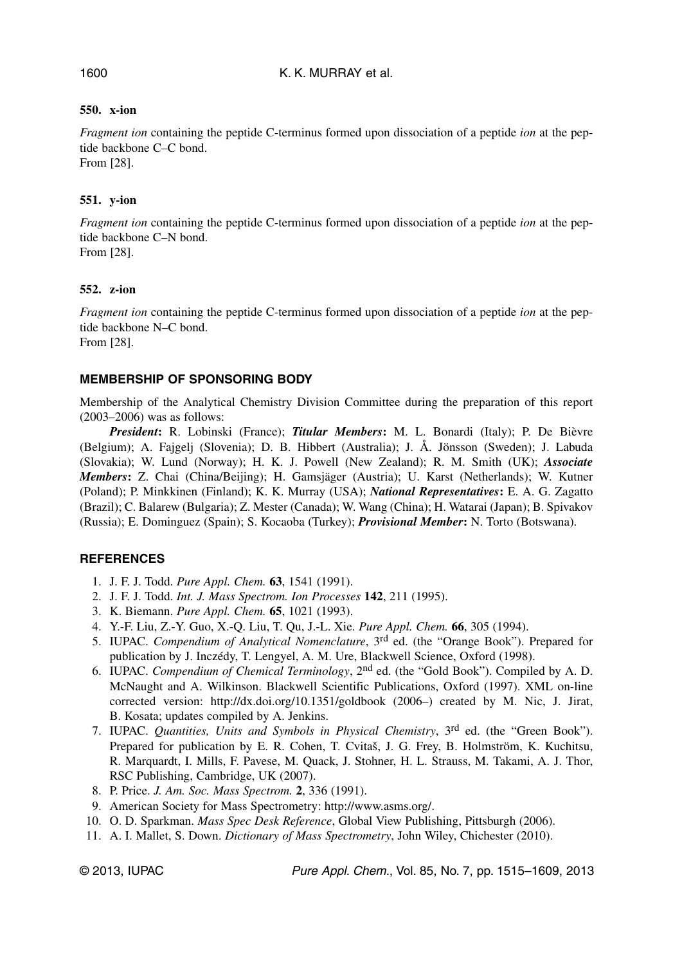# **550. x-ion**

*Fragment ion* containing the peptide C-terminus formed upon dissociation of a peptide *ion* at the peptide backbone C–C bond. From [28].

# **551. y-ion**

*Fragment ion* containing the peptide C-terminus formed upon dissociation of a peptide *ion* at the peptide backbone C–N bond. From [28].

# **552. z-ion**

*Fragment ion* containing the peptide C-terminus formed upon dissociation of a peptide *ion* at the peptide backbone N–C bond. From [28].

# **MEMBERSHIP OF SPONSORING BODY**

Membership of the Analytical Chemistry Division Committee during the preparation of this report (2003–2006) was as follows:

*President***:** R. Lobinski (France); *Titular Members***:** M. L. Bonardi (Italy); P. De Bièvre (Belgium); A. Fajgelj (Slovenia); D. B. Hibbert (Australia); J. Å. Jönsson (Sweden); J. Labuda (Slovakia); W. Lund (Norway); H. K. J. Powell (New Zealand); R. M. Smith (UK); *Associate Members***:** Z. Chai (China/Beijing); H. Gamsjäger (Austria); U. Karst (Netherlands); W. Kutner (Poland); P. Minkkinen (Finland); K. K. Murray (USA); *National Representatives***:** E. A. G. Zagatto (Brazil); C. Balarew (Bulgaria); Z. Mester (Canada); W. Wang (China); H. Watarai (Japan); B. Spivakov (Russia); E. Dominguez (Spain); S. Kocaoba (Turkey); *Provisional Member***:** N. Torto (Botswana).

# **REFERENCES**

- 1. J. F. J. Todd. *Pure Appl. Chem.* **63**, 1541 (1991).
- 2. J. F. J. Todd. *Int. J. Mass Spectrom. Ion Processes* **142**, 211 (1995).
- 3. K. Biemann. *Pure Appl. Chem.* **65**, 1021 (1993).
- 4. Y.-F. Liu, Z.-Y. Guo, X.-Q. Liu, T. Qu, J.-L. Xie. *Pure Appl. Chem.* **66**, 305 (1994).
- 5. IUPAC. *Compendium of Analytical Nomenclature*, 3rd ed. (the "Orange Book"). Prepared for publication by J. Inczédy, T. Lengyel, A. M. Ure, Blackwell Science, Oxford (1998).
- 6. IUPAC. *Compendium of Chemical Terminology*, 2nd ed. (the "Gold Book"). Compiled by A. D. McNaught and A. Wilkinson. Blackwell Scientific Publications, Oxford (1997). XML on-line corrected version: http://dx.doi.org/10.1351/goldbook (2006–) created by M. Nic, J. Jirat, B. Kosata; updates compiled by A. Jenkins.
- 7. IUPAC. *Quantities, Units and Symbols in Physical Chemistry*, 3rd ed. (the "Green Book"). Prepared for publication by E. R. Cohen, T. Cvitaš, J. G. Frey, B. Holmström, K. Kuchitsu, R. Marquardt, I. Mills, F. Pavese, M. Quack, J. Stohner, H. L. Strauss, M. Takami, A. J. Thor, RSC Publishing, Cambridge, UK (2007).
- 8. P. Price. *J. Am. Soc. Mass Spectrom.* **2**, 336 (1991).
- 9. American Society for Mass Spectrometry: http://www.asms.org/.
- 10. O. D. Sparkman. *Mass Spec Desk Reference*, Global View Publishing, Pittsburgh (2006).
- 11. A. I. Mallet, S. Down. *Dictionary of Mass Spectrometry*, John Wiley, Chichester (2010).

© 2013, IUPAC Pure Appl. Chem., Vol. 85, No. 7, pp. 1515–1609, 2013

### 1600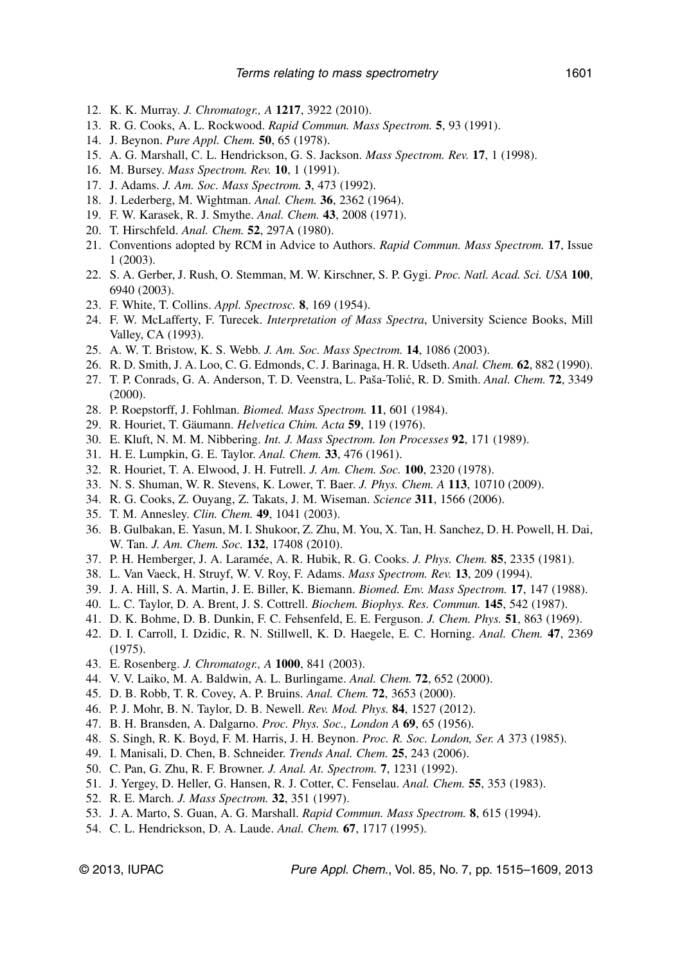- 12. K. K. Murray. *J. Chromatogr., A* **1217**, 3922 (2010).
- 13. R. G. Cooks, A. L. Rockwood. *Rapid Commun. Mass Spectrom.* **5**, 93 (1991).
- 14. J. Beynon. *Pure Appl. Chem.* **50**, 65 (1978).
- 15. A. G. Marshall, C. L. Hendrickson, G. S. Jackson. *Mass Spectrom. Rev.* **17**, 1 (1998).
- 16. M. Bursey. *Mass Spectrom. Rev.* **10**, 1 (1991).
- 17. J. Adams. *J. Am. Soc. Mass Spectrom.* **3**, 473 (1992).
- 18. J. Lederberg, M. Wightman. *Anal. Chem.* **36**, 2362 (1964).
- 19. F. W. Karasek, R. J. Smythe. *Anal. Chem.* **43**, 2008 (1971).
- 20. T. Hirschfeld. *Anal. Chem.* **52**, 297A (1980).
- 21. Conventions adopted by RCM in Advice to Authors. *Rapid Commun. Mass Spectrom.* **17**, Issue 1 (2003).
- 22. S. A. Gerber, J. Rush, O. Stemman, M. W. Kirschner, S. P. Gygi. *Proc. Natl. Acad. Sci. USA* **100**, 6940 (2003).
- 23. F. White, T. Collins. *Appl. Spectrosc.* **8**, 169 (1954).
- 24. F. W. McLafferty, F. Turecek. *Interpretation of Mass Spectra*, University Science Books, Mill Valley, CA (1993).
- 25. A. W. T. Bristow, K. S. Webb. *J. Am. Soc. Mass Spectrom.* **14**, 1086 (2003).
- 26. R. D. Smith, J. A. Loo, C. G. Edmonds, C. J. Barinaga, H. R. Udseth. *Anal. Chem.* **62**, 882 (1990).
- 27. T. P. Conrads, G. A. Anderson, T. D. Veenstra, L. Paša-Tolić, R. D. Smith. *Anal. Chem.* **72**, 3349 (2000).
- 28. P. Roepstorff, J. Fohlman. *Biomed. Mass Spectrom.* **11**, 601 (1984).
- 29. R. Houriet, T. Gäumann. *Helvetica Chim. Acta* **59**, 119 (1976).
- 30. E. Kluft, N. M. M. Nibbering. *Int. J. Mass Spectrom. Ion Processes* **92**, 171 (1989).
- 31. H. E. Lumpkin, G. E. Taylor. *Anal. Chem.* **33**, 476 (1961).
- 32. R. Houriet, T. A. Elwood, J. H. Futrell. *J. Am. Chem. Soc.* **100**, 2320 (1978).
- 33. N. S. Shuman, W. R. Stevens, K. Lower, T. Baer. *J. Phys. Chem. A* **113**, 10710 (2009).
- 34. R. G. Cooks, Z. Ouyang, Z. Takats, J. M. Wiseman. *Science* **311**, 1566 (2006).
- 35. T. M. Annesley. *Clin. Chem.* **49**, 1041 (2003).
- 36. B. Gulbakan, E. Yasun, M. I. Shukoor, Z. Zhu, M. You, X. Tan, H. Sanchez, D. H. Powell, H. Dai, W. Tan. *J. Am. Chem. Soc.* **132**, 17408 (2010).
- 37. P. H. Hemberger, J. A. Laramée, A. R. Hubik, R. G. Cooks. *J. Phys. Chem.* **85**, 2335 (1981).
- 38. L. Van Vaeck, H. Struyf, W. V. Roy, F. Adams. *Mass Spectrom. Rev.* **13**, 209 (1994).
- 39. J. A. Hill, S. A. Martin, J. E. Biller, K. Biemann. *Biomed. Env. Mass Spectrom.* **17**, 147 (1988).
- 40. L. C. Taylor, D. A. Brent, J. S. Cottrell. *Biochem. Biophys. Res. Commun.* **145**, 542 (1987).
- 41. D. K. Bohme, D. B. Dunkin, F. C. Fehsenfeld, E. E. Ferguson. *J. Chem. Phys.* **51**, 863 (1969).
- 42. D. I. Carroll, I. Dzidic, R. N. Stillwell, K. D. Haegele, E. C. Horning. *Anal. Chem.* **47**, 2369 (1975).
- 43. E. Rosenberg. *J. Chromatogr., A* **1000**, 841 (2003).
- 44. V. V. Laiko, M. A. Baldwin, A. L. Burlingame. *Anal. Chem.* **72**, 652 (2000).
- 45. D. B. Robb, T. R. Covey, A. P. Bruins. *Anal. Chem.* **72**, 3653 (2000).
- 46. P. J. Mohr, B. N. Taylor, D. B. Newell. *Rev. Mod. Phys.* **84**, 1527 (2012).
- 47. B. H. Bransden, A. Dalgarno. *Proc. Phys. Soc., London A* **69**, 65 (1956).
- 48. S. Singh, R. K. Boyd, F. M. Harris, J. H. Beynon. *Proc. R. Soc. London, Ser. A* 373 (1985).
- 49. I. Manisali, D. Chen, B. Schneider. *Trends Anal. Chem.* **25**, 243 (2006).
- 50. C. Pan, G. Zhu, R. F. Browner. *J. Anal. At. Spectrom.* **7**, 1231 (1992).
- 51. J. Yergey, D. Heller, G. Hansen, R. J. Cotter, C. Fenselau. *Anal. Chem.* **55**, 353 (1983).
- 52. R. E. March. *J. Mass Spectrom.* **32**, 351 (1997).
- 53. J. A. Marto, S. Guan, A. G. Marshall. *Rapid Commun. Mass Spectrom.* **8**, 615 (1994).
- 54. C. L. Hendrickson, D. A. Laude. *Anal. Chem.* **67**, 1717 (1995).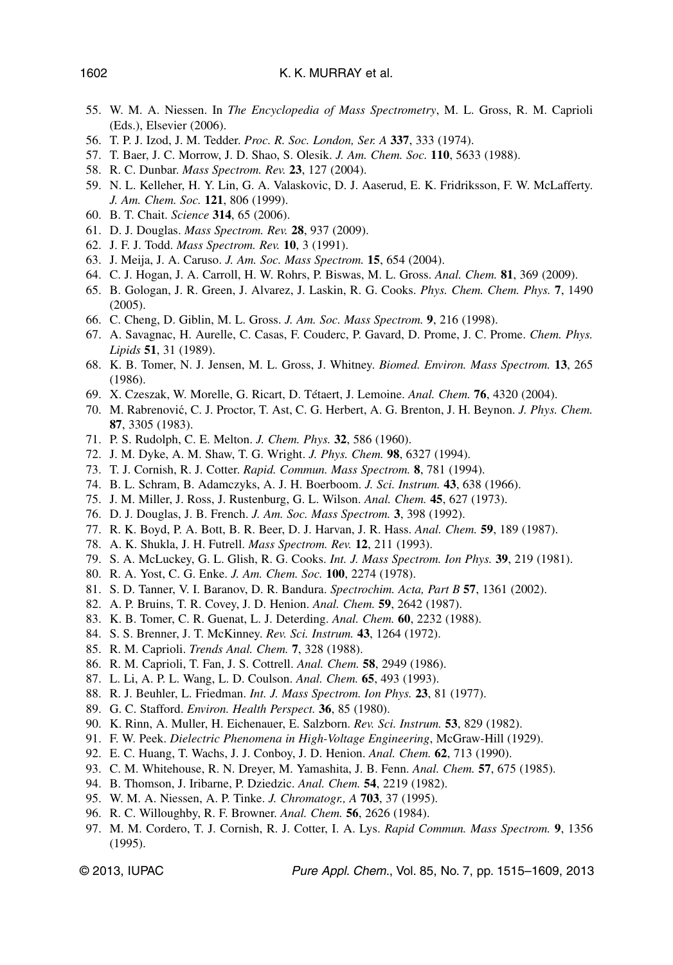- 55. W. M. A. Niessen. In *The Encyclopedia of Mass Spectrometry*, M. L. Gross, R. M. Caprioli (Eds.), Elsevier (2006).
- 56. T. P. J. Izod, J. M. Tedder. *Proc. R. Soc. London, Ser. A* **337**, 333 (1974).
- 57. T. Baer, J. C. Morrow, J. D. Shao, S. Olesik. *J. Am. Chem. Soc.* **110**, 5633 (1988).
- 58. R. C. Dunbar. *Mass Spectrom. Rev.* **23**, 127 (2004).
- 59. N. L. Kelleher, H. Y. Lin, G. A. Valaskovic, D. J. Aaserud, E. K. Fridriksson, F. W. McLafferty. *J. Am. Chem. Soc.* **121**, 806 (1999).
- 60. B. T. Chait. *Science* **314**, 65 (2006).
- 61. D. J. Douglas. *Mass Spectrom. Rev.* **28**, 937 (2009).
- 62. J. F. J. Todd. *Mass Spectrom. Rev.* **10**, 3 (1991).
- 63. J. Meija, J. A. Caruso. *J. Am. Soc. Mass Spectrom.* **15**, 654 (2004).
- 64. C. J. Hogan, J. A. Carroll, H. W. Rohrs, P. Biswas, M. L. Gross. *Anal. Chem.* **81**, 369 (2009).
- 65. B. Gologan, J. R. Green, J. Alvarez, J. Laskin, R. G. Cooks. *Phys. Chem. Chem. Phys.* **7**, 1490 (2005).
- 66. C. Cheng, D. Giblin, M. L. Gross. *J. Am. Soc. Mass Spectrom.* **9**, 216 (1998).
- 67. A. Savagnac, H. Aurelle, C. Casas, F. Couderc, P. Gavard, D. Prome, J. C. Prome. *Chem. Phys. Lipids* **51**, 31 (1989).
- 68. K. B. Tomer, N. J. Jensen, M. L. Gross, J. Whitney. *Biomed. Environ. Mass Spectrom.* **13**, 265 (1986).
- 69. X. Czeszak, W. Morelle, G. Ricart, D. Tétaert, J. Lemoine. *Anal. Chem.* **76**, 4320 (2004).
- 70. M. Rabrenović, C. J. Proctor, T. Ast, C. G. Herbert, A. G. Brenton, J. H. Beynon. *J. Phys. Chem.* **87**, 3305 (1983).
- 71. P. S. Rudolph, C. E. Melton. *J. Chem. Phys.* **32**, 586 (1960).
- 72. J. M. Dyke, A. M. Shaw, T. G. Wright. *J. Phys. Chem.* **98**, 6327 (1994).
- 73. T. J. Cornish, R. J. Cotter. *Rapid. Commun. Mass Spectrom.* **8**, 781 (1994).
- 74. B. L. Schram, B. Adamczyks, A. J. H. Boerboom. *J. Sci. Instrum.* **43**, 638 (1966).
- 75. J. M. Miller, J. Ross, J. Rustenburg, G. L. Wilson. *Anal. Chem.* **45**, 627 (1973).
- 76. D. J. Douglas, J. B. French. *J. Am. Soc. Mass Spectrom.* **3**, 398 (1992).
- 77. R. K. Boyd, P. A. Bott, B. R. Beer, D. J. Harvan, J. R. Hass. *Anal. Chem.* **59**, 189 (1987).
- 78. A. K. Shukla, J. H. Futrell. *Mass Spectrom. Rev.* **12**, 211 (1993).
- 79. S. A. McLuckey, G. L. Glish, R. G. Cooks. *Int. J. Mass Spectrom. Ion Phys.* **39**, 219 (1981).
- 80. R. A. Yost, C. G. Enke. *J. Am. Chem. Soc.* **100**, 2274 (1978).
- 81. S. D. Tanner, V. I. Baranov, D. R. Bandura. *Spectrochim. Acta, Part B* **57**, 1361 (2002).
- 82. A. P. Bruins, T. R. Covey, J. D. Henion. *Anal. Chem.* **59**, 2642 (1987).
- 83. K. B. Tomer, C. R. Guenat, L. J. Deterding. *Anal. Chem.* **60**, 2232 (1988).
- 84. S. S. Brenner, J. T. McKinney. *Rev. Sci. Instrum.* **43**, 1264 (1972).
- 85. R. M. Caprioli. *Trends Anal. Chem.* **7**, 328 (1988).
- 86. R. M. Caprioli, T. Fan, J. S. Cottrell. *Anal. Chem.* **58**, 2949 (1986).
- 87. L. Li, A. P. L. Wang, L. D. Coulson. *Anal. Chem.* **65**, 493 (1993).
- 88. R. J. Beuhler, L. Friedman. *Int. J. Mass Spectrom. Ion Phys.* **23**, 81 (1977).
- 89. G. C. Stafford. *Environ. Health Perspect.* **36**, 85 (1980).
- 90. K. Rinn, A. Muller, H. Eichenauer, E. Salzborn. *Rev. Sci. Instrum.* **53**, 829 (1982).
- 91. F. W. Peek. *Dielectric Phenomena in High-Voltage Engineering*, McGraw-Hill (1929).
- 92. E. C. Huang, T. Wachs, J. J. Conboy, J. D. Henion. *Anal. Chem.* **62**, 713 (1990).
- 93. C. M. Whitehouse, R. N. Dreyer, M. Yamashita, J. B. Fenn. *Anal. Chem.* **57**, 675 (1985).
- 94. B. Thomson, J. Iribarne, P. Dziedzic. *Anal. Chem.* **54**, 2219 (1982).
- 95. W. M. A. Niessen, A. P. Tinke. *J. Chromatogr., A* **703**, 37 (1995).
- 96. R. C. Willoughby, R. F. Browner. *Anal. Chem.* **56**, 2626 (1984).
- 97. M. M. Cordero, T. J. Cornish, R. J. Cotter, I. A. Lys. *Rapid Commun. Mass Spectrom.* **9**, 1356 (1995).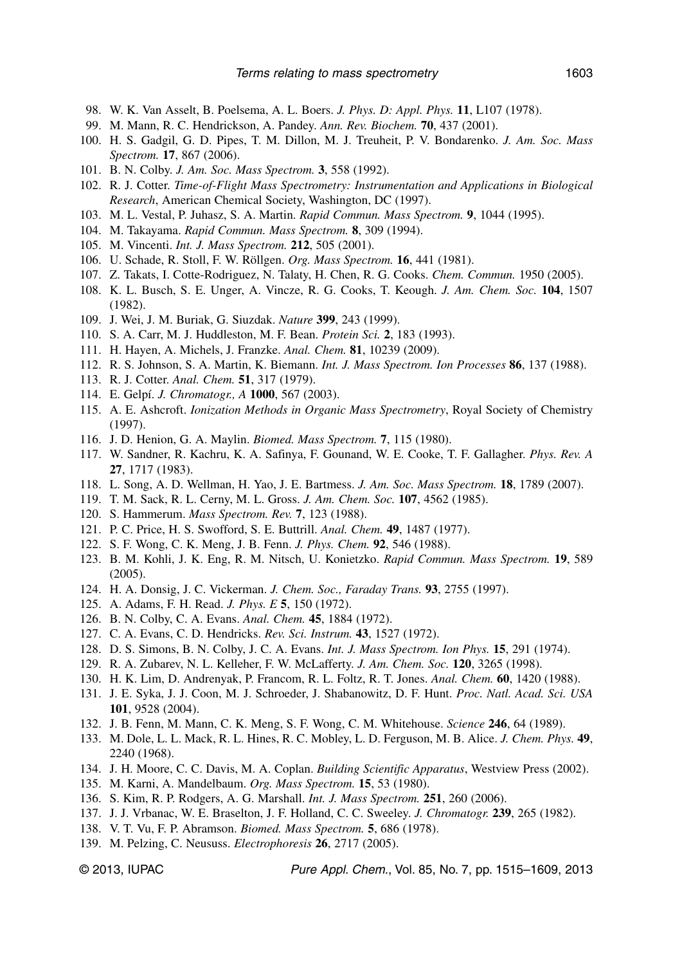- 98. W. K. Van Asselt, B. Poelsema, A. L. Boers. *J. Phys. D: Appl. Phys.* **11**, L107 (1978).
- 99. M. Mann, R. C. Hendrickson, A. Pandey. *Ann. Rev. Biochem.* **70**, 437 (2001).
- 100. H. S. Gadgil, G. D. Pipes, T. M. Dillon, M. J. Treuheit, P. V. Bondarenko. *J. Am. Soc. Mass Spectrom.* **17**, 867 (2006).
- 101. B. N. Colby. *J. Am. Soc. Mass Spectrom.* **3**, 558 (1992).
- 102. R. J. Cotter. *Time-of-Flight Mass Spectrometry: Instrumentation and Applications in Biological Research*, American Chemical Society, Washington, DC (1997).
- 103. M. L. Vestal, P. Juhasz, S. A. Martin. *Rapid Commun. Mass Spectrom.* **9**, 1044 (1995).
- 104. M. Takayama. *Rapid Commun. Mass Spectrom.* **8**, 309 (1994).
- 105. M. Vincenti. *Int. J. Mass Spectrom.* **212**, 505 (2001).
- 106. U. Schade, R. Stoll, F. W. Röllgen. *Org. Mass Spectrom.* **16**, 441 (1981).
- 107. Z. Takats, I. Cotte-Rodriguez, N. Talaty, H. Chen, R. G. Cooks. *Chem. Commun.* 1950 (2005).
- 108. K. L. Busch, S. E. Unger, A. Vincze, R. G. Cooks, T. Keough. *J. Am. Chem. Soc.* **104**, 1507 (1982).
- 109. J. Wei, J. M. Buriak, G. Siuzdak. *Nature* **399**, 243 (1999).
- 110. S. A. Carr, M. J. Huddleston, M. F. Bean. *Protein Sci.* **2**, 183 (1993).
- 111. H. Hayen, A. Michels, J. Franzke. *Anal. Chem.* **81**, 10239 (2009).
- 112. R. S. Johnson, S. A. Martin, K. Biemann. *Int. J. Mass Spectrom. Ion Processes* **86**, 137 (1988).
- 113. R. J. Cotter. *Anal. Chem.* **51**, 317 (1979).
- 114. E. Gelpí. *J. Chromatogr., A* **1000**, 567 (2003).
- 115. A. E. Ashcroft. *Ionization Methods in Organic Mass Spectrometry*, Royal Society of Chemistry (1997).
- 116. J. D. Henion, G. A. Maylin. *Biomed. Mass Spectrom.* **7**, 115 (1980).
- 117. W. Sandner, R. Kachru, K. A. Safinya, F. Gounand, W. E. Cooke, T. F. Gallagher. *Phys. Rev. A* **27**, 1717 (1983).
- 118. L. Song, A. D. Wellman, H. Yao, J. E. Bartmess. *J. Am. Soc. Mass Spectrom.* **18**, 1789 (2007).
- 119. T. M. Sack, R. L. Cerny, M. L. Gross. *J. Am. Chem. Soc.* **107**, 4562 (1985).
- 120. S. Hammerum. *Mass Spectrom. Rev.* **7**, 123 (1988).
- 121. P. C. Price, H. S. Swofford, S. E. Buttrill. *Anal. Chem.* **49**, 1487 (1977).
- 122. S. F. Wong, C. K. Meng, J. B. Fenn. *J. Phys. Chem.* **92**, 546 (1988).
- 123. B. M. Kohli, J. K. Eng, R. M. Nitsch, U. Konietzko. *Rapid Commun. Mass Spectrom.* **19**, 589 (2005).
- 124. H. A. Donsig, J. C. Vickerman. *J. Chem. Soc., Faraday Trans.* **93**, 2755 (1997).
- 125. A. Adams, F. H. Read. *J. Phys. E* **5**, 150 (1972).
- 126. B. N. Colby, C. A. Evans. *Anal. Chem.* **45**, 1884 (1972).
- 127. C. A. Evans, C. D. Hendricks. *Rev. Sci. Instrum.* **43**, 1527 (1972).
- 128. D. S. Simons, B. N. Colby, J. C. A. Evans. *Int. J. Mass Spectrom. Ion Phys.* **15**, 291 (1974).
- 129. R. A. Zubarev, N. L. Kelleher, F. W. McLafferty. *J. Am. Chem. Soc.* **120**, 3265 (1998).
- 130. H. K. Lim, D. Andrenyak, P. Francom, R. L. Foltz, R. T. Jones. *Anal. Chem.* **60**, 1420 (1988).
- 131. J. E. Syka, J. J. Coon, M. J. Schroeder, J. Shabanowitz, D. F. Hunt. *Proc. Natl. Acad. Sci. USA* **101**, 9528 (2004).
- 132. J. B. Fenn, M. Mann, C. K. Meng, S. F. Wong, C. M. Whitehouse. *Science* **246**, 64 (1989).
- 133. M. Dole, L. L. Mack, R. L. Hines, R. C. Mobley, L. D. Ferguson, M. B. Alice. *J. Chem. Phys.* **49**, 2240 (1968).
- 134. J. H. Moore, C. C. Davis, M. A. Coplan. *Building Scientific Apparatus*, Westview Press (2002).
- 135. M. Karni, A. Mandelbaum. *Org. Mass Spectrom.* **15**, 53 (1980).
- 136. S. Kim, R. P. Rodgers, A. G. Marshall. *Int. J. Mass Spectrom.* **251**, 260 (2006).
- 137. J. J. Vrbanac, W. E. Braselton, J. F. Holland, C. C. Sweeley. *J. Chromatogr.* **239**, 265 (1982).
- 138. V. T. Vu, F. P. Abramson. *Biomed. Mass Spectrom.* **5**, 686 (1978).
- 139. M. Pelzing, C. Neususs. *Electrophoresis* **26**, 2717 (2005).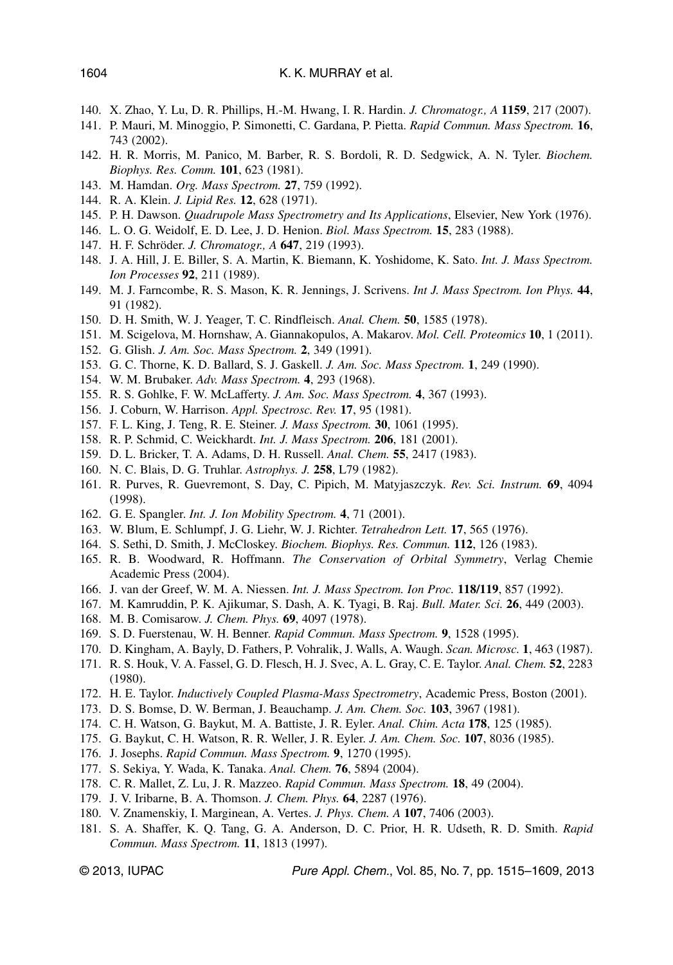- 140. X. Zhao, Y. Lu, D. R. Phillips, H.-M. Hwang, I. R. Hardin. *J. Chromatogr., A* **1159**, 217 (2007).
- 141. P. Mauri, M. Minoggio, P. Simonetti, C. Gardana, P. Pietta. *Rapid Commun. Mass Spectrom.* **16**, 743 (2002).
- 142. H. R. Morris, M. Panico, M. Barber, R. S. Bordoli, R. D. Sedgwick, A. N. Tyler. *Biochem. Biophys. Res. Comm.* **101**, 623 (1981).
- 143. M. Hamdan. *Org. Mass Spectrom.* **27**, 759 (1992).
- 144. R. A. Klein. *J. Lipid Res.* **12**, 628 (1971).
- 145. P. H. Dawson. *Quadrupole Mass Spectrometry and Its Applications*, Elsevier, New York (1976).
- 146. L. O. G. Weidolf, E. D. Lee, J. D. Henion. *Biol. Mass Spectrom.* **15**, 283 (1988).
- 147. H. F. Schröder. *J. Chromatogr., A* **647**, 219 (1993).
- 148. J. A. Hill, J. E. Biller, S. A. Martin, K. Biemann, K. Yoshidome, K. Sato. *Int. J. Mass Spectrom. Ion Processes* **92**, 211 (1989).
- 149. M. J. Farncombe, R. S. Mason, K. R. Jennings, J. Scrivens. *Int J. Mass Spectrom. Ion Phys.* **44**, 91 (1982).
- 150. D. H. Smith, W. J. Yeager, T. C. Rindfleisch. *Anal. Chem.* **50**, 1585 (1978).
- 151. M. Scigelova, M. Hornshaw, A. Giannakopulos, A. Makarov. *Mol. Cell. Proteomics* **10**, 1 (2011).
- 152. G. Glish. *J. Am. Soc. Mass Spectrom.* **2**, 349 (1991).
- 153. G. C. Thorne, K. D. Ballard, S. J. Gaskell. *J. Am. Soc. Mass Spectrom.* **1**, 249 (1990).
- 154. W. M. Brubaker. *Adv. Mass Spectrom.* **4**, 293 (1968).
- 155. R. S. Gohlke, F. W. McLafferty. *J. Am. Soc. Mass Spectrom.* **4**, 367 (1993).
- 156. J. Coburn, W. Harrison. *Appl. Spectrosc. Rev.* **17**, 95 (1981).
- 157. F. L. King, J. Teng, R. E. Steiner. *J. Mass Spectrom.* **30**, 1061 (1995).
- 158. R. P. Schmid, C. Weickhardt. *Int. J. Mass Spectrom.* **206**, 181 (2001).
- 159. D. L. Bricker, T. A. Adams, D. H. Russell. *Anal. Chem.* **55**, 2417 (1983).
- 160. N. C. Blais, D. G. Truhlar. *Astrophys. J.* **258**, L79 (1982).
- 161. R. Purves, R. Guevremont, S. Day, C. Pipich, M. Matyjaszczyk. *Rev. Sci. Instrum.* **69**, 4094 (1998).
- 162. G. E. Spangler. *Int. J. Ion Mobility Spectrom.* **4**, 71 (2001).
- 163. W. Blum, E. Schlumpf, J. G. Liehr, W. J. Richter. *Tetrahedron Lett.* **17**, 565 (1976).
- 164. S. Sethi, D. Smith, J. McCloskey. *Biochem. Biophys. Res. Commun.* **112**, 126 (1983).
- 165. R. B. Woodward, R. Hoffmann. *The Conservation of Orbital Symmetry*, Verlag Chemie Academic Press (2004).
- 166. J. van der Greef, W. M. A. Niessen. *Int. J. Mass Spectrom. Ion Proc.* **118/119**, 857 (1992).
- 167. M. Kamruddin, P. K. Ajikumar, S. Dash, A. K. Tyagi, B. Raj. *Bull. Mater. Sci.* **26**, 449 (2003).
- 168. M. B. Comisarow. *J. Chem. Phys.* **69**, 4097 (1978).
- 169. S. D. Fuerstenau, W. H. Benner. *Rapid Commun. Mass Spectrom.* **9**, 1528 (1995).
- 170. D. Kingham, A. Bayly, D. Fathers, P. Vohralik, J. Walls, A. Waugh. *Scan. Microsc.* **1**, 463 (1987).
- 171. R. S. Houk, V. A. Fassel, G. D. Flesch, H. J. Svec, A. L. Gray, C. E. Taylor. *Anal. Chem.* **52**, 2283 (1980).
- 172. H. E. Taylor. *Inductively Coupled Plasma-Mass Spectrometry*, Academic Press, Boston (2001).
- 173. D. S. Bomse, D. W. Berman, J. Beauchamp. *J. Am. Chem. Soc.* **103**, 3967 (1981).
- 174. C. H. Watson, G. Baykut, M. A. Battiste, J. R. Eyler. *Anal. Chim. Acta* **178**, 125 (1985).
- 175. G. Baykut, C. H. Watson, R. R. Weller, J. R. Eyler. *J. Am. Chem. Soc.* **107**, 8036 (1985).
- 176. J. Josephs. *Rapid Commun. Mass Spectrom.* **9**, 1270 (1995).
- 177. S. Sekiya, Y. Wada, K. Tanaka. *Anal. Chem.* **76**, 5894 (2004).
- 178. C. R. Mallet, Z. Lu, J. R. Mazzeo. *Rapid Commun. Mass Spectrom.* **18**, 49 (2004).
- 179. J. V. Iribarne, B. A. Thomson. *J. Chem. Phys.* **64**, 2287 (1976).
- 180. V. Znamenskiy, I. Marginean, A. Vertes. *J. Phys. Chem. A* **107**, 7406 (2003).
- 181. S. A. Shaffer, K. Q. Tang, G. A. Anderson, D. C. Prior, H. R. Udseth, R. D. Smith. *Rapid Commun. Mass Spectrom.* **11**, 1813 (1997).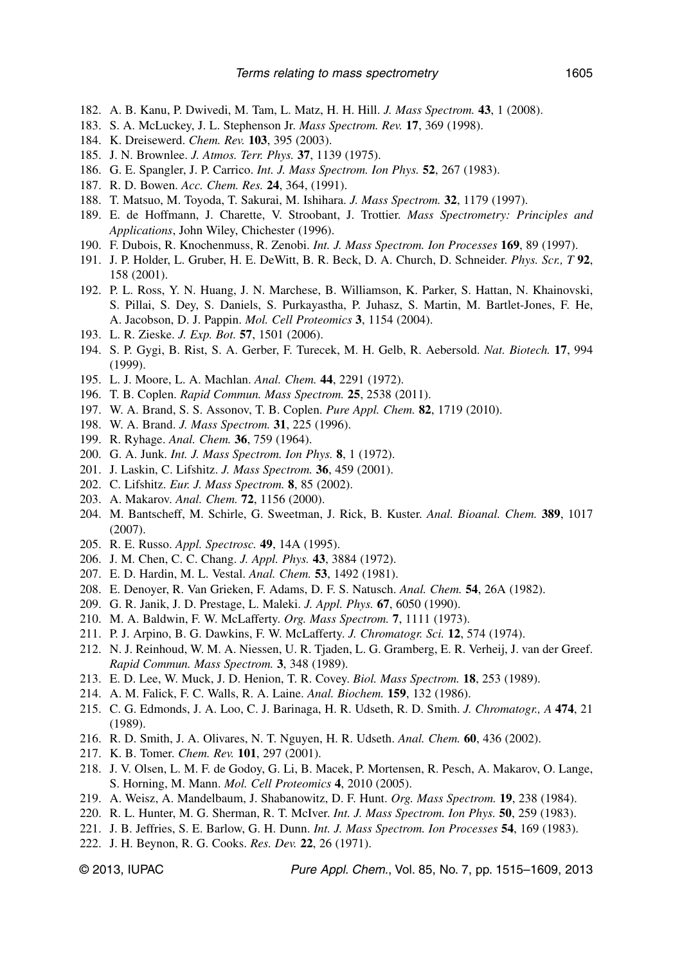- 182. A. B. Kanu, P. Dwivedi, M. Tam, L. Matz, H. H. Hill. *J. Mass Spectrom.* **43**, 1 (2008).
- 183. S. A. McLuckey, J. L. Stephenson Jr. *Mass Spectrom. Rev.* **17**, 369 (1998).
- 184. K. Dreisewerd. *Chem. Rev.* **103**, 395 (2003).
- 185. J. N. Brownlee. *J. Atmos. Terr. Phys.* **37**, 1139 (1975).
- 186. G. E. Spangler, J. P. Carrico. *Int. J. Mass Spectrom. Ion Phys.* **52**, 267 (1983).
- 187. R. D. Bowen. *Acc. Chem. Res.* **24**, 364, (1991).
- 188. T. Matsuo, M. Toyoda, T. Sakurai, M. Ishihara. *J. Mass Spectrom.* **32**, 1179 (1997).
- 189. E. de Hoffmann, J. Charette, V. Stroobant, J. Trottier. *Mass Spectrometry: Principles and Applications*, John Wiley, Chichester (1996).
- 190. F. Dubois, R. Knochenmuss, R. Zenobi. *Int. J. Mass Spectrom. Ion Processes* **169**, 89 (1997).
- 191. J. P. Holder, L. Gruber, H. E. DeWitt, B. R. Beck, D. A. Church, D. Schneider. *Phys. Scr., T* **92**, 158 (2001).
- 192. P. L. Ross, Y. N. Huang, J. N. Marchese, B. Williamson, K. Parker, S. Hattan, N. Khainovski, S. Pillai, S. Dey, S. Daniels, S. Purkayastha, P. Juhasz, S. Martin, M. Bartlet-Jones, F. He, A. Jacobson, D. J. Pappin. *Mol. Cell Proteomics* **3**, 1154 (2004).
- 193. L. R. Zieske. *J. Exp. Bot.* **57**, 1501 (2006).
- 194. S. P. Gygi, B. Rist, S. A. Gerber, F. Turecek, M. H. Gelb, R. Aebersold. *Nat. Biotech.* **17**, 994 (1999).
- 195. L. J. Moore, L. A. Machlan. *Anal. Chem.* **44**, 2291 (1972).
- 196. T. B. Coplen. *Rapid Commun. Mass Spectrom.* **25**, 2538 (2011).
- 197. W. A. Brand, S. S. Assonov, T. B. Coplen. *Pure Appl. Chem.* **82**, 1719 (2010).
- 198. W. A. Brand. *J. Mass Spectrom.* **31**, 225 (1996).
- 199. R. Ryhage. *Anal. Chem.* **36**, 759 (1964).
- 200. G. A. Junk. *Int. J. Mass Spectrom. Ion Phys.* **8**, 1 (1972).
- 201. J. Laskin, C. Lifshitz. *J. Mass Spectrom.* **36**, 459 (2001).
- 202. C. Lifshitz. *Eur. J. Mass Spectrom.* **8**, 85 (2002).
- 203. A. Makarov. *Anal. Chem.* **72**, 1156 (2000).
- 204. M. Bantscheff, M. Schirle, G. Sweetman, J. Rick, B. Kuster. *Anal. Bioanal. Chem.* **389**, 1017 (2007).
- 205. R. E. Russo. *Appl. Spectrosc.* **49**, 14A (1995).
- 206. J. M. Chen, C. C. Chang. *J. Appl. Phys.* **43**, 3884 (1972).
- 207. E. D. Hardin, M. L. Vestal. *Anal. Chem.* **53**, 1492 (1981).
- 208. E. Denoyer, R. Van Grieken, F. Adams, D. F. S. Natusch. *Anal. Chem.* **54**, 26A (1982).
- 209. G. R. Janik, J. D. Prestage, L. Maleki. *J. Appl. Phys.* **67**, 6050 (1990).
- 210. M. A. Baldwin, F. W. McLafferty. *Org. Mass Spectrom.* **7**, 1111 (1973).
- 211. P. J. Arpino, B. G. Dawkins, F. W. McLafferty. *J. Chromatogr. Sci.* **12**, 574 (1974).
- 212. N. J. Reinhoud, W. M. A. Niessen, U. R. Tjaden, L. G. Gramberg, E. R. Verheij, J. van der Greef. *Rapid Commun. Mass Spectrom.* **3**, 348 (1989).
- 213. E. D. Lee, W. Muck, J. D. Henion, T. R. Covey. *Biol. Mass Spectrom.* **18**, 253 (1989).
- 214. A. M. Falick, F. C. Walls, R. A. Laine. *Anal. Biochem.* **159**, 132 (1986).
- 215. C. G. Edmonds, J. A. Loo, C. J. Barinaga, H. R. Udseth, R. D. Smith. *J. Chromatogr., A* **474**, 21 (1989).
- 216. R. D. Smith, J. A. Olivares, N. T. Nguyen, H. R. Udseth. *Anal. Chem.* **60**, 436 (2002).
- 217. K. B. Tomer. *Chem. Rev.* **101**, 297 (2001).
- 218. J. V. Olsen, L. M. F. de Godoy, G. Li, B. Macek, P. Mortensen, R. Pesch, A. Makarov, O. Lange, S. Horning, M. Mann. *Mol. Cell Proteomics* **4**, 2010 (2005).
- 219. A. Weisz, A. Mandelbaum, J. Shabanowitz, D. F. Hunt. *Org. Mass Spectrom.* **19**, 238 (1984).
- 220. R. L. Hunter, M. G. Sherman, R. T. McIver. *Int. J. Mass Spectrom. Ion Phys.* **50**, 259 (1983).
- 221. J. B. Jeffries, S. E. Barlow, G. H. Dunn. *Int. J. Mass Spectrom. Ion Processes* **54**, 169 (1983).
- 222. J. H. Beynon, R. G. Cooks. *Res. Dev.* **22**, 26 (1971).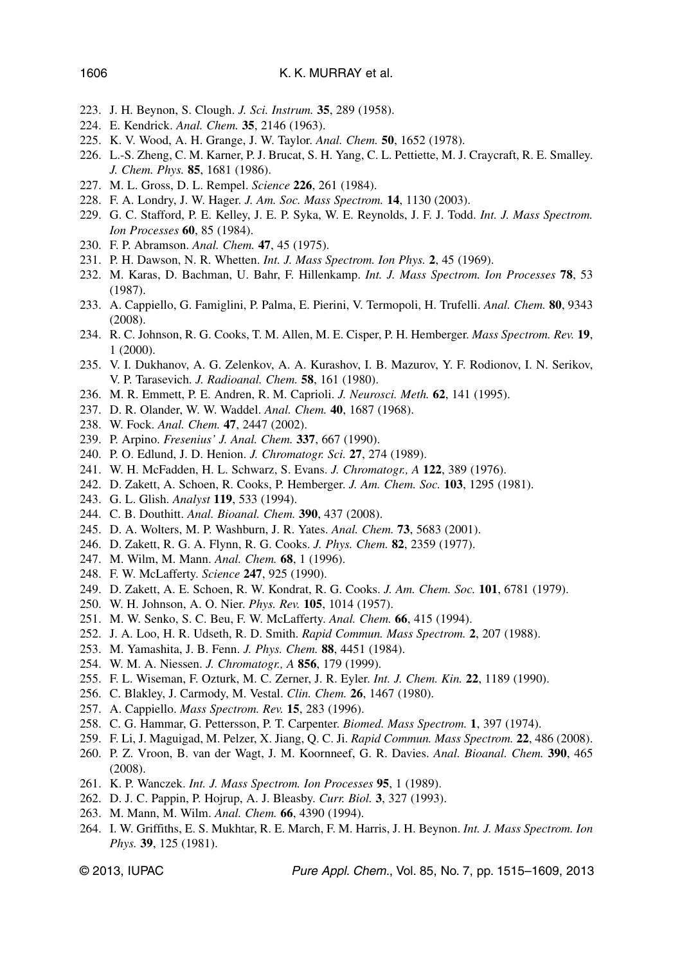- 223. J. H. Beynon, S. Clough. *J. Sci. Instrum.* **35**, 289 (1958).
- 224. E. Kendrick. *Anal. Chem.* **35**, 2146 (1963).
- 225. K. V. Wood, A. H. Grange, J. W. Taylor. *Anal. Chem.* **50**, 1652 (1978).
- 226. L.-S. Zheng, C. M. Karner, P. J. Brucat, S. H. Yang, C. L. Pettiette, M. J. Craycraft, R. E. Smalley. *J. Chem. Phys.* **85**, 1681 (1986).
- 227. M. L. Gross, D. L. Rempel. *Science* **226**, 261 (1984).
- 228. F. A. Londry, J. W. Hager. *J. Am. Soc. Mass Spectrom.* **14**, 1130 (2003).
- 229. G. C. Stafford, P. E. Kelley, J. E. P. Syka, W. E. Reynolds, J. F. J. Todd. *Int. J. Mass Spectrom. Ion Processes* **60**, 85 (1984).
- 230. F. P. Abramson. *Anal. Chem.* **47**, 45 (1975).
- 231. P. H. Dawson, N. R. Whetten. *Int. J. Mass Spectrom. Ion Phys.* **2**, 45 (1969).
- 232. M. Karas, D. Bachman, U. Bahr, F. Hillenkamp. *Int. J. Mass Spectrom. Ion Processes* **78**, 53 (1987).
- 233. A. Cappiello, G. Famiglini, P. Palma, E. Pierini, V. Termopoli, H. Trufelli. *Anal. Chem.* **80**, 9343 (2008).
- 234. R. C. Johnson, R. G. Cooks, T. M. Allen, M. E. Cisper, P. H. Hemberger. *Mass Spectrom. Rev.* **19**, 1 (2000).
- 235. V. I. Dukhanov, A. G. Zelenkov, A. A. Kurashov, I. B. Mazurov, Y. F. Rodionov, I. N. Serikov, V. P. Tarasevich. *J. Radioanal. Chem.* **58**, 161 (1980).
- 236. M. R. Emmett, P. E. Andren, R. M. Caprioli. *J. Neurosci. Meth.* **62**, 141 (1995).
- 237. D. R. Olander, W. W. Waddel. *Anal. Chem.* **40**, 1687 (1968).
- 238. W. Fock. *Anal. Chem.* **47**, 2447 (2002).
- 239. P. Arpino. *Fresenius' J. Anal. Chem.* **337**, 667 (1990).
- 240. P. O. Edlund, J. D. Henion. *J. Chromatogr. Sci.* **27**, 274 (1989).
- 241. W. H. McFadden, H. L. Schwarz, S. Evans. *J. Chromatogr., A* **122**, 389 (1976).
- 242. D. Zakett, A. Schoen, R. Cooks, P. Hemberger. *J. Am. Chem. Soc.* **103**, 1295 (1981).
- 243. G. L. Glish. *Analyst* **119**, 533 (1994).
- 244. C. B. Douthitt. *Anal. Bioanal. Chem.* **390**, 437 (2008).
- 245. D. A. Wolters, M. P. Washburn, J. R. Yates. *Anal. Chem.* **73**, 5683 (2001).
- 246. D. Zakett, R. G. A. Flynn, R. G. Cooks. *J. Phys. Chem.* **82**, 2359 (1977).
- 247. M. Wilm, M. Mann. *Anal. Chem.* **68**, 1 (1996).
- 248. F. W. McLafferty. *Science* **247**, 925 (1990).
- 249. D. Zakett, A. E. Schoen, R. W. Kondrat, R. G. Cooks. *J. Am. Chem. Soc.* **101**, 6781 (1979).
- 250. W. H. Johnson, A. O. Nier. *Phys. Rev.* **105**, 1014 (1957).
- 251. M. W. Senko, S. C. Beu, F. W. McLafferty. *Anal. Chem.* **66**, 415 (1994).
- 252. J. A. Loo, H. R. Udseth, R. D. Smith. *Rapid Commun. Mass Spectrom.* **2**, 207 (1988).
- 253. M. Yamashita, J. B. Fenn. *J. Phys. Chem.* **88**, 4451 (1984).
- 254. W. M. A. Niessen. *J. Chromatogr., A* **856**, 179 (1999).
- 255. F. L. Wiseman, F. Ozturk, M. C. Zerner, J. R. Eyler. *Int. J. Chem. Kin.* **22**, 1189 (1990).
- 256. C. Blakley, J. Carmody, M. Vestal. *Clin. Chem.* **26**, 1467 (1980).
- 257. A. Cappiello. *Mass Spectrom. Rev.* **15**, 283 (1996).
- 258. C. G. Hammar, G. Pettersson, P. T. Carpenter. *Biomed. Mass Spectrom.* **1**, 397 (1974).
- 259. F. Li, J. Maguigad, M. Pelzer, X. Jiang, Q. C. Ji. *Rapid Commun. Mass Spectrom.* **22**, 486 (2008).
- 260. P. Z. Vroon, B. van der Wagt, J. M. Koornneef, G. R. Davies. *Anal. Bioanal. Chem.* **390**, 465 (2008).
- 261. K. P. Wanczek. *Int. J. Mass Spectrom. Ion Processes* **95**, 1 (1989).
- 262. D. J. C. Pappin, P. Hojrup, A. J. Bleasby. *Curr. Biol.* **3**, 327 (1993).
- 263. M. Mann, M. Wilm. *Anal. Chem.* **66**, 4390 (1994).
- 264. I. W. Griffiths, E. S. Mukhtar, R. E. March, F. M. Harris, J. H. Beynon. *Int. J. Mass Spectrom. Ion Phys.* **39**, 125 (1981).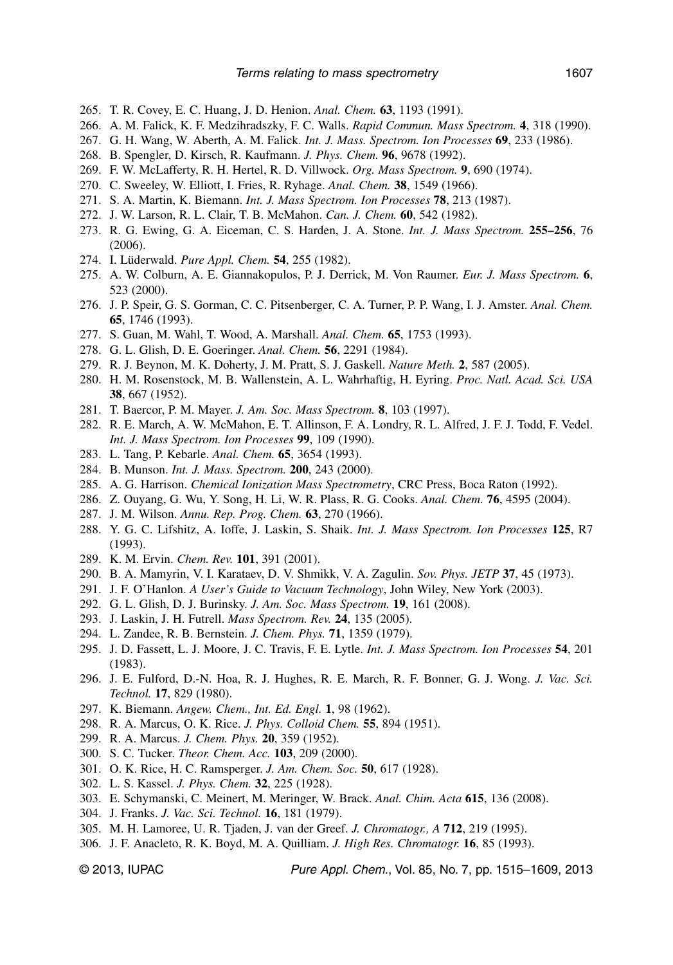- 265. T. R. Covey, E. C. Huang, J. D. Henion. *Anal. Chem.* **63**, 1193 (1991).
- 266. A. M. Falick, K. F. Medzihradszky, F. C. Walls. *Rapid Commun. Mass Spectrom.* **4**, 318 (1990).
- 267. G. H. Wang, W. Aberth, A. M. Falick. *Int. J. Mass. Spectrom. Ion Processes* **69**, 233 (1986).
- 268. B. Spengler, D. Kirsch, R. Kaufmann. *J. Phys. Chem.* **96**, 9678 (1992).
- 269. F. W. McLafferty, R. H. Hertel, R. D. Villwock. *Org. Mass Spectrom.* **9**, 690 (1974).
- 270. C. Sweeley, W. Elliott, I. Fries, R. Ryhage. *Anal. Chem.* **38**, 1549 (1966).
- 271. S. A. Martin, K. Biemann. *Int. J. Mass Spectrom. Ion Processes* **78**, 213 (1987).
- 272. J. W. Larson, R. L. Clair, T. B. McMahon. *Can. J. Chem.* **60**, 542 (1982).
- 273. R. G. Ewing, G. A. Eiceman, C. S. Harden, J. A. Stone. *Int. J. Mass Spectrom.* **255–256**, 76 (2006).
- 274. I. Lüderwald. *Pure Appl. Chem.* **54**, 255 (1982).
- 275. A. W. Colburn, A. E. Giannakopulos, P. J. Derrick, M. Von Raumer. *Eur. J. Mass Spectrom.* **6**, 523 (2000).
- 276. J. P. Speir, G. S. Gorman, C. C. Pitsenberger, C. A. Turner, P. P. Wang, I. J. Amster. *Anal. Chem.* **65**, 1746 (1993).
- 277. S. Guan, M. Wahl, T. Wood, A. Marshall. *Anal. Chem.* **65**, 1753 (1993).
- 278. G. L. Glish, D. E. Goeringer. *Anal. Chem.* **56**, 2291 (1984).
- 279. R. J. Beynon, M. K. Doherty, J. M. Pratt, S. J. Gaskell. *Nature Meth.* **2**, 587 (2005).
- 280. H. M. Rosenstock, M. B. Wallenstein, A. L. Wahrhaftig, H. Eyring. *Proc. Natl. Acad. Sci. USA* **38**, 667 (1952).
- 281. T. Baercor, P. M. Mayer. *J. Am. Soc. Mass Spectrom.* **8**, 103 (1997).
- 282. R. E. March, A. W. McMahon, E. T. Allinson, F. A. Londry, R. L. Alfred, J. F. J. Todd, F. Vedel. *Int. J. Mass Spectrom. Ion Processes* **99**, 109 (1990).
- 283. L. Tang, P. Kebarle. *Anal. Chem.* **65**, 3654 (1993).
- 284. B. Munson. *Int. J. Mass. Spectrom.* **200**, 243 (2000).
- 285. A. G. Harrison. *Chemical Ionization Mass Spectrometry*, CRC Press, Boca Raton (1992).
- 286. Z. Ouyang, G. Wu, Y. Song, H. Li, W. R. Plass, R. G. Cooks. *Anal. Chem.* **76**, 4595 (2004).
- 287. J. M. Wilson. *Annu. Rep. Prog. Chem.* **63**, 270 (1966).
- 288. Y. G. C. Lifshitz, A. Ioffe, J. Laskin, S. Shaik. *Int. J. Mass Spectrom. Ion Processes* **125**, R7 (1993).
- 289. K. M. Ervin. *Chem. Rev.* **101**, 391 (2001).
- 290. B. A. Mamyrin, V. I. Karataev, D. V. Shmikk, V. A. Zagulin. *Sov. Phys. JETP* **37**, 45 (1973).
- 291. J. F. O'Hanlon. *A User's Guide to Vacuum Technology*, John Wiley, New York (2003).
- 292. G. L. Glish, D. J. Burinsky. *J. Am. Soc. Mass Spectrom.* **19**, 161 (2008).
- 293. J. Laskin, J. H. Futrell. *Mass Spectrom. Rev.* **24**, 135 (2005).
- 294. L. Zandee, R. B. Bernstein. *J. Chem. Phys.* **71**, 1359 (1979).
- 295. J. D. Fassett, L. J. Moore, J. C. Travis, F. E. Lytle. *Int. J. Mass Spectrom. Ion Processes* **54**, 201 (1983).
- 296. J. E. Fulford, D.-N. Hoa, R. J. Hughes, R. E. March, R. F. Bonner, G. J. Wong. *J. Vac. Sci. Technol.* **17**, 829 (1980).
- 297. K. Biemann. *Angew. Chem., Int. Ed. Engl.* **1**, 98 (1962).
- 298. R. A. Marcus, O. K. Rice. *J. Phys. Colloid Chem.* **55**, 894 (1951).
- 299. R. A. Marcus. *J. Chem. Phys.* **20**, 359 (1952).
- 300. S. C. Tucker. *Theor. Chem. Acc.* **103**, 209 (2000).
- 301. O. K. Rice, H. C. Ramsperger. *J. Am. Chem. Soc.* **50**, 617 (1928).
- 302. L. S. Kassel. *J. Phys. Chem.* **32**, 225 (1928).
- 303. E. Schymanski, C. Meinert, M. Meringer, W. Brack. *Anal. Chim. Acta* **615**, 136 (2008).
- 304. J. Franks. *J. Vac. Sci. Technol.* **16**, 181 (1979).
- 305. M. H. Lamoree, U. R. Tjaden, J. van der Greef. *J. Chromatogr., A* **712**, 219 (1995).
- 306. J. F. Anacleto, R. K. Boyd, M. A. Quilliam. *J. High Res. Chromatogr.* **16**, 85 (1993).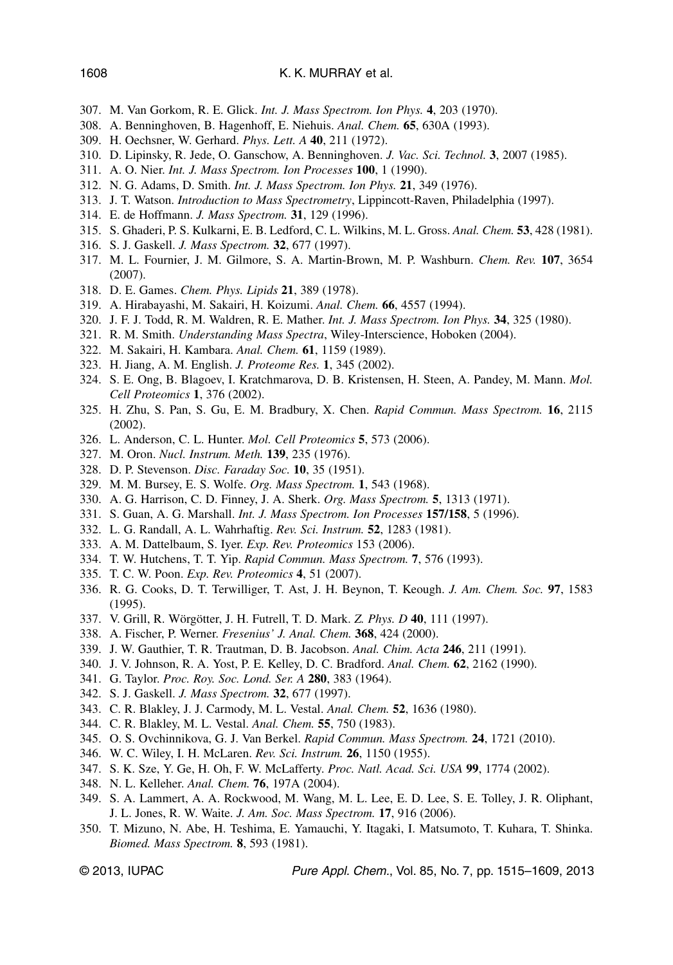- 307. M. Van Gorkom, R. E. Glick. *Int. J. Mass Spectrom. Ion Phys.* **4**, 203 (1970).
- 308. A. Benninghoven, B. Hagenhoff, E. Niehuis. *Anal. Chem.* **65**, 630A (1993).
- 309. H. Oechsner, W. Gerhard. *Phys. Lett. A* **40**, 211 (1972).
- 310. D. Lipinsky, R. Jede, O. Ganschow, A. Benninghoven. *J. Vac. Sci. Technol.* **3**, 2007 (1985).
- 311. A. O. Nier. *Int. J. Mass Spectrom. Ion Processes* **100**, 1 (1990).
- 312. N. G. Adams, D. Smith. *Int. J. Mass Spectrom. Ion Phys.* **21**, 349 (1976).
- 313. J. T. Watson. *Introduction to Mass Spectrometry*, Lippincott-Raven, Philadelphia (1997).
- 314. E. de Hoffmann. *J. Mass Spectrom.* **31**, 129 (1996).
- 315. S. Ghaderi, P. S. Kulkarni, E. B. Ledford, C. L. Wilkins, M. L. Gross. *Anal. Chem.* **53**, 428 (1981).
- 316. S. J. Gaskell. *J. Mass Spectrom.* **32**, 677 (1997).
- 317. M. L. Fournier, J. M. Gilmore, S. A. Martin-Brown, M. P. Washburn. *Chem. Rev.* **107**, 3654 (2007).
- 318. D. E. Games. *Chem. Phys. Lipids* **21**, 389 (1978).
- 319. A. Hirabayashi, M. Sakairi, H. Koizumi. *Anal. Chem.* **66**, 4557 (1994).
- 320. J. F. J. Todd, R. M. Waldren, R. E. Mather. *Int. J. Mass Spectrom. Ion Phys.* **34**, 325 (1980).
- 321. R. M. Smith. *Understanding Mass Spectra*, Wiley-Interscience, Hoboken (2004).
- 322. M. Sakairi, H. Kambara. *Anal. Chem.* **61**, 1159 (1989).
- 323. H. Jiang, A. M. English. *J. Proteome Res.* **1**, 345 (2002).
- 324. S. E. Ong, B. Blagoev, I. Kratchmarova, D. B. Kristensen, H. Steen, A. Pandey, M. Mann. *Mol. Cell Proteomics* **1**, 376 (2002).
- 325. H. Zhu, S. Pan, S. Gu, E. M. Bradbury, X. Chen. *Rapid Commun. Mass Spectrom.* **16**, 2115 (2002).
- 326. L. Anderson, C. L. Hunter. *Mol. Cell Proteomics* **5**, 573 (2006).
- 327. M. Oron. *Nucl. Instrum. Meth.* **139**, 235 (1976).
- 328. D. P. Stevenson. *Disc. Faraday Soc.* **10**, 35 (1951).
- 329. M. M. Bursey, E. S. Wolfe. *Org. Mass Spectrom.* **1**, 543 (1968).
- 330. A. G. Harrison, C. D. Finney, J. A. Sherk. *Org. Mass Spectrom.* **5**, 1313 (1971).
- 331. S. Guan, A. G. Marshall. *Int. J. Mass Spectrom. Ion Processes* **157/158**, 5 (1996).
- 332. L. G. Randall, A. L. Wahrhaftig. *Rev. Sci. Instrum.* **52**, 1283 (1981).
- 333. A. M. Dattelbaum, S. Iyer. *Exp. Rev. Proteomics* 153 (2006).
- 334. T. W. Hutchens, T. T. Yip. *Rapid Commun. Mass Spectrom.* **7**, 576 (1993).
- 335. T. C. W. Poon. *Exp. Rev. Proteomics* **4**, 51 (2007).
- 336. R. G. Cooks, D. T. Terwilliger, T. Ast, J. H. Beynon, T. Keough. *J. Am. Chem. Soc.* **97**, 1583 (1995).
- 337. V. Grill, R. Wörgötter, J. H. Futrell, T. D. Mark. *Z. Phys. D* **40**, 111 (1997).
- 338. A. Fischer, P. Werner. *Fresenius' J. Anal. Chem.* **368**, 424 (2000).
- 339. J. W. Gauthier, T. R. Trautman, D. B. Jacobson. *Anal. Chim. Acta* **246**, 211 (1991).
- 340. J. V. Johnson, R. A. Yost, P. E. Kelley, D. C. Bradford. *Anal. Chem.* **62**, 2162 (1990).
- 341. G. Taylor. *Proc. Roy. Soc. Lond. Ser. A* **280**, 383 (1964).
- 342. S. J. Gaskell. *J. Mass Spectrom.* **32**, 677 (1997).
- 343. C. R. Blakley, J. J. Carmody, M. L. Vestal. *Anal. Chem.* **52**, 1636 (1980).
- 344. C. R. Blakley, M. L. Vestal. *Anal. Chem.* **55**, 750 (1983).
- 345. O. S. Ovchinnikova, G. J. Van Berkel. *Rapid Commun. Mass Spectrom.* **24**, 1721 (2010).
- 346. W. C. Wiley, I. H. McLaren. *Rev. Sci. Instrum.* **26**, 1150 (1955).
- 347. S. K. Sze, Y. Ge, H. Oh, F. W. McLafferty. *Proc. Natl. Acad. Sci. USA* **99**, 1774 (2002).
- 348. N. L. Kelleher. *Anal. Chem.* **76**, 197A (2004).
- 349. S. A. Lammert, A. A. Rockwood, M. Wang, M. L. Lee, E. D. Lee, S. E. Tolley, J. R. Oliphant, J. L. Jones, R. W. Waite. *J. Am. Soc. Mass Spectrom.* **17**, 916 (2006).
- 350. T. Mizuno, N. Abe, H. Teshima, E. Yamauchi, Y. Itagaki, I. Matsumoto, T. Kuhara, T. Shinka. *Biomed. Mass Spectrom.* **8**, 593 (1981).